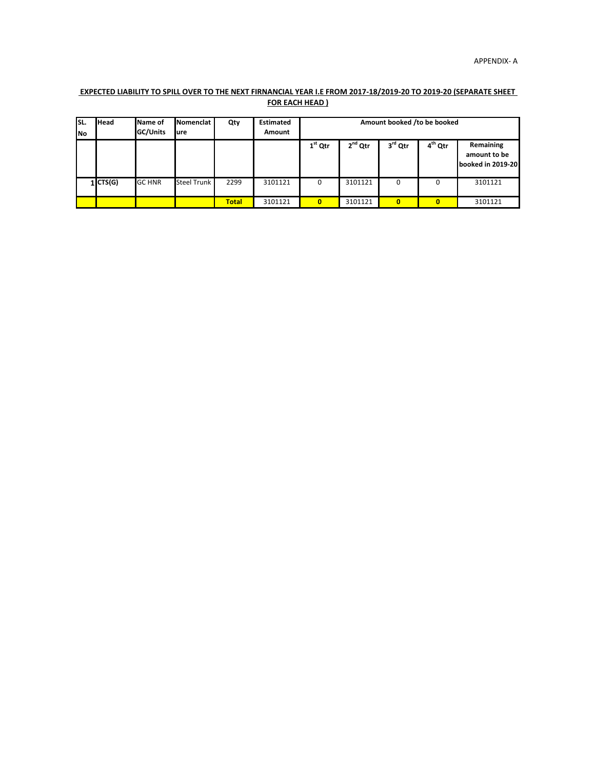# **EXPECTED LIABILITY TO SPILL OVER TO THE NEXT FIRNANCIAL YEAR I.E FROM 2017-18/2019-20 TO 2019-20 (SEPARATE SHEET FOR EACH HEAD )**

| lsl.<br>INo. | <b>Head</b> | Name of<br>GC/Units | Nomenclat<br>lure  | Qty          | <b>Estimated</b><br>Amount | Amount booked /to be booked |           |          |                     |                                                |  |  |
|--------------|-------------|---------------------|--------------------|--------------|----------------------------|-----------------------------|-----------|----------|---------------------|------------------------------------------------|--|--|
|              |             |                     |                    |              |                            | $1st$ Qtr                   | $2nd$ Qtr | 3rd Qtr  | 4 <sup>th</sup> Qtr | Remaining<br>amount to be<br>booked in 2019-20 |  |  |
|              | 1 CTS(G)    | <b>GC HNR</b>       | <b>Steel Trunk</b> | 2299         | 3101121                    | 0                           | 3101121   | 0        | 0                   | 3101121                                        |  |  |
|              |             |                     |                    | <b>Total</b> | 3101121                    | $\bf{0}$                    | 3101121   | $\bf{0}$ | 0                   | 3101121                                        |  |  |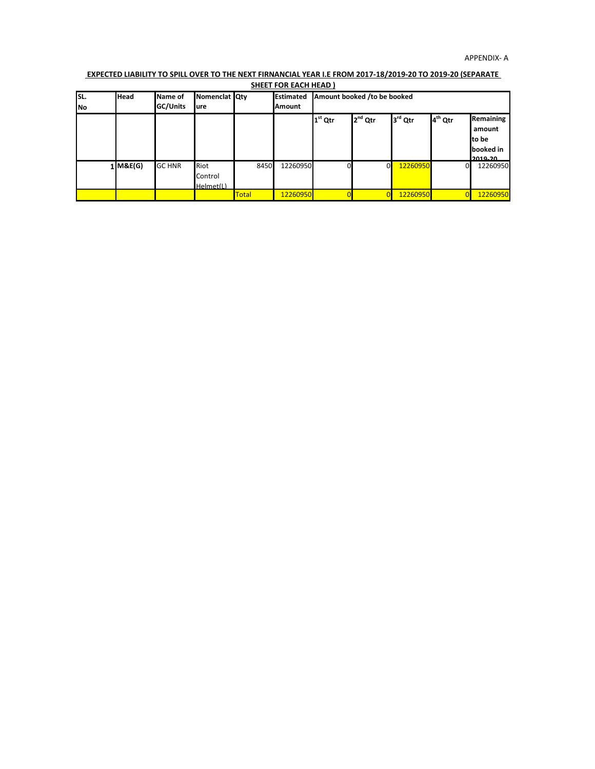# **EXPECTED LIABILITY TO SPILL OVER TO THE NEXT FIRNANCIAL YEAR I.E FROM 2017-18/2019-20 TO 2019-20 (SEPARATE**

|                    |             |                            |                                     |              | <b>SHEET FOR EACH HEAD)</b>       |                             |                     |          |                     |                                                      |
|--------------------|-------------|----------------------------|-------------------------------------|--------------|-----------------------------------|-----------------------------|---------------------|----------|---------------------|------------------------------------------------------|
| lsı.<br><b>INo</b> | <b>Head</b> | Name of<br><b>GC/Units</b> | Nomenclat Qty<br>lure               |              | <b>Estimated</b><br><b>Amount</b> | Amount booked /to be booked |                     |          |                     |                                                      |
|                    |             |                            |                                     |              |                                   | $1st$ Qtr                   | 2 <sup>nd</sup> Qtr | 3rd Qtr  | 4 <sup>th</sup> Qtr | Remaining<br>amount<br>to be<br>booked in<br>חכ סרחכ |
|                    | $1$ M&E(G)  | <b>GC HNR</b>              | <b>Riot</b><br>Control<br>Helmet(L) | 8450         | 12260950                          |                             | $\Omega$            | 12260950 | 01                  | 12260950                                             |
|                    |             |                            |                                     | <b>Total</b> | 12260950                          |                             |                     | 12260950 | $\Omega$            | 12260950                                             |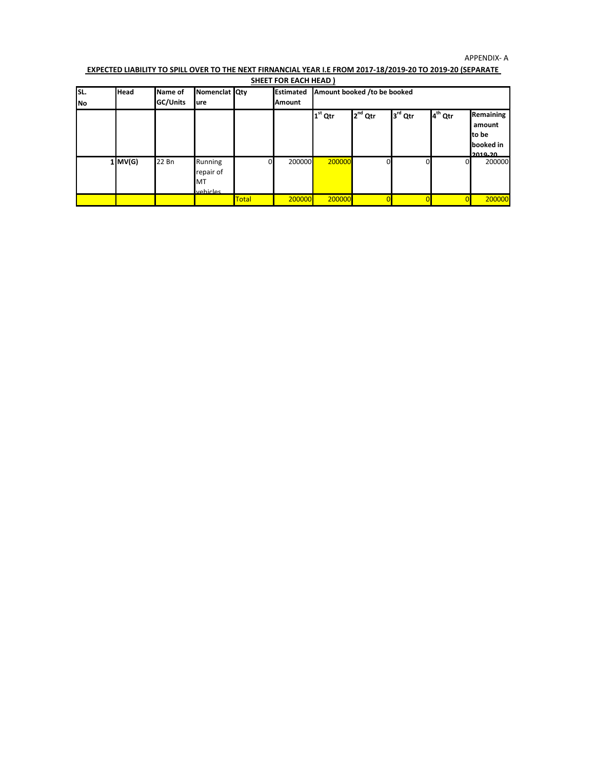#### APPENDIX- A

### **EXPECTED LIABILITY TO SPILL OVER TO THE NEXT FIRNANCIAL YEAR I.E FROM 2017-18/2019-20 TO 2019-20 (SEPARATE SHEET FOR EACH HEAD )**

| lsl.      | Head      | Name of  | Nomenclat Qty                          |              | <b>Estimated</b> | Amount booked /to be booked |                     |         |                     |                                                      |
|-----------|-----------|----------|----------------------------------------|--------------|------------------|-----------------------------|---------------------|---------|---------------------|------------------------------------------------------|
| <b>No</b> |           | GC/Units | ure                                    |              | <b>Amount</b>    |                             |                     |         |                     |                                                      |
|           |           |          |                                        |              |                  | $1st$ Qtr                   | 2 <sup>nd</sup> Qtr | 3rd Qtr | 4 <sup>th</sup> Qtr | Remaining<br>amount<br>to be<br>booked in<br>2010-20 |
|           | $1$ MV(G) | 22 Bn    | Running<br>repair of<br>MT<br>vehicles |              | 200000           | 200000                      | 0                   |         |                     | 200000                                               |
|           |           |          |                                        | <b>Total</b> | 200000           | 200000                      |                     |         |                     | 200000                                               |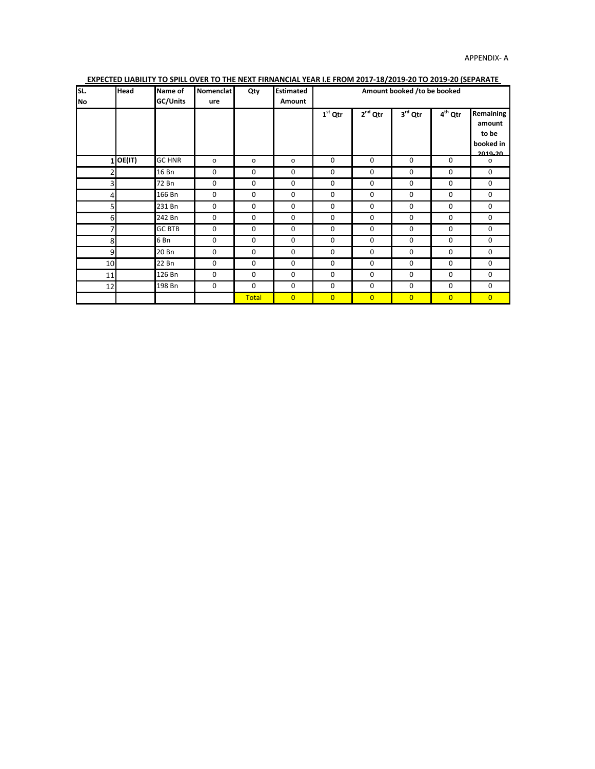| SL.<br><b>No</b> | <b>Head</b> | Name of<br>GC/Units | <b>Nomenclat</b><br>ure | Qty          | <b>Estimated</b><br>Amount | Amount booked /to be booked |                |                |                |                                                      |  |
|------------------|-------------|---------------------|-------------------------|--------------|----------------------------|-----------------------------|----------------|----------------|----------------|------------------------------------------------------|--|
|                  |             |                     |                         |              |                            | $1st$ Qtr                   | $2nd$ Qtr      | $3rd$ Qtr      | $4th$ Qtr      | Remaining<br>amount<br>to be<br>booked in<br>2010-20 |  |
|                  | $1$ OE(IT)  | <b>GC HNR</b>       | o                       | o            | o                          | $\mathbf 0$                 | $\mathbf 0$    | $\mathbf 0$    | $\mathbf 0$    | o                                                    |  |
| $\overline{2}$   |             | 16 Bn               | 0                       | $\mathbf 0$  | 0                          | 0                           | $\mathbf 0$    | $\mathbf 0$    | 0              | 0                                                    |  |
| 3                |             | 72 Bn               | 0                       | 0            | 0                          | 0                           | 0              | 0              | 0              | $\mathbf 0$                                          |  |
| $\overline{4}$   |             | 166 Bn              | $\mathbf 0$             | $\mathbf 0$  | 0                          | $\mathbf 0$                 | $\mathbf 0$    | $\mathbf 0$    | $\mathbf 0$    | $\mathbf 0$                                          |  |
| $\overline{5}$   |             | 231 Bn              | $\mathbf 0$             | $\mathbf 0$  | 0                          | 0                           | $\mathbf 0$    | $\mathbf 0$    | $\mathbf 0$    | 0                                                    |  |
| 6                |             | 242 Bn              | 0                       | 0            | 0                          | 0                           | 0              | 0              | 0              | 0                                                    |  |
| 7                |             | <b>GC BTB</b>       | $\mathbf 0$             | 0            | 0                          | 0                           | $\mathbf 0$    | $\mathbf 0$    | 0              | 0                                                    |  |
| 8                |             | 6 Bn                | 0                       | $\mathbf 0$  | 0                          | 0                           | 0              | 0              | 0              | 0                                                    |  |
| 9                |             | 20 Bn               | 0                       | 0            | 0                          | 0                           | 0              | 0              | 0              | 0                                                    |  |
| 10               |             | 22 Bn               | 0                       | 0            | 0                          | 0                           | 0              | $\mathbf 0$    | 0              | 0                                                    |  |
| 11               |             | 126 Bn              | 0                       | $\mathbf 0$  | $\mathbf 0$                | 0                           | 0              | $\mathbf 0$    | 0              | 0                                                    |  |
| 12               |             | 198 Bn              | 0                       | 0            | 0                          | 0                           | 0              | 0              | 0              | 0                                                    |  |
|                  |             |                     |                         | <b>Total</b> | $\overline{0}$             | $\overline{0}$              | $\overline{0}$ | $\overline{0}$ | $\overline{0}$ | $\overline{0}$                                       |  |

## **EXPECTED LIABILITY TO SPILL OVER TO THE NEXT FIRNANCIAL YEAR I.E FROM 2017-18/2019-20 TO 2019-20 (SEPARATE**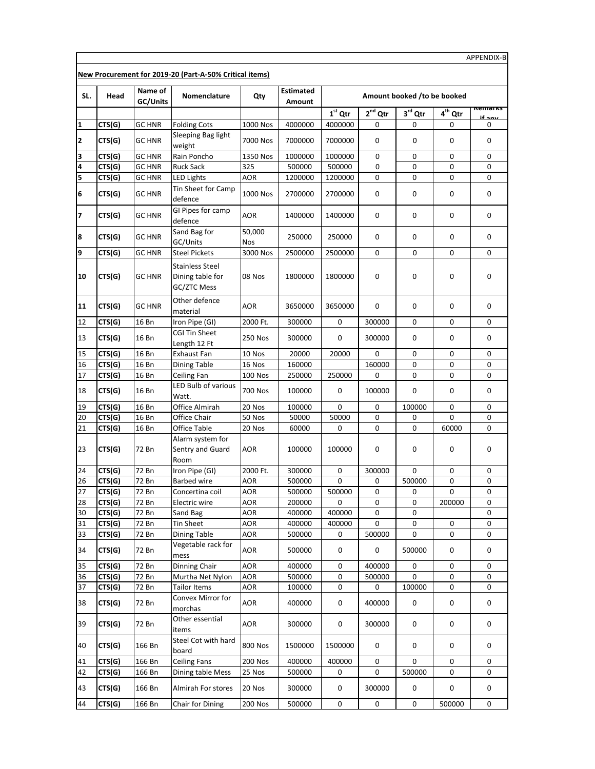|              | New Procurement for 2019-20 (Part-A-50% Critical items) |                     |                                                           |                          |                            |           |              |                             |                     |                |
|--------------|---------------------------------------------------------|---------------------|-----------------------------------------------------------|--------------------------|----------------------------|-----------|--------------|-----------------------------|---------------------|----------------|
| SL.          | Head                                                    | Name of<br>GC/Units | Nomenclature                                              | Qty                      | <b>Estimated</b><br>Amount |           |              | Amount booked /to be booked |                     |                |
|              |                                                         |                     |                                                           |                          |                            | $1st$ Qtr | $2^{nd}$ Qtr | 3rd Qtr                     | 4 <sup>th</sup> Qtr | <b>Remarks</b> |
| $\mathbf{1}$ | CTS(G)                                                  | <b>GC HNR</b>       | <b>Folding Cots</b>                                       | 1000 Nos                 | 4000000                    | 4000000   | 0            | 0                           | 0                   | 0              |
| 12           | CTS(G)                                                  | <b>GC HNR</b>       | Sleeping Bag light<br>weight                              | 7000 Nos                 | 7000000                    | 7000000   | 0            | 0                           | 0                   | 0              |
| 3            | CTS(G)                                                  | <b>GC HNR</b>       | Rain Poncho                                               | 1350 Nos                 | 1000000                    | 1000000   | 0            | 0                           | 0                   | 0              |
| 4            | CTS(G)                                                  | <b>GC HNR</b>       | <b>Ruck Sack</b>                                          | 325                      | 500000                     | 500000    | 0            | 0                           | 0                   | 0              |
| 5            | CTS(G)                                                  | <b>GC HNR</b>       | <b>LED Lights</b>                                         | AOR                      | 1200000                    | 1200000   | 0            | 0                           | 0                   | 0              |
| 6            | CTS(G)                                                  | <b>GC HNR</b>       | Tin Sheet for Camp<br>defence                             | 1000 Nos                 | 2700000                    | 2700000   | 0            | 0                           | 0                   | 0              |
| 17           | CTS(G)                                                  | <b>GC HNR</b>       | GI Pipes for camp<br>defence                              | AOR                      | 1400000                    | 1400000   | 0            | 0                           | 0                   | 0              |
| 8            | CTS(G)                                                  | <b>GC HNR</b>       | Sand Bag for<br>GC/Units                                  | 50,000<br>Nos            | 250000                     | 250000    | 0            | 0                           | 0                   | 0              |
| 9            | CTS(G)                                                  | <b>GC HNR</b>       | <b>Steel Pickets</b>                                      | 3000 Nos                 | 2500000                    | 2500000   | 0            | 0                           | 0                   | 0              |
| 10           | CTS(G)                                                  | <b>GC HNR</b>       | <b>Stainless Steel</b><br>Dining table for<br>GC/ZTC Mess | 08 Nos                   | 1800000                    | 1800000   | 0            | 0                           | 0                   | 0              |
| 11           | CTS(G)                                                  | <b>GC HNR</b>       | Other defence<br>material                                 | AOR                      | 3650000                    | 3650000   | 0            | 0                           | 0                   | 0              |
| 12           | CTS(G)                                                  | 16 Bn               | Iron Pipe (GI)                                            | 2000 Ft.                 | 300000                     | 0         | 300000       | 0                           | 0                   | 0              |
| 13           | CTS(G)                                                  | 16 Bn               | CGI Tin Sheet<br>Length 12 Ft                             | 250 Nos                  | 300000                     | 0         | 300000       | 0                           | 0                   | 0              |
| 15           | CTS(G)                                                  | 16 Bn               | Exhaust Fan                                               | 10 Nos                   | 20000                      | 20000     | 0            | 0                           | 0                   | 0              |
| 16           | CTS(G)                                                  | 16 Bn               | Dining Table                                              | 16 Nos                   | 160000                     |           | 160000       | 0                           | 0                   | 0              |
| 17           | CTS(G)                                                  | 16 Bn               | Ceiling Fan                                               | <b>100 Nos</b>           | 250000                     | 250000    | 0            | 0                           | 0                   | 0              |
| 18           | CTS(G)                                                  | 16 Bn               | <b>LED Bulb of various</b><br>Watt.                       | 700 Nos                  | 100000                     | 0         | 100000       | 0                           | 0                   | 0              |
| 19           | CTS(G)                                                  | 16 Bn               | Office Almirah                                            | 20 Nos                   | 100000                     | 0         | 0            | 100000                      | 0                   | 0              |
| 20           | CTS(G)                                                  | 16 Bn               | Office Chair                                              | 50 Nos                   | 50000                      | 50000     | 0            | 0                           | 0                   | 0              |
| 21           | CTS(G)                                                  | 16 Bn               | Office Table<br>Alarm system for                          | 20 Nos                   | 60000                      | 0         | 0            | 0                           | 60000               | 0              |
| 23           | CTS(G)                                                  | 72 Bn               | Sentry and Guard<br>Room                                  | AOR                      | 100000                     | 100000    | 0            | 0                           | 0                   | 0              |
| 24           | CTS(G)                                                  | 72 Bn               | Iron Pipe (GI)                                            | 2000 Ft.                 | 300000                     | 0         | 300000       | 0                           | 0                   | 0              |
| 26           | CTS(G)                                                  | 72 Bn               | Barbed wire                                               | AOR                      | 500000                     | 0         | 0            | 500000                      | 0                   | 0              |
| 27           | CTS(G)                                                  | 72 Bn               | Concertina coil                                           | <b>AOR</b>               | 500000                     | 500000    | 0            | 0                           | 0                   | 0              |
| 28           | CTS(G)                                                  | 72 Bn               | <b>Electric wire</b>                                      | AOR                      | 200000                     | 0         | 0            | 0                           | 200000              | 0              |
| 30           | CTS(G)                                                  | 72 Bn               | Sand Bag                                                  | AOR                      | 400000                     | 400000    | $\pmb{0}$    | 0                           |                     | 0              |
| 31           | CTS(G)                                                  | 72 Bn               | <b>Tin Sheet</b>                                          | AOR                      | 400000                     | 400000    | 0            | 0                           | 0                   | 0              |
| 33<br>34     | CTS(G)<br>CTS(G)                                        | 72 Bn<br>72 Bn      | Dining Table<br>Vegetable rack for<br>mess                | <b>AOR</b><br><b>AOR</b> | 500000<br>500000           | 0<br>0    | 500000<br>0  | 0<br>500000                 | 0<br>0              | 0<br>0         |
| 35           | CTS(G)                                                  | 72 Bn               | Dinning Chair                                             | AOR                      | 400000                     | 0         | 400000       | 0                           | 0                   | 0              |
| 36           | CTS(G)                                                  | 72 Bn               | Murtha Net Nylon                                          | AOR                      | 500000                     | 0         | 500000       | 0                           | 0                   | 0              |
| 37           | CTS(G)                                                  | 72 Bn               | Tailor Items                                              | AOR                      | 100000                     | 0         | 0            | 100000                      | 0                   | 0              |
| 38           | CTS(G)                                                  | 72 Bn               | Convex Mirror for<br>morchas                              | <b>AOR</b>               | 400000                     | 0         | 400000       | 0                           | 0                   | 0              |
| 39           | CTS(G)                                                  | 72 Bn               | Other essential<br>items                                  | AOR                      | 300000                     | 0         | 300000       | 0                           | 0                   | 0              |
| 40           | CTS(G)                                                  | 166 Bn              | Steel Cot with hard<br>board                              | 800 Nos                  | 1500000                    | 1500000   | 0            | 0                           | 0                   | 0              |
| 41           | CTS(G)                                                  | 166 Bn              | <b>Ceiling Fans</b>                                       | <b>200 Nos</b>           | 400000                     | 400000    | 0            | 0                           | 0                   | 0              |
| 42           | CTS(G)                                                  | 166 Bn              | Dining table Mess                                         | 25 Nos                   | 500000                     | 0         | 0            | 500000                      | 0                   | 0              |
| 43           | CTS(G)                                                  | 166 Bn              | Almirah For stores                                        | 20 Nos                   | 300000                     | 0         | 300000       | 0                           | 0                   | 0              |
| 44           | CTS(G)                                                  | 166 Bn              | Chair for Dining                                          | 200 Nos                  | 500000                     | 0         | 0            | 0                           | 500000              | 0              |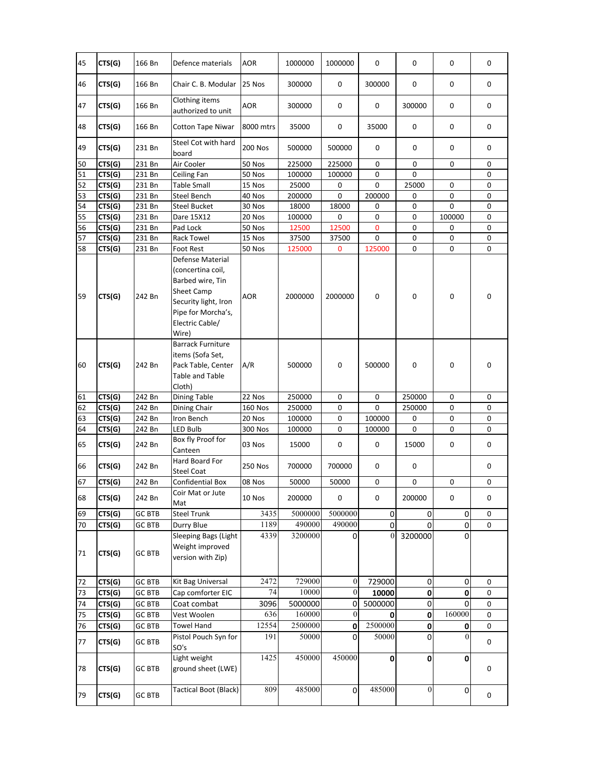| 45 | CTS(G) | 166 Bn        | Defence materials                                                                                                                                 | <b>AOR</b>     | 1000000 | 1000000        | 0                | 0              | 0        | 0 |
|----|--------|---------------|---------------------------------------------------------------------------------------------------------------------------------------------------|----------------|---------|----------------|------------------|----------------|----------|---|
| 46 | CTS(G) | 166 Bn        | Chair C. B. Modular                                                                                                                               | 25 Nos         | 300000  | $\mathbf 0$    | 300000           | 0              | 0        | 0 |
| 47 | CTS(G) | 166 Bn        | Clothing items<br>authorized to unit                                                                                                              | AOR            | 300000  | 0              | 0                | 300000         | 0        | 0 |
| 48 | CTS(G) | 166 Bn        | <b>Cotton Tape Niwar</b>                                                                                                                          | 8000 mtrs      | 35000   | 0              | 35000            | 0              | 0        | 0 |
| 49 | CTS(G) | 231 Bn        | Steel Cot with hard<br>board                                                                                                                      | <b>200 Nos</b> | 500000  | 500000         | 0                | 0              | 0        | 0 |
| 50 | CTS(G) | 231 Bn        | Air Cooler                                                                                                                                        | <b>50 Nos</b>  | 225000  | 225000         | 0                | 0              | 0        | 0 |
| 51 | CTS(G) | 231 Bn        | Ceiling Fan                                                                                                                                       | 50 Nos         | 100000  | 100000         | 0                | 0              |          | 0 |
| 52 | CTS(G) | 231 Bn        | <b>Table Small</b>                                                                                                                                | 15 Nos         | 25000   | 0              | 0                | 25000          | 0        | 0 |
| 53 | CTS(G) | 231 Bn        | Steel Bench                                                                                                                                       | 40 Nos         | 200000  | 0              | 200000           | 0              | 0        | 0 |
| 54 | CTS(G) | 231 Bn        | <b>Steel Bucket</b>                                                                                                                               | 30 Nos         | 18000   | 18000          | 0                | 0              | 0        | 0 |
| 55 | CTS(G) | 231 Bn        | Dare 15X12                                                                                                                                        | 20 Nos         | 100000  | 0              | 0                | 0              | 100000   | 0 |
| 56 | CTS(G) | 231 Bn        | Pad Lock                                                                                                                                          | 50 Nos         | 12500   | 12500          | 0                | 0              | 0        | 0 |
| 57 | CTS(G) | 231 Bn        | Rack Towel                                                                                                                                        | 15 Nos         | 37500   | 37500          | 0                | 0              | 0        | 0 |
| 58 | CTS(G) | 231 Bn        | Foot Rest                                                                                                                                         | 50 Nos         | 125000  | 0              | 125000           | 0              | 0        | 0 |
| 59 | CTS(G) | 242 Bn        | Defense Material<br>(concertina coil,<br>Barbed wire, Tin<br>Sheet Camp<br>Security light, Iron<br>Pipe for Morcha's,<br>Electric Cable/<br>Wire) | AOR            | 2000000 | 2000000        | 0                | 0              | 0        | 0 |
| 60 | CTS(G) | 242 Bn        | <b>Barrack Furniture</b><br>items (Sofa Set,<br>Pack Table, Center<br>Table and Table<br>Cloth)                                                   | A/R            | 500000  | 0              | 500000           | 0              | 0        | 0 |
| 61 | CTS(G) | 242 Bn        | <b>Dining Table</b>                                                                                                                               | 22 Nos         | 250000  | 0              | 0                | 250000         | 0        | 0 |
| 62 | CTS(G) | 242 Bn        | Dining Chair                                                                                                                                      | <b>160 Nos</b> | 250000  | 0              | 0                | 250000         | 0        | 0 |
| 63 | CTS(G) | 242 Bn        | Iron Bench                                                                                                                                        | 20 Nos         | 100000  | 0              | 100000           | 0              | 0        | 0 |
| 64 | CTS(G) | 242 Bn        | LED Bulb                                                                                                                                          | 300 Nos        | 100000  | 0              | 100000           | 0              | 0        | 0 |
| 65 | CTS(G) | 242 Bn        | Box fly Proof for<br>Canteen                                                                                                                      | 03 Nos         | 15000   | 0              | 0                | 15000          | 0        | 0 |
| 66 | CTS(G) | 242 Bn        | Hard Board For<br><b>Steel Coat</b>                                                                                                               | 250 Nos        | 700000  | 700000         | 0                | 0              |          | 0 |
| 67 | CTS(G) | 242 Bn        | Confidential Box                                                                                                                                  | 08 Nos         | 50000   | 50000          | 0                | 0              | 0        | 0 |
| 68 | CTS(G) | 242 Bn        | Coir Mat or Jute<br>Mat                                                                                                                           | 10 Nos         | 200000  | 0              | 0                | 200000         | 0        | 0 |
| 69 | CTS(G) | <b>GC BTB</b> | <b>Steel Trunk</b>                                                                                                                                | 3435           | 5000000 | 5000000        | $\pmb{0}$        | 0              | 0        | 0 |
| 70 | CTS(G) | <b>GC BTB</b> | Durry Blue                                                                                                                                        | 1189           | 490000  | 490000         | $\mathsf 0$      | 0              | 0        | 0 |
| 71 | CTS(G) | GC BTB        | Sleeping Bags (Light<br>Weight improved<br>version with Zip)                                                                                      | 4339           | 3200000 | 0              | $\boldsymbol{0}$ | 3200000        | 0        |   |
| 72 | CTS(G) | <b>GC BTB</b> | Kit Bag Universal                                                                                                                                 | 2472           | 729000  | $\mathbf{0}$   | 729000           | $\pmb{0}$      | 0        | 0 |
| 73 | CTS(G) | <b>GC BTB</b> | Cap comforter EIC                                                                                                                                 | 74             | 10000   | $\overline{0}$ | 10000            | $\pmb{0}$      | 0        | 0 |
| 74 | CTS(G) | <b>GC BTB</b> | Coat combat                                                                                                                                       | 3096           | 5000000 | $\overline{0}$ | 5000000          | 0              | 0        | 0 |
| 75 | CTS(G) | <b>GC BTB</b> | Vest Woolen                                                                                                                                       | 636            | 160000  | $\mathbf{0}$   | 0                | $\mathbf 0$    | 160000   | 0 |
| 76 | CTS(G) | <b>GC BTB</b> | <b>Towel Hand</b>                                                                                                                                 | 12554          | 2500000 | $\pmb{0}$      | 2500000          | $\pmb{0}$      | 0        | 0 |
| 77 | CTS(G) | <b>GC BTB</b> | Pistol Pouch Syn for<br>SO's                                                                                                                      | 191            | 50000   | $\mathbf 0$    | 50000            | $\Omega$       | $\theta$ | 0 |
| 78 | CTS(G) | GC BTB        | Light weight<br>ground sheet (LWE)                                                                                                                | 1425           | 450000  | 450000         | 0                | $\mathbf 0$    | 0        | 0 |
| 79 | CTS(G) | GC BTB        | <b>Tactical Boot (Black)</b>                                                                                                                      | 809            | 485000  | $\Omega$       | 485000           | $\overline{0}$ | 0        | 0 |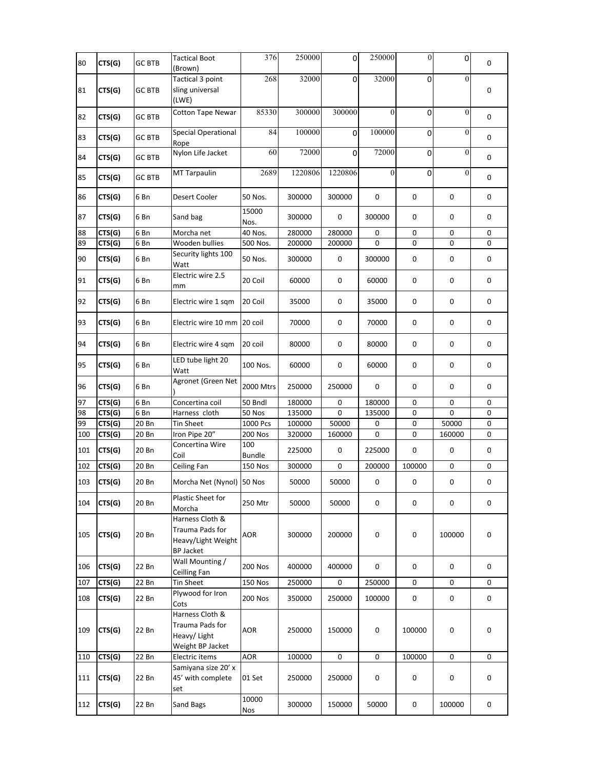| 80  | CTS(G) | GC BTB        | <b>Tactical Boot</b><br>(Brown)                                              | 376                  | 250000  | 0           | 250000       | $\mathbf{0}$ | 0                | 0 |
|-----|--------|---------------|------------------------------------------------------------------------------|----------------------|---------|-------------|--------------|--------------|------------------|---|
| 81  | CTS(G) | GC BTB        | Tactical 3 point<br>sling universal<br>(LWE)                                 | 268                  | 32000   | $\mathbf 0$ | 32000        | 0            | $\theta$         | 0 |
| 82  | CTS(G) | GC BTB        | <b>Cotton Tape Newar</b>                                                     | 85330                | 300000  | 300000      | $\theta$     | $\mathbf 0$  | $\mathbf{0}$     | 0 |
| 83  | CTS(G) | <b>GC BTB</b> | Special Operational<br>Rope                                                  | 84                   | 100000  | $\Omega$    | 100000       | $\mathbf 0$  | $\boldsymbol{0}$ | 0 |
| 84  | CTS(G) | GC BTB        | Nylon Life Jacket                                                            | 60                   | 72000   | $\mathbf 0$ | 72000        | $\mathbf 0$  | $\mathbf{0}$     | 0 |
| 85  | CTS(G) | <b>GC BTB</b> | MT Tarpaulin                                                                 | 2689                 | 1220806 | 1220806     | $\mathbf{0}$ | $\pmb{0}$    | $\boldsymbol{0}$ | 0 |
| 86  | CTS(G) | 6 Bn          | Desert Cooler                                                                | 50 Nos.              | 300000  | 300000      | 0            | 0            | 0                | 0 |
| 87  | CTS(G) | 6 Bn          | Sand bag                                                                     | 15000<br>Nos.        | 300000  | 0           | 300000       | 0            | 0                | 0 |
| 88  | CTS(G) | 6 Bn          | Morcha net                                                                   | 40 Nos.              | 280000  | 280000      | $\pmb{0}$    | 0            | 0                | 0 |
| 89  | CTS(G) | 6 Bn          | Wooden bullies                                                               | 500 Nos.             | 200000  | 200000      | 0            | 0            | 0                | 0 |
| 90  | CTS(G) | 6 Bn          | Security lights 100<br>Watt                                                  | 50 Nos.              | 300000  | 0           | 300000       | 0            | 0                | 0 |
| 91  | CTS(G) | 6 Bn          | Electric wire 2.5<br>mm                                                      | 20 Coil              | 60000   | 0           | 60000        | 0            | 0                | 0 |
| 92  | CTS(G) | 6 Bn          | Electric wire 1 sqm                                                          | 20 Coil              | 35000   | $\mathsf 0$ | 35000        | 0            | 0                | 0 |
| 93  | CTS(G) | 6 Bn          | Electric wire 10 mm 20 coil                                                  |                      | 70000   | 0           | 70000        | 0            | 0                | 0 |
| 94  | CTS(G) | 6 Bn          | Electric wire 4 sqm                                                          | 20 coil              | 80000   | 0           | 80000        | 0            | 0                | 0 |
| 95  | CTS(G) | 6 Bn          | LED tube light 20<br>Watt                                                    | 100 Nos.             | 60000   | 0           | 60000        | 0            | 0                | 0 |
| 96  | CTS(G) | 6 Bn          | Agronet (Green Net                                                           | 2000 Mtrs            | 250000  | 250000      | 0            | 0            | 0                | 0 |
| 97  | CTS(G) | 6 Bn          | Concertina coil                                                              | 50 Bndl              | 180000  | 0           | 180000       | 0            | 0                | 0 |
| 98  | CTS(G) | 6 Bn          | Harness cloth                                                                | 50 Nos               | 135000  | 0           | 135000       | 0            | 0                | 0 |
| 99  | CTS(G) | 20 Bn         | Tin Sheet                                                                    | 1000 Pcs             | 100000  | 50000       | 0            | 0            | 50000            | 0 |
| 100 | CTS(G) | 20 Bn         | Iron Pipe 20"                                                                | 200 Nos              | 320000  | 160000      | 0            | 0            | 160000           | 0 |
| 101 | CTS(G) | 20 Bn         | Concertina Wire<br>Coil                                                      | 100<br><b>Bundle</b> | 225000  | 0           | 225000       | $\pmb{0}$    | 0                | 0 |
| 102 | CTS(G) | 20 Bn         | Ceiling Fan                                                                  | 150 Nos              | 300000  | 0           | 200000       | 100000       | 0                | 0 |
| 103 | CTS(G) | 20 Bn         | Morcha Net (Nynol) 50 Nos                                                    |                      | 50000   | 50000       | 0            | 0            | 0                | 0 |
| 104 | CTS(G) | 20 Bn         | Plastic Sheet for<br>Morcha                                                  | 250 Mtr              | 50000   | 50000       | 0            | 0            | 0                | 0 |
| 105 | CTS(G) | 20 Bn         | Harness Cloth &<br>Trauma Pads for<br>Heavy/Light Weight<br><b>BP Jacket</b> | <b>AOR</b>           | 300000  | 200000      | $\pmb{0}$    | $\pmb{0}$    | 100000           | 0 |
| 106 | CTS(G) | 22 Bn         | Wall Mounting /<br>Ceilling Fan                                              | <b>200 Nos</b>       | 400000  | 400000      | 0            | 0            | 0                | 0 |
| 107 | CTS(G) | 22 Bn         | Tin Sheet                                                                    | <b>150 Nos</b>       | 250000  | 0           | 250000       | 0            | 0                | 0 |
| 108 | CTS(G) | 22 Bn         | Plywood for Iron<br>Cots                                                     | <b>200 Nos</b>       | 350000  | 250000      | 100000       | $\pmb{0}$    | $\pmb{0}$        | 0 |
| 109 | CTS(G) | 22 Bn         | Harness Cloth &<br>Trauma Pads for<br>Heavy/ Light<br>Weight BP Jacket       | <b>AOR</b>           | 250000  | 150000      | 0            | 100000       | 0                | 0 |
| 110 | CTS(G) | 22 Bn         | Electric items                                                               | <b>AOR</b>           | 100000  | 0           | 0            | 100000       | 0                | 0 |
| 111 | CTS(G) | 22 Bn         | Samiyana size 20' x<br>45' with complete<br>set                              | 01 Set               | 250000  | 250000      | 0            | 0            | 0                | 0 |
| 112 | CTS(G) | 22 Bn         | Sand Bags                                                                    | 10000<br>Nos         | 300000  | 150000      | 50000        | 0            | 100000           | 0 |
|     |        |               |                                                                              |                      |         |             |              |              |                  |   |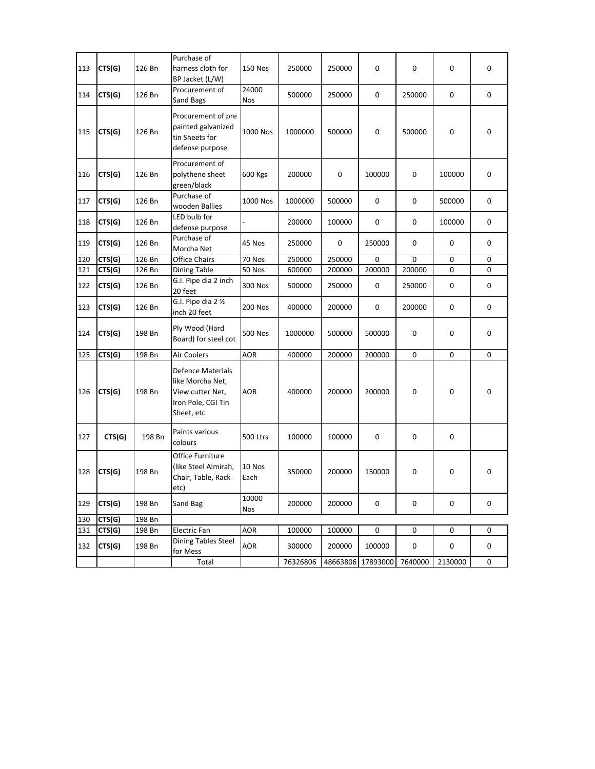| 113 | CTS(G) | 126 Bn | Purchase of<br>harness cloth for<br>BP Jacket (L/W)                                                  | <b>150 Nos</b>      | 250000   | 250000   | 0        | 0       | 0       | 0 |
|-----|--------|--------|------------------------------------------------------------------------------------------------------|---------------------|----------|----------|----------|---------|---------|---|
| 114 | CTS(G) | 126 Bn | Procurement of<br>Sand Bags                                                                          | 24000<br><b>Nos</b> | 500000   | 250000   | 0        | 250000  | 0       | 0 |
| 115 | CTS(G) | 126 Bn | Procurement of pre<br>painted galvanized<br>tin Sheets for<br>defense purpose                        | 1000 Nos            | 1000000  | 500000   | 0        | 500000  | 0       | 0 |
| 116 | CTS(G) | 126 Bn | Procurement of<br>polythene sheet<br>green/black                                                     | 600 Kgs             | 200000   | 0        | 100000   | 0       | 100000  | 0 |
| 117 | CTS(G) | 126 Bn | Purchase of<br>wooden Ballies                                                                        | 1000 Nos            | 1000000  | 500000   | 0        | 0       | 500000  | 0 |
| 118 | CTS(G) | 126 Bn | LED bulb for<br>defense purpose                                                                      |                     | 200000   | 100000   | 0        | 0       | 100000  | 0 |
| 119 | CTS(G) | 126 Bn | Purchase of<br>Morcha Net                                                                            | 45 Nos              | 250000   | 0        | 250000   | 0       | 0       | 0 |
| 120 | CTS(G) | 126 Bn | <b>Office Chairs</b>                                                                                 | 70 Nos              | 250000   | 250000   | 0        | 0       | 0       | 0 |
| 121 | CTS(G) | 126 Bn | Dining Table                                                                                         | 50 Nos              | 600000   | 200000   | 200000   | 200000  | 0       | 0 |
| 122 | CTS(G) | 126 Bn | G.I. Pipe dia 2 inch<br>20 feet                                                                      | 300 Nos             | 500000   | 250000   | 0        | 250000  | 0       | 0 |
| 123 | CTS(G) | 126 Bn | G.I. Pipe dia $2\frac{1}{2}$<br>inch 20 feet                                                         | 200 Nos             | 400000   | 200000   | 0        | 200000  | 0       | 0 |
| 124 | CTS(G) | 198 Bn | Ply Wood (Hard<br>Board) for steel cot                                                               | <b>500 Nos</b>      | 1000000  | 500000   | 500000   | 0       | 0       | 0 |
| 125 | CTS(G) | 198 Bn | Air Coolers                                                                                          | <b>AOR</b>          | 400000   | 200000   | 200000   | 0       | 0       | 0 |
| 126 | CTS(G) | 198 Bn | <b>Defence Materials</b><br>like Morcha Net,<br>View cutter Net,<br>Iron Pole, CGI Tin<br>Sheet, etc | <b>AOR</b>          | 400000   | 200000   | 200000   | 0       | 0       | 0 |
| 127 | CTS(G) | 198 Bn | Paints various<br>colours                                                                            | 500 Ltrs            | 100000   | 100000   | 0        | 0       | 0       |   |
| 128 | CTS(G) | 198 Bn | Office Furniture<br>(like Steel Almirah,<br>Chair, Table, Rack<br>etc)                               | 10 Nos<br>Each      | 350000   | 200000   | 150000   | 0       | 0       | 0 |
| 129 | CTS(G) | 198 Bn | Sand Bag                                                                                             | 10000<br>Nos        | 200000   | 200000   | 0        | 0       | 0       | 0 |
| 130 | CTS(G) | 198 Bn |                                                                                                      |                     |          |          |          |         |         |   |
| 131 | CTS(G) | 198 Bn | Electric Fan                                                                                         | AOR                 | 100000   | 100000   | 0        | 0       | 0       | 0 |
| 132 | CTS(G) | 198 Bn | <b>Dining Tables Steel</b><br>for Mess                                                               | <b>AOR</b>          | 300000   | 200000   | 100000   | 0       | 0       | 0 |
|     |        |        | Total                                                                                                |                     | 76326806 | 48663806 | 17893000 | 7640000 | 2130000 | 0 |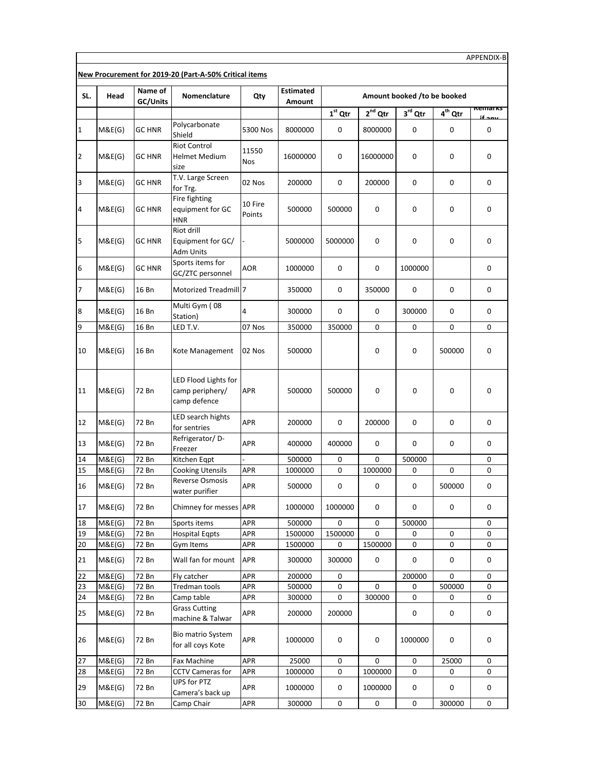|                |                  |                     | New Procurement for 2019-20 (Part-A-50% Critical items  |                   |                            |              |              |                             |                  |             |
|----------------|------------------|---------------------|---------------------------------------------------------|-------------------|----------------------------|--------------|--------------|-----------------------------|------------------|-------------|
| SL.            | Head             | Name of<br>GC/Units | Nomenclature                                            | Qty               | <b>Estimated</b><br>Amount |              |              | Amount booked /to be booked |                  |             |
|                |                  |                     |                                                         |                   |                            | $1st$ Qtr    | $2^{nd}$ Qtr | $3rd$ Qtr                   | $4th$ Qtr        | kemarks     |
| 1              | M&E(G)           | <b>GC HNR</b>       | Polycarbonate<br>Shield                                 | 5300 Nos          | 8000000                    | 0            | 8000000      | 0                           | 0                | 0           |
| 2              | M&E(G)           | <b>GC HNR</b>       | <b>Riot Control</b><br><b>Helmet Medium</b><br>size     | 11550<br>Nos      | 16000000                   | 0            | 16000000     | 0                           | 0                | 0           |
| 3              | M&E(G)           | <b>GC HNR</b>       | T.V. Large Screen<br>for Trg.                           | 02 Nos            | 200000                     | $\mathbf 0$  | 200000       | 0                           | 0                | 0           |
| $\overline{a}$ | M&E(G)           | <b>GC HNR</b>       | Fire fighting<br>equipment for GC<br><b>HNR</b>         | 10 Fire<br>Points | 500000                     | 500000       | 0            | 0                           | 0                | 0           |
| 5              | M&E(G)           | <b>GC HNR</b>       | Riot drill<br>Equipment for GC/<br>Adm Units            |                   | 5000000                    | 5000000      | 0            | 0                           | 0                | 0           |
| 6              | M&E(G)           | <b>GC HNR</b>       | Sports items for<br>GC/ZTC personnel                    | AOR               | 1000000                    | 0            | 0            | 1000000                     |                  | 0           |
| 7              | M&E(G)           | 16 Bn               | Motorized Treadmill 7                                   |                   | 350000                     | 0            | 350000       | 0                           | 0                | 0           |
| 8              | M&E(G)           | 16 Bn               | Multi Gym (08<br>Station)                               | 4                 | 300000                     | $\mathbf 0$  | 0            | 300000                      | 0                | 0           |
| 9              | M&E(G)           | 16 Bn               | LED T.V.                                                | 07 Nos            | 350000                     | 350000       | 0            | 0                           | 0                | 0           |
| 10             | M&E(G)           | 16 Bn               | Kote Management                                         | 02 Nos            | 500000                     |              | 0            | 0                           | 500000           | $\mathsf 0$ |
| 11             | M&E(G)           | 72 Bn               | LED Flood Lights for<br>camp periphery/<br>camp defence | <b>APR</b>        | 500000                     | 500000       | 0            | 0                           | 0                | 0           |
| 12             | M&E(G)           | 72 Bn               | LED search hights<br>for sentries                       | APR               | 200000                     | 0            | 200000       | 0                           | 0                | 0           |
| 13             | M&E(G)           | 72 Bn               | Refrigerator/D-<br>Freezer                              | APR               | 400000                     | 400000       | 0            | 0                           | 0                | 0           |
| 14             | M&E(G)           | 72 Bn               | Kitchen Eqpt                                            |                   | 500000                     | 0            | 0            | 500000                      |                  | 0           |
| 15             | M&E(G)           | 72 Bn               | <b>Cooking Utensils</b>                                 | APR               | 1000000                    | 0            | 1000000      | 0                           | 0                | 0           |
| 16             | M&E(G)           | 72 Bn               | <b>Reverse Osmosis</b><br>water purifier                | APR               | 500000                     | $\mathbf 0$  | 0            | 0                           | 500000           | 0           |
| 17             | M&E(G)           | 72 Bn               | Chimney for messes APR                                  |                   | 1000000                    | 1000000      | 0            | $\pmb{0}$                   | 0                | 0           |
| 18             | M&E(G)           | 72 Bn               | Sports items                                            | APR               | 500000                     | 0            | 0            | 500000                      |                  | 0           |
| 19<br>20       | M&E(G)<br>M&E(G) | 72 Bn<br>72 Bn      | <b>Hospital Eqpts</b><br>Gym Items                      | APR<br>APR        | 1500000<br>1500000         | 1500000<br>0 | 0<br>1500000 | 0<br>0                      | 0<br>$\mathsf 0$ | 0<br>0      |
| 21             | M&E(G)           | 72 Bn               | Wall fan for mount                                      | APR               | 300000                     | 300000       | 0            | 0                           | 0                | 0           |
| 22             | M&E(G)           | 72 Bn               | Fly catcher                                             | <b>APR</b>        | 200000                     | 0            |              | 200000                      | 0                | 0           |
| 23             | M&E(G)           | 72 Bn               | Tredman tools                                           | APR               | 500000                     | 0            | 0            | 0                           | 500000           | 0           |
| 24             | M&E(G)           | 72 Bn               | Camp table                                              | APR               | 300000                     | 0            | 300000       | 0                           | 0                | 0           |
| 25             | M&E(G)           | 72 Bn               | <b>Grass Cutting</b><br>machine & Talwar                | APR               | 200000                     | 200000       |              | 0                           | 0                | 0           |
| 26             | M&E(G)           | 72 Bn               | Bio matrio System<br>for all coys Kote                  | APR               | 1000000                    | 0            | 0            | 1000000                     | 0                | 0           |
| 27             | M&E(G)           | 72 Bn               | Fax Machine                                             | APR               | 25000                      | 0            | 0            | 0                           | 25000            | 0           |
| 28             | M&E(G)           | 72 Bn               | <b>CCTV Cameras for</b>                                 | APR               | 1000000                    | 0            | 1000000      | 0                           | 0                | 0           |
| 29             | M&E(G)           | 72 Bn               | UPS for PTZ<br>Camera's back up                         | APR               | 1000000                    | 0            | 1000000      | 0                           | 0                | 0           |
| 30             | M&E(G)           | 72 Bn               | Camp Chair                                              | APR               | 300000                     | 0            | 0            | 0                           | 300000           | 0           |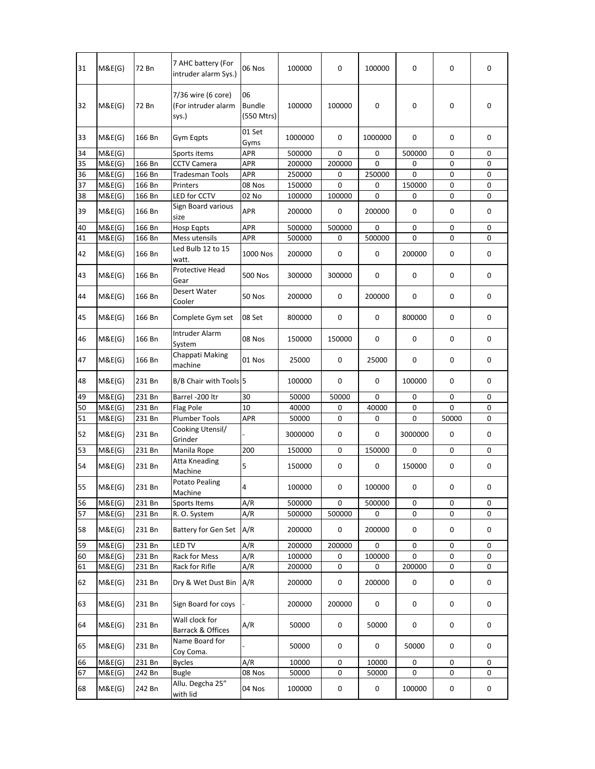| 31 | M&E(G) | 72 Bn  | 7 AHC battery (For<br>intruder alarm Sys.)         | 06 Nos                            | 100000  | 0      | 100000  | $\mathbf 0$ | $\mathbf 0$ |  |
|----|--------|--------|----------------------------------------------------|-----------------------------------|---------|--------|---------|-------------|-------------|--|
| 32 | M&E(G) | 72 Bn  | 7/36 wire (6 core)<br>(For intruder alarm<br>sys.) | 06<br><b>Bundle</b><br>(550 Mtrs) | 100000  | 100000 | 0       | $\mathbf 0$ | 0           |  |
| 33 | M&E(G) | 166 Bn | Gym Eqpts                                          | 01 Set<br>Gyms                    | 1000000 | 0      | 1000000 | 0           | 0           |  |
| 34 | M&E(G) |        | Sports items                                       | <b>APR</b>                        | 500000  | 0      | 0       | 500000      | 0           |  |
| 35 | M&E(G) | 166 Bn | <b>CCTV Camera</b>                                 | APR                               | 200000  | 200000 | 0       | 0           | 0           |  |
| 36 | M&E(G) | 166 Bn | <b>Tradesman Tools</b>                             | APR                               | 250000  | 0      | 250000  | $\Omega$    | $\mathbf 0$ |  |
| 37 | M&E(G) | 166 Bn | Printers                                           | 08 Nos                            | 150000  | 0      | 0       | 150000      | 0           |  |
| 38 | M&E(G) | 166 Bn | LED for CCTV                                       | 02 No                             | 100000  | 100000 | 0       | $\pmb{0}$   | 0           |  |
| 39 | M&E(G) | 166 Bn | Sign Board various<br>size                         | <b>APR</b>                        | 200000  | 0      | 200000  | 0           | 0           |  |
| 40 | M&E(G) | 166 Bn | <b>Hosp Eqpts</b>                                  | APR                               | 500000  | 500000 | 0       | 0           | 0           |  |
| 41 | M&E(G) | 166 Bn | Mess utensils                                      | APR                               | 500000  | 0      | 500000  | 0           | $\mathbf 0$ |  |
| 42 | M&E(G) | 166 Bn | Led Bulb 12 to 15<br>watt.                         | 1000 Nos                          | 200000  | 0      | 0       | 200000      | 0           |  |
| 43 | M&E(G) | 166 Bn | Protective Head<br>Gear                            | <b>500 Nos</b>                    | 300000  | 300000 | 0       | 0           | 0           |  |
| 44 | M&E(G) | 166 Bn | Desert Water<br>Cooler                             | 50 Nos                            | 200000  | 0      | 200000  | 0           | 0           |  |
| 45 | M&E(G) | 166 Bn | Complete Gym set                                   | 08 Set                            | 800000  | 0      | 0       | 800000      | 0           |  |
| 46 | M&E(G) | 166 Bn | Intruder Alarm<br>System                           | 08 Nos                            | 150000  | 150000 | 0       | 0           | 0           |  |
| 47 | M&E(G) | 166 Bn | Chappati Making<br>machine                         | 01 Nos                            | 25000   | 0      | 25000   | 0           | 0           |  |
| 48 | M&E(G) | 231 Bn | B/B Chair with Tools 5                             |                                   | 100000  | 0      | 0       | 100000      | 0           |  |
| 49 | M&E(G) | 231 Bn | Barrel -200 ltr                                    | 30                                | 50000   | 50000  | 0       | 0           | 0           |  |
| 50 | M&E(G) | 231 Bn | Flag Pole                                          | 10                                | 40000   | 0      | 40000   | 0           | $\mathbf 0$ |  |
| 51 | M&E(G) | 231 Bn | <b>Plumber Tools</b>                               | <b>APR</b>                        | 50000   | 0      | 0       | 0           | 50000       |  |
| 52 | M&E(G) | 231 Bn | Cooking Utensil/<br>Grinder                        |                                   | 3000000 | 0      | 0       | 3000000     | 0           |  |
| 53 | M&E(G) | 231 Bn | Manila Rope                                        | 200                               | 150000  | 0      | 150000  | 0           | 0           |  |
| 54 | M&E(G) | 231 Bn | Atta Kneading<br>Machine                           | 5                                 | 150000  | 0      | 0       | 150000      | 0           |  |
| 55 | M&E(G) | 231 Bn | <b>Potato Pealing</b><br>Machine                   | 4                                 | 100000  | 0      | 100000  | $\pmb{0}$   | 0           |  |
| 56 | M&E(G) | 231 Bn | Sports Items                                       | A/R                               | 500000  | 0      | 500000  | $\pmb{0}$   | 0           |  |
| 57 | M&E(G) | 231 Bn | R.O. System                                        | A/R                               | 500000  | 500000 | 0       | 0           | 0           |  |
| 58 | M&E(G) | 231 Bn | Battery for Gen Set                                | A/R                               | 200000  | 0      | 200000  | $\pmb{0}$   | 0           |  |
| 59 | M&E(G) | 231 Bn | <b>LED TV</b>                                      | A/R                               | 200000  | 200000 | 0       | 0           | 0           |  |
| 60 | M&E(G) | 231 Bn | Rack for Mess                                      | A/R                               | 100000  | 0      | 100000  | $\mathbf 0$ | 0           |  |
| 61 | M&E(G) | 231 Bn | Rack for Rifle                                     | A/R                               | 200000  | 0      | 0       | 200000      | 0           |  |
| 62 | M&E(G) | 231 Bn | Dry & Wet Dust Bin                                 | A/R                               | 200000  | 0      | 200000  | 0           | 0           |  |
| 63 | M&E(G) | 231 Bn | Sign Board for coys                                |                                   | 200000  | 200000 | 0       | $\mathsf 0$ | 0           |  |
| 64 | M&E(G) | 231 Bn | Wall clock for<br>Barrack & Offices                | A/R                               | 50000   | 0      | 50000   | 0           | $\mathsf 0$ |  |
| 65 | M&E(G) | 231 Bn | Name Board for<br>Coy Coma.                        |                                   | 50000   | 0      | 0       | 50000       | 0           |  |
| 66 | M&E(G) | 231 Bn | <b>Bycles</b>                                      | A/R                               | 10000   | 0      | 10000   | 0           | 0           |  |
| 67 | M&E(G) | 242 Bn | <b>Bugle</b>                                       | 08 Nos                            | 50000   | 0      | 50000   | 0           | 0           |  |
|    |        | 242 Bn | Allu. Degcha 25"                                   | 04 Nos                            | 100000  | 0      | 0       | 100000      | $\mathsf 0$ |  |
| 68 | M&E(G) |        | with lid                                           |                                   |         |        |         |             |             |  |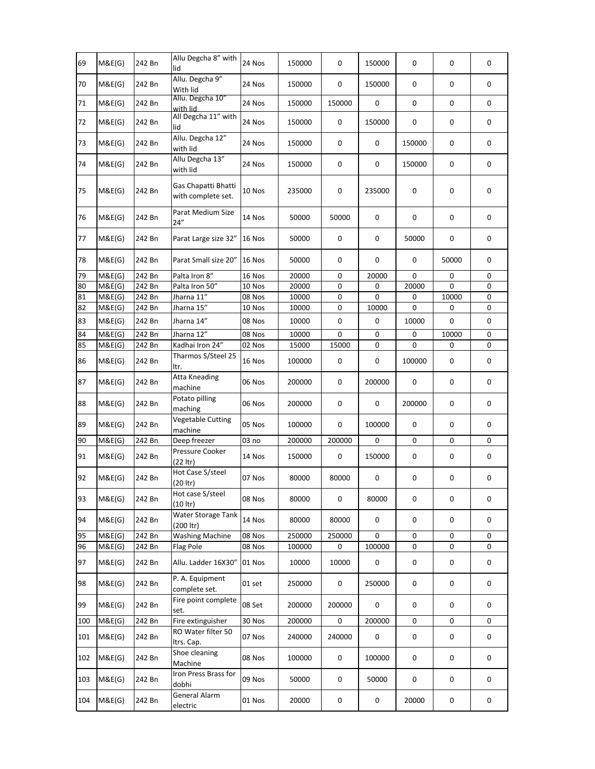| 69  | M&E(G) | 242 Bn | Allu Degcha 8" with<br>lid                | 24 Nos | 150000 | 0         | 150000    | 0      | 0           | 0 |
|-----|--------|--------|-------------------------------------------|--------|--------|-----------|-----------|--------|-------------|---|
| 70  | M&E(G) | 242 Bn | Allu. Degcha 9"<br>With lid               | 24 Nos | 150000 | 0         | 150000    | 0      | 0           | 0 |
| 71  | M&E(G) | 242 Bn | Allu. Degcha 10"<br>with lid              | 24 Nos | 150000 | 150000    | 0         | 0      | 0           | 0 |
| 72  | M&E(G) | 242 Bn | All Degcha 11" with<br>lid                | 24 Nos | 150000 | 0         | 150000    | 0      | 0           | 0 |
| 73  | M&E(G) | 242 Bn | Allu. Degcha 12"<br>with lid              | 24 Nos | 150000 | 0         | 0         | 150000 | 0           | 0 |
| 74  | M&E(G) | 242 Bn | Allu Degcha 13"<br>with lid               | 24 Nos | 150000 | 0         | 0         | 150000 | 0           | 0 |
| 75  | M&E(G) | 242 Bn | Gas Chapatti Bhatti<br>with complete set. | 10 Nos | 235000 | 0         | 235000    | 0      | 0           | 0 |
| 76  | M&E(G) | 242 Bn | Parat Medium Size<br>24"                  | 14 Nos | 50000  | 50000     | 0         | 0      | 0           | 0 |
| 77  | M&E(G) | 242 Bn | Parat Large size 32"                      | 16 Nos | 50000  | 0         | 0         | 50000  | 0           | 0 |
| 78  | M&E(G) | 242 Bn | Parat Small size 20"                      | 16 Nos | 50000  | 0         | 0         | 0      | 50000       | 0 |
| 79  | M&E(G) | 242 Bn | Palta Iron 8"                             | 16 Nos | 20000  | 0         | 20000     | 0      | 0           | 0 |
| 80  | M&E(G) | 242 Bn | Palta Iron 50"                            | 10 Nos | 20000  | 0         | 0         | 20000  | 0           | 0 |
| 81  | M&E(G) | 242 Bn | Jharna 11"                                | 08 Nos | 10000  | 0         | 0         | 0      | 10000       | 0 |
| 82  | M&E(G) | 242 Bn | Jharna 15"                                | 10 Nos | 10000  | 0         | 10000     | 0      | 0           | 0 |
| 83  | M&E(G) | 242 Bn | Jharna 14"                                | 08 Nos | 10000  | 0         | 0         | 10000  | 0           | 0 |
| 84  | M&E(G) | 242 Bn | Jharna 12"                                | 08 Nos | 10000  | 0         | 0         | 0      | 10000       | 0 |
| 85  | M&E(G) | 242 Bn | Kadhai Iron 24"                           | 02 Nos | 15000  | 15000     | 0         | 0      | 0           | 0 |
| 86  | M&E(G) | 242 Bn | Tharmos S/Steel 25<br>ltr.                | 16 Nos | 100000 | 0         | 0         | 100000 | 0           | 0 |
| 87  | M&E(G) | 242 Bn | Atta Kneading<br>machine                  | 06 Nos | 200000 | 0         | 200000    | 0      | 0           | 0 |
| 88  | M&E(G) | 242 Bn | Potato pilling<br>maching                 | 06 Nos | 200000 | 0         | 0         | 200000 | 0           | 0 |
| 89  | M&E(G) | 242 Bn | <b>Vegetable Cutting</b><br>machine       | 05 Nos | 100000 | 0         | 100000    | 0      | 0           | 0 |
| 90  | M&E(G) | 242 Bn | Deep freezer                              | 03 no  | 200000 | 200000    | 0         | 0      | 0           | 0 |
| 91  | M&E(G) | 242 Bn | Pressure Cooker<br>(22 ltr)               | 14 Nos | 150000 | 0         | 150000    | 0      | 0           | 0 |
| 92  | M&E(G) | 242 Bn | Hot Case S/steel<br>$(20$ ltr)            | 07 Nos | 80000  | 80000     | 0         | 0      | 0           | 0 |
| 93  | M&E(G) | 242 Bn | Hot case S/steel<br>(10   tr)             | 08 Nos | 80000  | 0         | 80000     | 0      | 0           | 0 |
| 94  | M&E(G) | 242 Bn | Water Storage Tank<br>(200 ltr)           | 14 Nos | 80000  | 80000     | 0         | 0      | 0           | 0 |
| 95  | M&E(G) | 242 Bn | <b>Washing Machine</b>                    | 08 Nos | 250000 | 250000    | 0         | 0      | 0           | 0 |
| 96  | M&E(G) | 242 Bn | Flag Pole                                 | 08 Nos | 100000 | 0         | 100000    | 0      | 0           | 0 |
| 97  | M&E(G) | 242 Bn | Allu. Ladder 16X30"                       | 01 Nos | 10000  | 10000     | $\pmb{0}$ | 0      | 0           | 0 |
| 98  | M&E(G) | 242 Bn | P. A. Equipment<br>complete set.          | 01 set | 250000 | 0         | 250000    | 0      | $\mathsf 0$ | 0 |
| 99  | M&E(G) | 242 Bn | Fire point complete<br>set.               | 08 Set | 200000 | 200000    | 0         | 0      | 0           | 0 |
| 100 | M&E(G) | 242 Bn | Fire extinguisher                         | 30 Nos | 200000 | 0         | 200000    | 0      | 0           | 0 |
| 101 | M&E(G) | 242 Bn | RO Water filter 50<br>Itrs. Cap.          | 07 Nos | 240000 | 240000    | 0         | 0      | 0           | 0 |
| 102 | M&E(G) | 242 Bn | Shoe cleaning<br>Machine                  | 08 Nos | 100000 | $\pmb{0}$ | 100000    | 0      | 0           | 0 |
| 103 | M&E(G) | 242 Bn | Iron Press Brass for<br>dobhi             | 09 Nos | 50000  | 0         | 50000     | 0      | 0           | 0 |
| 104 | M&E(G) | 242 Bn | General Alarm<br>electric                 | 01 Nos | 20000  | 0         | 0         | 20000  | 0           | 0 |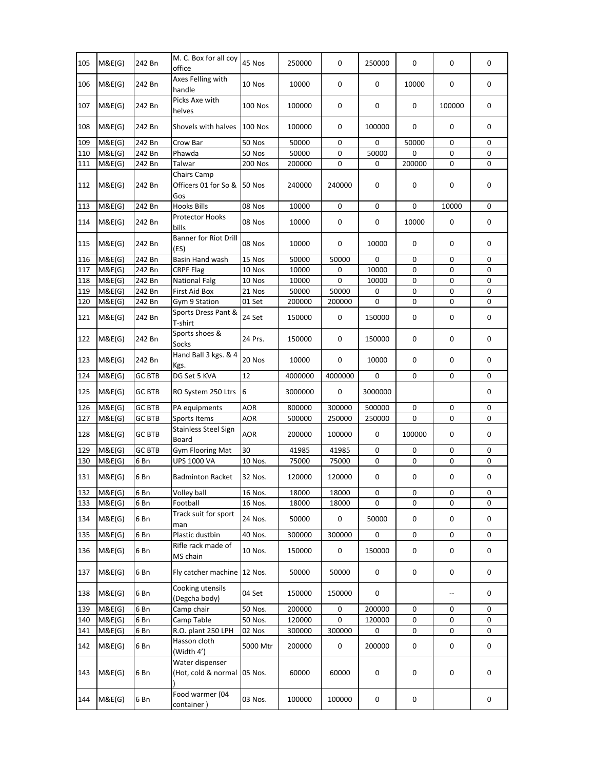| 105 | M&E(G) | 242 Bn        | M. C. Box for all coy<br>office            | 45 Nos         | 250000  | 0           | 250000  | 0      | 0           | 0 |
|-----|--------|---------------|--------------------------------------------|----------------|---------|-------------|---------|--------|-------------|---|
| 106 | M&E(G) | 242 Bn        | Axes Felling with<br>handle                | 10 Nos         | 10000   | 0           | 0       | 10000  | 0           | 0 |
| 107 | M&E(G) | 242 Bn        | Picks Axe with<br>helves                   | <b>100 Nos</b> | 100000  | 0           | 0       | 0      | 100000      | 0 |
| 108 | M&E(G) | 242 Bn        | Shovels with halves                        | <b>100 Nos</b> | 100000  | 0           | 100000  | 0      | 0           | 0 |
| 109 | M&E(G) | 242 Bn        | Crow Bar                                   | 50 Nos         | 50000   | 0           | 0       | 50000  | 0           | 0 |
| 110 | M&E(G) | 242 Bn        | Phawda                                     | 50 Nos         | 50000   | 0           | 50000   | 0      | 0           | 0 |
| 111 | M&E(G) | 242 Bn        | Talwar                                     | 200 Nos        | 200000  | 0           | 0       | 200000 | 0           | 0 |
| 112 | M&E(G) | 242 Bn        | Chairs Camp<br>Officers 01 for So &<br>Gos | 50 Nos         | 240000  | 240000      | 0       | 0      | 0           | 0 |
| 113 | M&E(G) | 242 Bn        | <b>Hooks Bills</b>                         | 08 Nos         | 10000   | 0           | 0       | 0      | 10000       | 0 |
| 114 | M&E(G) | 242 Bn        | Protector Hooks<br>bills                   | 08 Nos         | 10000   | 0           | 0       | 10000  | 0           | 0 |
| 115 | M&E(G) | 242 Bn        | <b>Banner for Riot Drill</b><br>(ES)       | 08 Nos         | 10000   | 0           | 10000   | 0      | 0           | 0 |
| 116 | M&E(G) | 242 Bn        | Basin Hand wash                            | 15 Nos         | 50000   | 50000       | 0       | 0      | 0           | 0 |
| 117 | M&E(G) | 242 Bn        | <b>CRPF Flag</b>                           | 10 Nos         | 10000   | 0           | 10000   | 0      | 0           | 0 |
| 118 | M&E(G) | 242 Bn        | <b>National Falg</b>                       | 10 Nos         | 10000   | 0           | 10000   | 0      | 0           | 0 |
| 119 | M&E(G) | 242 Bn        | First Aid Box                              | 21 Nos         | 50000   | 50000       | 0       | 0      | 0           | 0 |
| 120 | M&E(G) | 242 Bn        | Gym 9 Station                              | 01 Set         | 200000  | 200000      | 0       | 0      | 0           | 0 |
| 121 | M&E(G) | 242 Bn        | Sports Dress Pant &<br>T-shirt             | 24 Set         | 150000  | 0           | 150000  | 0      | 0           | 0 |
| 122 | M&E(G) | 242 Bn        | Sports shoes &<br>Socks                    | 24 Prs.        | 150000  | 0           | 150000  | 0      | 0           | 0 |
| 123 | M&E(G) | 242 Bn        | Hand Ball 3 kgs. & 4<br>Kgs.               | 20 Nos         | 10000   | 0           | 10000   | 0      | 0           | 0 |
| 124 | M&E(G) | <b>GC BTB</b> | DG Set 5 KVA                               | 12             | 4000000 | 4000000     | 0       | 0      | 0           | 0 |
| 125 | M&E(G) | <b>GC BTB</b> | RO System 250 Ltrs                         | 6              | 3000000 | 0           | 3000000 |        |             | 0 |
| 126 | M&E(G) | <b>GC BTB</b> | PA equipments                              | AOR            | 800000  | 300000      | 500000  | 0      | 0           | 0 |
| 127 | M&E(G) | <b>GC BTB</b> | Sports Items                               | AOR            | 500000  | 250000      | 250000  | 0      | 0           | 0 |
| 128 | M&E(G) | <b>GC BTB</b> | <b>Stainless Steel Sign</b><br>Board       | AOR            | 200000  | 100000      | 0       | 100000 | 0           | 0 |
| 129 | M&E(G) | <b>GC BTB</b> | Gym Flooring Mat                           | 30             | 41985   | 41985       | 0       | 0      | 0           | 0 |
| 130 | M&E(G) | 6 Bn          | <b>UPS 1000 VA</b>                         | 10 Nos.        | 75000   | 75000       | 0       | 0      | 0           | 0 |
| 131 | M&E(G) | 6 Bn          | <b>Badminton Racket</b>                    | 32 Nos.        | 120000  | 120000      | 0       | 0      | 0           | 0 |
| 132 | M&E(G) | 6 Bn          | Volley ball                                | 16 Nos.        | 18000   | 18000       | 0       | 0      | $\mathsf 0$ | 0 |
| 133 | M&E(G) | 6 Bn          | Football                                   | 16 Nos.        | 18000   | 18000       | 0       | 0      | 0           | 0 |
| 134 | M&E(G) | 6 Bn          | Track suit for sport<br>man                | 24 Nos.        | 50000   | 0           | 50000   | 0      | 0           | 0 |
| 135 | M&E(G) | 6 Bn          | Plastic dustbin                            | 40 Nos.        | 300000  | 300000      | 0       | 0      | 0           | 0 |
| 136 | M&E(G) | 6 Bn          | Rifle rack made of<br>MS chain             | 10 Nos.        | 150000  | $\mathsf 0$ | 150000  | 0      | 0           | 0 |
| 137 | M&E(G) | 6 Bn          | Fly catcher machine 12 Nos.                |                | 50000   | 50000       | 0       | 0      | $\mathsf 0$ | 0 |
| 138 | M&E(G) | 6 Bn          | Cooking utensils<br>(Degcha body)          | 04 Set         | 150000  | 150000      | 0       |        | --          | 0 |
| 139 | M&E(G) | 6 Bn          | Camp chair                                 | 50 Nos.        | 200000  | 0           | 200000  | 0      | 0           | 0 |
| 140 | M&E(G) | 6 Bn          | Camp Table                                 | 50 Nos.        | 120000  | 0           | 120000  | 0      | 0           | 0 |
| 141 | M&E(G) | 6 Bn          | R.O. plant 250 LPH                         | 02 Nos         | 300000  | 300000      | 0       | 0      | 0           | 0 |
| 142 | M&E(G) | 6 Bn          | Hasson cloth<br>(Width 4')                 | 5000 Mtr       | 200000  | 0           | 200000  | 0      | 0           | 0 |
| 143 | M&E(G) | 6 Bn          | Water dispenser<br>(Hot, cold & normal     | 05 Nos.        | 60000   | 60000       | 0       | 0      | 0           | 0 |
| 144 | M&E(G) | 6 Bn          | Food warmer (04<br>container)              | 03 Nos.        | 100000  | 100000      | 0       | 0      |             | 0 |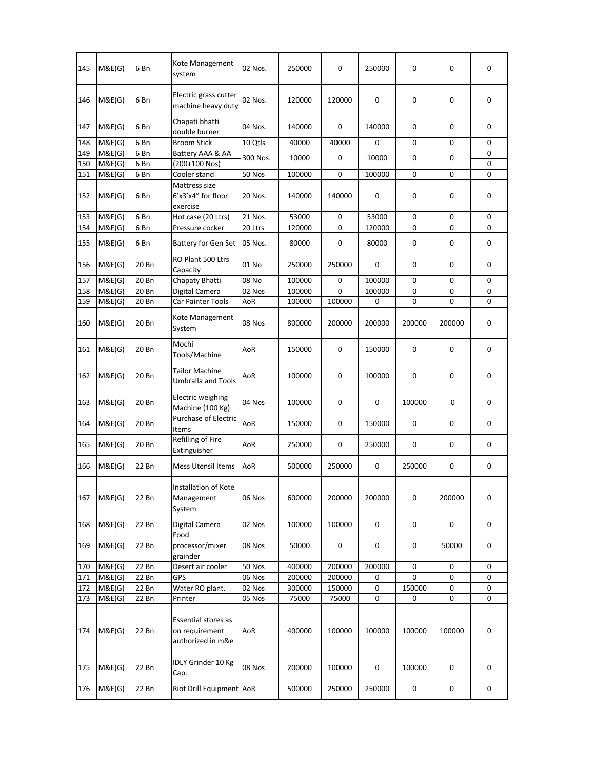| 145 | M&E(G) | 6 Bn  | Kote Management<br>system                                  | 02 Nos.  | 250000 | 0      | 250000    | 0      | 0      | 0         |
|-----|--------|-------|------------------------------------------------------------|----------|--------|--------|-----------|--------|--------|-----------|
| 146 | M&E(G) | 6 Bn  | Electric grass cutter<br>machine heavy duty                | 02 Nos.  | 120000 | 120000 | 0         | 0      | 0      | 0         |
| 147 | M&E(G) | 6 Bn  | Chapati bhatti<br>double burner                            | 04 Nos.  | 140000 | 0      | 140000    | 0      | 0      | 0         |
| 148 | M&E(G) | 6 Bn  | <b>Broom Stick</b>                                         | 10 Qtls  | 40000  | 40000  | 0         | 0      | 0      | 0         |
| 149 | M&E(G) | 6 Bn  | Battery AAA & AA                                           | 300 Nos. | 10000  | 0      | 10000     | 0      | 0      | 0         |
| 150 | M&E(G) | 6 Bn  | (200+100 Nos)                                              |          |        |        |           |        |        | 0         |
| 151 | M&E(G) | 6 Bn  | Cooler stand                                               | 50 Nos   | 100000 | 0      | 100000    | 0      | 0      | 0         |
| 152 | M&E(G) | 6 Bn  | Mattress size<br>6'x3'x4" for floor<br>exercise            | 20 Nos.  | 140000 | 140000 | 0         | 0      | 0      | 0         |
| 153 | M&E(G) | 6 Bn  | Hot case (20 Ltrs)                                         | 21 Nos.  | 53000  | 0      | 53000     | 0      | 0      | 0         |
| 154 | M&E(G) | 6 Bn  | Pressure cocker                                            | 20 Ltrs  | 120000 | 0      | 120000    | 0      | 0      | 0         |
| 155 | M&E(G) | 6 Bn  | <b>Battery for Gen Set</b>                                 | 05 Nos.  | 80000  | 0      | 80000     | 0      | 0      | 0         |
| 156 | M&E(G) | 20 Bn | RO Plant 500 Ltrs<br>Capacity                              | 01 No    | 250000 | 250000 | 0         | 0      | 0      | 0         |
| 157 | M&E(G) | 20 Bn | Chapaty Bhatti                                             | 08 No    | 100000 | 0      | 100000    | 0      | 0      | 0         |
| 158 | M&E(G) | 20 Bn | Digital Camera                                             | 02 Nos   | 100000 | 0      | 100000    | 0      | 0      | 0         |
| 159 | M&E(G) | 20 Bn | Car Painter Tools                                          | AoR      | 100000 | 100000 | 0         | 0      | 0      | 0         |
| 160 | M&E(G) | 20 Bn | Kote Management<br>System                                  | 08 Nos   | 800000 | 200000 | 200000    | 200000 | 200000 | 0         |
| 161 | M&E(G) | 20 Bn | Mochi<br>Tools/Machine                                     | AoR      | 150000 | 0      | 150000    | 0      | 0      | 0         |
| 162 | M&E(G) | 20 Bn | <b>Tailor Machine</b><br>Umbralla and Tools                | AoR      | 100000 | 0      | 100000    | 0      | 0      | 0         |
| 163 | M&E(G) | 20 Bn | <b>Electric weighing</b><br>Machine (100 Kg)               | 04 Nos   | 100000 | 0      | 0         | 100000 | 0      | 0         |
| 164 | M&E(G) | 20 Bn | Purchase of Electric<br>Items                              | AoR      | 150000 | 0      | 150000    | 0      | 0      | 0         |
| 165 | M&E(G) | 20 Bn | Refilling of Fire<br>Extinguisher                          | AoR      | 250000 | 0      | 250000    | 0      | 0      | 0         |
| 166 | M&E(G) | 22 Bn | <b>Mess Utensil Items</b>                                  | AoR      | 500000 | 250000 | 0         | 250000 | 0      | 0         |
| 167 | M&E(G) | 22 Bn | Installation of Kote<br>Management<br>System               | 06 Nos   | 600000 | 200000 | 200000    | 0      | 200000 | 0         |
| 168 | M&E(G) | 22 Bn | Digital Camera                                             | 02 Nos   | 100000 | 100000 | 0         | 0      | 0      | 0         |
| 169 | M&E(G) | 22 Bn | Food<br>processor/mixer<br>grainder                        | 08 Nos   | 50000  | 0      | $\pmb{0}$ | 0      | 50000  | $\pmb{0}$ |
| 170 | M&E(G) | 22 Bn | Desert air cooler                                          | 50 Nos   | 400000 | 200000 | 200000    | 0      | 0      | 0         |
| 171 | M&E(G) | 22 Bn | GPS                                                        | 06 Nos   | 200000 | 200000 | 0         | 0      | 0      | 0         |
| 172 | M&E(G) | 22 Bn | Water RO plant.                                            | 02 Nos   | 300000 | 150000 | 0         | 150000 | 0      | 0         |
| 173 | M&E(G) | 22 Bn | Printer                                                    | 05 Nos   | 75000  | 75000  | 0         | 0      | 0      | 0         |
| 174 | M&E(G) | 22 Bn | Essential stores as<br>on requirement<br>authorized in m&e | AoR      | 400000 | 100000 | 100000    | 100000 | 100000 | $\pmb{0}$ |
| 175 | M&E(G) | 22 Bn | IDLY Grinder 10 Kg<br>Cap.                                 | 08 Nos   | 200000 | 100000 | 0         | 100000 | 0      | 0         |
| 176 | M&E(G) | 22 Bn | Riot Drill Equipment AoR                                   |          | 500000 | 250000 | 250000    | 0      | 0      | 0         |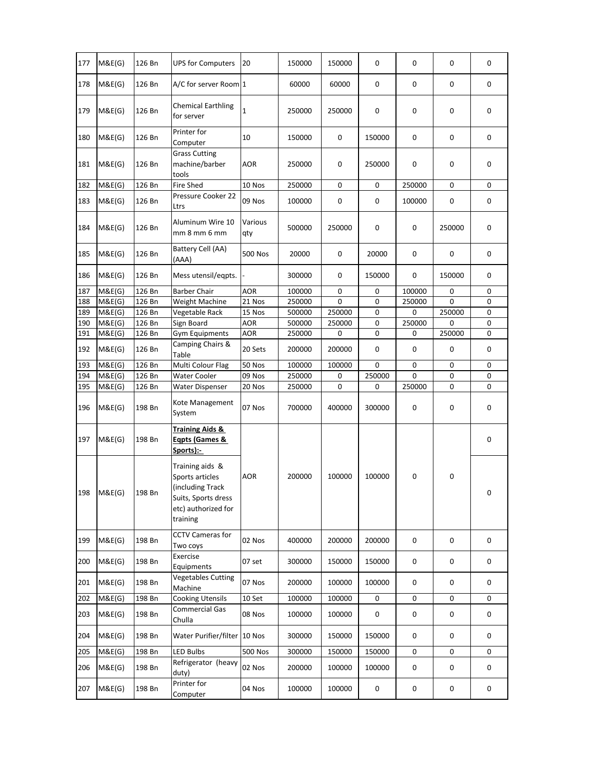| 177        | M&E(G)           | 126 Bn           | <b>UPS for Computers</b>                                                                                         | 20             | 150000           | 150000      | 0      | 0      | 0           | 0      |
|------------|------------------|------------------|------------------------------------------------------------------------------------------------------------------|----------------|------------------|-------------|--------|--------|-------------|--------|
| 178        | M&E(G)           | 126 Bn           | A/C for server Room 1                                                                                            |                | 60000            | 60000       | 0      | 0      | 0           | 0      |
| 179        | M&E(G)           | 126 Bn           | <b>Chemical Earthling</b><br>for server                                                                          | 1              | 250000           | 250000      | 0      | 0      | 0           | 0      |
| 180        | M&E(G)           | 126 Bn           | Printer for<br>Computer                                                                                          | 10             | 150000           | 0           | 150000 | 0      | 0           | 0      |
| 181        | M&E(G)           | 126 Bn           | <b>Grass Cutting</b><br>machine/barber<br>tools                                                                  | AOR            | 250000           | 0           | 250000 | 0      | 0           | 0      |
| 182        | M&E(G)           | 126 Bn           | <b>Fire Shed</b>                                                                                                 | 10 Nos         | 250000           | 0           | 0      | 250000 | 0           | 0      |
| 183        | M&E(G)           | 126 Bn           | Pressure Cooker 22<br>Ltrs                                                                                       | 09 Nos         | 100000           | 0           | 0      | 100000 | 0           | 0      |
| 184        | M&E(G)           | 126 Bn           | Aluminum Wire 10<br>mm 8 mm 6 mm                                                                                 | Various<br>qty | 500000           | 250000      | 0      | 0      | 250000      | 0      |
| 185        | M&E(G)           | 126 Bn           | Battery Cell (AA)<br>(AAA)                                                                                       | 500 Nos        | 20000            | 0           | 20000  | 0      | 0           | 0      |
| 186        | M&E(G)           | 126 Bn           | Mess utensil/eqpts.                                                                                              |                | 300000           | 0           | 150000 | 0      | 150000      | 0      |
| 187        | M&E(G)           | 126 Bn           | <b>Barber Chair</b>                                                                                              | AOR            | 100000           | 0           | 0      | 100000 | 0           | 0      |
| 188        | M&E(G)           | 126 Bn           | Weight Machine                                                                                                   | 21 Nos         | 250000           | $\Omega$    | 0      | 250000 | 0           | 0      |
| 189        | M&E(G)           | 126 Bn           | Vegetable Rack                                                                                                   | 15 Nos         | 500000           | 250000      | 0      | 0      | 250000      | 0      |
| 190        | M&E(G)           | 126 Bn           | Sign Board                                                                                                       | <b>AOR</b>     | 500000           | 250000      | 0      | 250000 | 0           | 0      |
| 191<br>192 | M&E(G)<br>M&E(G) | 126 Bn<br>126 Bn | <b>Gym Equipments</b><br>Camping Chairs &<br>Table                                                               | AOR<br>20 Sets | 250000<br>200000 | 0<br>200000 | 0<br>0 | 0<br>0 | 250000<br>0 | 0<br>0 |
| 193        | M&E(G)           | 126 Bn           | Multi Colour Flag                                                                                                | 50 Nos         | 100000           | 100000      | 0      | 0      | 0           | 0      |
| 194        | M&E(G)           | 126 Bn           | Water Cooler                                                                                                     | 09 Nos         | 250000           | 0           | 250000 | 0      | 0           | 0      |
| 195        | M&E(G)           | 126 Bn           | <b>Water Dispenser</b>                                                                                           | 20 Nos         | 250000           | 0           | 0      | 250000 | 0           | 0      |
| 196        | M&E(G)           | 198 Bn           | Kote Management<br>System                                                                                        | 07 Nos         | 700000           | 400000      | 300000 | 0      | 0           | 0      |
| 197        | M&E(G)           | 198 Bn           | <b>Training Aids &amp;</b><br>Egpts (Games &<br>Sports):-                                                        |                |                  |             |        |        |             | 0      |
| 198        | M&E(G)           | 198 Bn           | Training aids &<br>Sports articles<br>(including Track<br>Suits, Sports dress<br>etc) authorized for<br>training | <b>AOR</b>     | 200000           | 100000      | 100000 | 0      | 0           | 0      |
| 199        | M&E(G)           | 198 Bn           | <b>CCTV Cameras for</b><br>Two coys                                                                              | 02 Nos         | 400000           | 200000      | 200000 | 0      | 0           | 0      |
| 200        | M&E(G)           | 198 Bn           | Exercise<br>Equipments                                                                                           | 07 set         | 300000           | 150000      | 150000 | 0      | 0           | 0      |
| 201        | M&E(G)           | 198 Bn           | <b>Vegetables Cutting</b><br>Machine                                                                             | 07 Nos         | 200000           | 100000      | 100000 | 0      | 0           | 0      |
| 202        | M&E(G)           | 198 Bn           | <b>Cooking Utensils</b>                                                                                          | 10 Set         | 100000           | 100000      | 0      | 0      | 0           | 0      |
| 203        | M&E(G)           | 198 Bn           | <b>Commercial Gas</b><br>Chulla                                                                                  | 08 Nos         | 100000           | 100000      | 0      | 0      | 0           | 0      |
| 204        | M&E(G)           | 198 Bn           | Water Purifier/filter 10 Nos                                                                                     |                | 300000           | 150000      | 150000 | 0      | 0           | 0      |
| 205        | M&E(G)           | 198 Bn           | <b>LED Bulbs</b>                                                                                                 | <b>500 Nos</b> | 300000           | 150000      | 150000 | 0      | 0           | 0      |
| 206        | M&E(G)           | 198 Bn           | Refrigerator (heavy<br>duty)                                                                                     | 02 Nos         | 200000           | 100000      | 100000 | 0      | 0           | 0      |
| 207        | M&E(G)           | 198 Bn           | Printer for<br>Computer                                                                                          | 04 Nos         | 100000           | 100000      | 0      | 0      | 0           | 0      |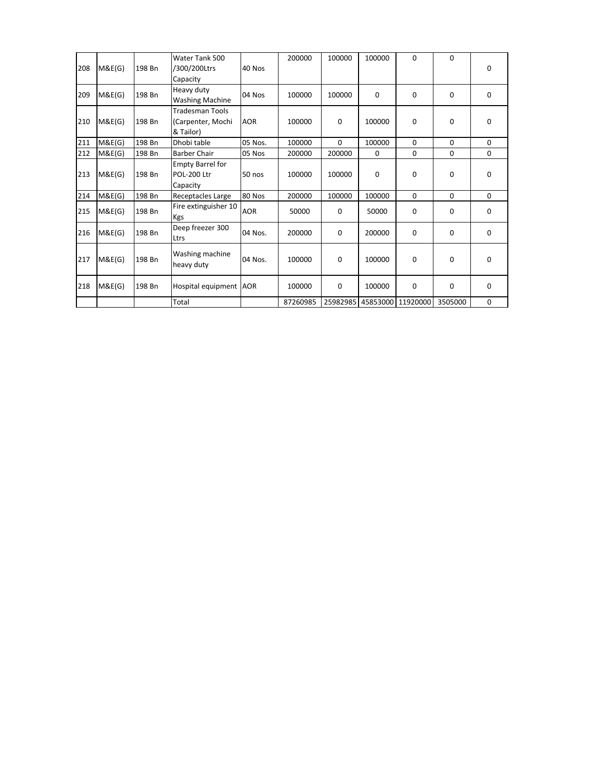|     |        |        | Water Tank 500                |            | 200000   | 100000      | 100000 | 0                 | $\mathbf 0$ |             |
|-----|--------|--------|-------------------------------|------------|----------|-------------|--------|-------------------|-------------|-------------|
| 208 | M&E(G) | 198 Bn | /300/200Ltrs                  | 40 Nos     |          |             |        |                   |             | 0           |
|     |        |        | Capacity                      |            |          |             |        |                   |             |             |
| 209 | M&E(G) | 198 Bn | Heavy duty                    | 04 Nos     | 100000   | 100000      | 0      | 0                 | $\Omega$    | $\mathbf 0$ |
|     |        |        | <b>Washing Machine</b>        |            |          |             |        |                   |             |             |
|     |        |        | <b>Tradesman Tools</b>        |            |          |             |        |                   |             |             |
| 210 | M&E(G) | 198 Bn | (Carpenter, Mochi             | <b>AOR</b> | 100000   | $\mathbf 0$ | 100000 | 0                 | 0           | 0           |
|     |        |        | & Tailor)                     |            |          |             |        |                   |             |             |
| 211 | M&E(G) | 198 Bn | Dhobi table                   | 05 Nos.    | 100000   | $\Omega$    | 100000 | $\Omega$          | $\Omega$    | $\Omega$    |
| 212 | M&E(G) | 198 Bn | <b>Barber Chair</b>           | 05 Nos     | 200000   | 200000      | 0      | 0                 | $\mathbf 0$ | 0           |
|     |        |        | <b>Empty Barrel for</b>       |            |          |             |        |                   |             |             |
| 213 | M&E(G) | 198 Bn | POL-200 Ltr                   | 50 nos     | 100000   | 100000      | 0      | 0                 | 0           | 0           |
|     |        |        | Capacity                      |            |          |             |        |                   |             |             |
| 214 | M&E(G) | 198 Bn | Receptacles Large             | 80 Nos     | 200000   | 100000      | 100000 | $\Omega$          | $\Omega$    | $\mathbf 0$ |
| 215 | M&E(G) | 198 Bn | Fire extinguisher 10<br>Kgs   | <b>AOR</b> | 50000    | 0           | 50000  | 0                 | 0           | 0           |
| 216 | M&E(G) | 198 Bn | Deep freezer 300<br>Ltrs      | 04 Nos.    | 200000   | 0           | 200000 | 0                 | $\mathbf 0$ | $\mathbf 0$ |
| 217 | M&E(G) | 198 Bn | Washing machine<br>heavy duty | 04 Nos.    | 100000   | $\mathbf 0$ | 100000 | 0                 | 0           | 0           |
| 218 | M&E(G) | 198 Bn | Hospital equipment AOR        |            | 100000   | 0           | 100000 | 0                 | 0           | $\mathbf 0$ |
|     |        |        | Total                         |            | 87260985 | 25982985    |        | 45853000 11920000 | 3505000     | 0           |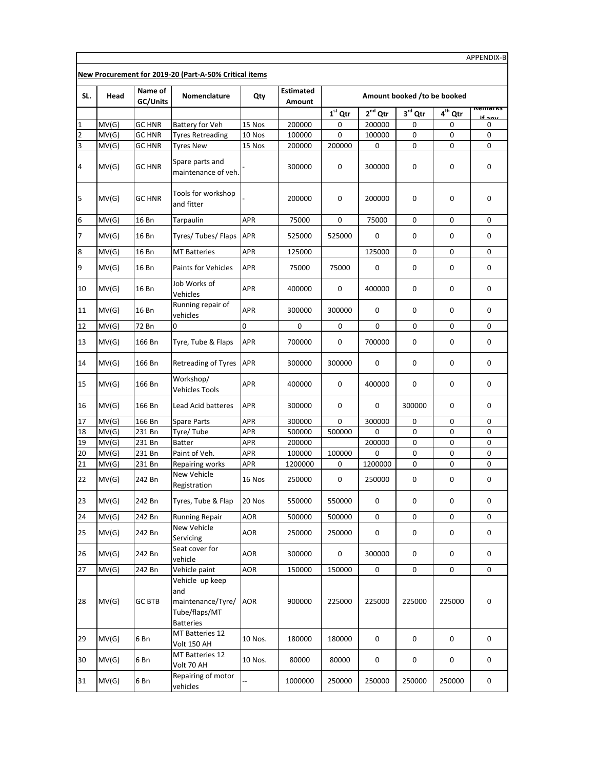| SL.          | Head  | Name of<br>GC/Units | Nomenclature                                                                     | Qty        | <b>Estimated</b><br>Amount |             |              | Amount booked /to be booked |             |                   |
|--------------|-------|---------------------|----------------------------------------------------------------------------------|------------|----------------------------|-------------|--------------|-----------------------------|-------------|-------------------|
|              |       |                     |                                                                                  |            |                            | $1st$ Qtr   | $2^{nd}$ Qtr | $3rd$ Qtr                   | $4th$ Qtr   | kemarks<br>ىدە 14 |
| $\mathbf{1}$ | MV(G) | <b>GC HNR</b>       | <b>Battery for Veh</b>                                                           | 15 Nos     | 200000                     | 0           | 200000       | 0                           | 0           | 0                 |
| 2            | MV(G) | <b>GC HNR</b>       | <b>Tyres Retreading</b>                                                          | 10 Nos     | 100000                     | 0           | 100000       | 0                           | 0           | 0                 |
| 3            | MV(G) | <b>GC HNR</b>       | <b>Tyres New</b>                                                                 | 15 Nos     | 200000                     | 200000      | $\mathbf 0$  | 0                           | 0           | 0                 |
| 4            | MV(G) | GC HNR              | Spare parts and<br>maintenance of veh.                                           |            | 300000                     | 0           | 300000       | 0                           | 0           | 0                 |
| 5            | MV(G) | <b>GC HNR</b>       | Tools for workshop<br>and fitter                                                 |            | 200000                     | 0           | 200000       | 0                           | 0           | 0                 |
| 6            | MV(G) | 16 Bn               | Tarpaulin                                                                        | APR        | 75000                      | $\mathsf 0$ | 75000        | 0                           | 0           | 0                 |
| 7            | MV(G) | 16 Bn               | Tyres/Tubes/Flaps                                                                | APR        | 525000                     | 525000      | 0            | 0                           | 0           | 0                 |
| 8            | MV(G) | 16 Bn               | <b>MT Batteries</b>                                                              | APR        | 125000                     |             | 125000       | 0                           | 0           | 0                 |
| 9            | MV(G) | 16 Bn               | <b>Paints for Vehicles</b>                                                       | APR        | 75000                      | 75000       | 0            | 0                           | 0           | 0                 |
| 10           | MV(G) | 16 Bn               | Job Works of<br>Vehicles                                                         | APR        | 400000                     | 0           | 400000       | 0                           | 0           | 0                 |
| 11           | MV(G) | 16 Bn               | Running repair of<br>vehicles                                                    | APR        | 300000                     | 300000      | 0            | 0                           | 0           | 0                 |
| 12           | MV(G) | 72 Bn               | O                                                                                | 0          | 0                          | 0           | 0            | 0                           | 0           | 0                 |
| 13           | MV(G) | 166 Bn              | Tyre, Tube & Flaps                                                               | APR        | 700000                     | 0           | 700000       | 0                           | 0           | 0                 |
| 14           | MV(G) | 166 Bn              | Retreading of Tyres                                                              | <b>APR</b> | 300000                     | 300000      | 0            | 0                           | 0           | 0                 |
| 15           | MV(G) | 166 Bn              | Workshop/<br><b>Vehicles Tools</b>                                               | APR        | 400000                     | 0           | 400000       | 0                           | 0           | 0                 |
| 16           | MV(G) | 166 Bn              | Lead Acid batteres                                                               | APR        | 300000                     | 0           | 0            | 300000                      | 0           | 0                 |
| 17           | MV(G) | 166 Bn              | <b>Spare Parts</b>                                                               | APR        | 300000                     | 0           | 300000       | 0                           | 0           | 0                 |
| 18           | MV(G) | 231 Bn              | Tyre/Tube                                                                        | APR        | 500000                     | 500000      | 0            | 0                           | 0           | 0                 |
| 19           | MV(G) | 231 Bn              | Batter                                                                           | <b>APR</b> | 200000                     |             | 200000       | 0                           | 0           | 0                 |
| 20           | MV(G) | 231 Bn              | Paint of Veh.                                                                    | <b>APR</b> | 100000                     | 100000      | 0            | $\mathsf 0$                 | 0           | 0                 |
| 21           | MV(G) | 231 Bn              | Repairing works                                                                  | APR        | 1200000                    | 0           | 1200000      | 0                           | 0           | 0                 |
| 22           | MV(G) | 242 Bn              | New Vehicle<br>Registration                                                      | 16 Nos     | 250000                     | 0           | 250000       | 0                           | 0           | 0                 |
| 23           | MV(G) | 242 Bn              | Tyres, Tube & Flap                                                               | 20 Nos     | 550000                     | 550000      | 0            | 0                           | 0           | 0                 |
| 24           | MV(G) | 242 Bn              | <b>Running Repair</b>                                                            | AOR        | 500000                     | 500000      | 0            | 0                           | 0           | 0                 |
| 25           | MV(G) | 242 Bn              | New Vehicle<br>Servicing                                                         | AOR        | 250000                     | 250000      | 0            | 0                           | $\mathsf 0$ | 0                 |
| 26           | MV(G) | 242 Bn              | Seat cover for<br>vehicle                                                        | AOR        | 300000                     | 0           | 300000       | 0                           | 0           | 0                 |
| 27           | MV(G) | 242 Bn              | Vehicle paint                                                                    | <b>AOR</b> | 150000                     | 150000      | 0            | 0                           | 0           | 0                 |
| 28           | MV(G) | <b>GC BTB</b>       | Vehicle up keep<br>and<br>maintenance/Tyre/<br>Tube/flaps/MT<br><b>Batteries</b> | AOR        | 900000                     | 225000      | 225000       | 225000                      | 225000      | 0                 |
| 29           | MV(G) | 6 Bn                | MT Batteries 12<br>Volt 150 AH                                                   | 10 Nos.    | 180000                     | 180000      | 0            | 0                           | 0           | 0                 |
| 30           | MV(G) | 6 Bn                | MT Batteries 12<br>Volt 70 AH                                                    | 10 Nos.    | 80000                      | 80000       | 0            | 0                           | $\mathsf 0$ | 0                 |
| 31           | MV(G) | 6 Bn                | Repairing of motor<br>vehicles                                                   |            | 1000000                    | 250000      | 250000       | 250000                      | 250000      | 0                 |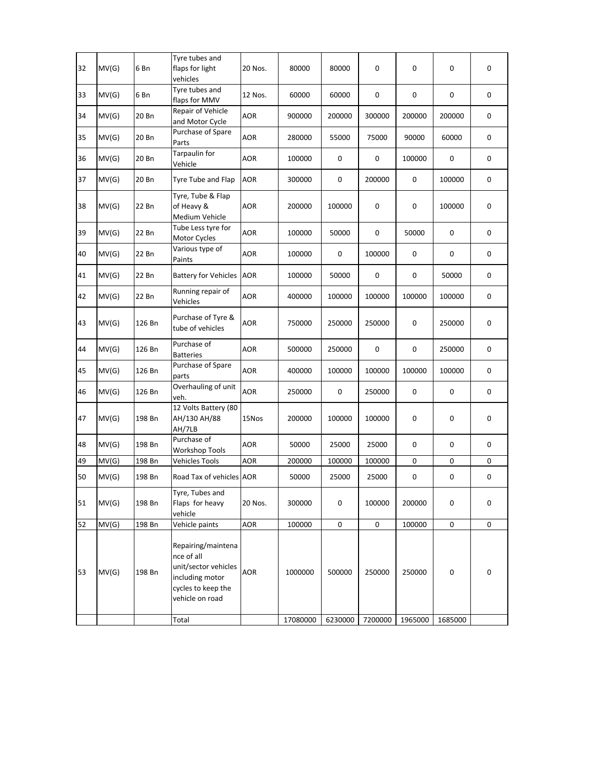| 32 | MV(G) | 6 Bn   | Tyre tubes and<br>flaps for light<br>vehicles                                                                        | 20 Nos.    | 80000    | 80000     | 0       | 0         | 0       | 0         |
|----|-------|--------|----------------------------------------------------------------------------------------------------------------------|------------|----------|-----------|---------|-----------|---------|-----------|
| 33 | MV(G) | 6 Bn   | Tyre tubes and<br>flaps for MMV                                                                                      | 12 Nos.    | 60000    | 60000     | 0       | 0         | 0       | 0         |
| 34 | MV(G) | 20 Bn  | Repair of Vehicle<br>and Motor Cycle                                                                                 | AOR        | 900000   | 200000    | 300000  | 200000    | 200000  | 0         |
| 35 | MV(G) | 20 Bn  | Purchase of Spare<br>Parts                                                                                           | <b>AOR</b> | 280000   | 55000     | 75000   | 90000     | 60000   | 0         |
| 36 | MV(G) | 20 Bn  | Tarpaulin for<br>Vehicle                                                                                             | <b>AOR</b> | 100000   | 0         | 0       | 100000    | 0       | 0         |
| 37 | MV(G) | 20 Bn  | Tyre Tube and Flap                                                                                                   | <b>AOR</b> | 300000   | 0         | 200000  | 0         | 100000  | 0         |
| 38 | MV(G) | 22 Bn  | Tyre, Tube & Flap<br>of Heavy &<br>Medium Vehicle                                                                    | <b>AOR</b> | 200000   | 100000    | 0       | 0         | 100000  | 0         |
| 39 | MV(G) | 22 Bn  | Tube Less tyre for<br>Motor Cycles                                                                                   | <b>AOR</b> | 100000   | 50000     | 0       | 50000     | 0       | 0         |
| 40 | MV(G) | 22 Bn  | Various type of<br>Paints                                                                                            | <b>AOR</b> | 100000   | $\pmb{0}$ | 100000  | 0         | 0       | 0         |
| 41 | MV(G) | 22 Bn  | <b>Battery for Vehicles</b>                                                                                          | <b>AOR</b> | 100000   | 50000     | 0       | 0         | 50000   | 0         |
| 42 | MV(G) | 22 Bn  | Running repair of<br>Vehicles                                                                                        | <b>AOR</b> | 400000   | 100000    | 100000  | 100000    | 100000  | 0         |
| 43 | MV(G) | 126 Bn | Purchase of Tyre &<br>tube of vehicles                                                                               | <b>AOR</b> | 750000   | 250000    | 250000  | 0         | 250000  | 0         |
| 44 | MV(G) | 126 Bn | Purchase of<br><b>Batteries</b>                                                                                      | <b>AOR</b> | 500000   | 250000    | 0       | 0         | 250000  | 0         |
| 45 | MV(G) | 126 Bn | Purchase of Spare<br>parts                                                                                           | <b>AOR</b> | 400000   | 100000    | 100000  | 100000    | 100000  | $\pmb{0}$ |
| 46 | MV(G) | 126 Bn | Overhauling of unit<br>veh.                                                                                          | <b>AOR</b> | 250000   | 0         | 250000  | 0         | 0       | 0         |
| 47 | MV(G) | 198 Bn | 12 Volts Battery (80<br>AH/130 AH/88<br>AH/7LB                                                                       | 15Nos      | 200000   | 100000    | 100000  | 0         | 0       | 0         |
| 48 | MV(G) | 198 Bn | Purchase of<br><b>Workshop Tools</b>                                                                                 | <b>AOR</b> | 50000    | 25000     | 25000   | 0         | 0       | 0         |
| 49 | MV(G) | 198 Bn | <b>Vehicles Tools</b>                                                                                                | <b>AOR</b> | 200000   | 100000    | 100000  | 0         | 0       | 0         |
| 50 | MV(G) | 198 Bn | Road Tax of vehicles AOR                                                                                             |            | 50000    | 25000     | 25000   | $\pmb{0}$ | 0       | 0         |
| 51 | MV(G) | 198 Bn | Tyre, Tubes and<br>Flaps for heavy<br>vehicle                                                                        | 20 Nos.    | 300000   | 0         | 100000  | 200000    | 0       | 0         |
| 52 | MV(G) | 198 Bn | Vehicle paints                                                                                                       | AOR        | 100000   | 0         | 0       | 100000    | 0       | 0         |
| 53 | MV(G) | 198 Bn | Repairing/maintena<br>nce of all<br>unit/sector vehicles<br>including motor<br>cycles to keep the<br>vehicle on road | <b>AOR</b> | 1000000  | 500000    | 250000  | 250000    | 0       | 0         |
|    |       |        | Total                                                                                                                |            | 17080000 | 6230000   | 7200000 | 1965000   | 1685000 |           |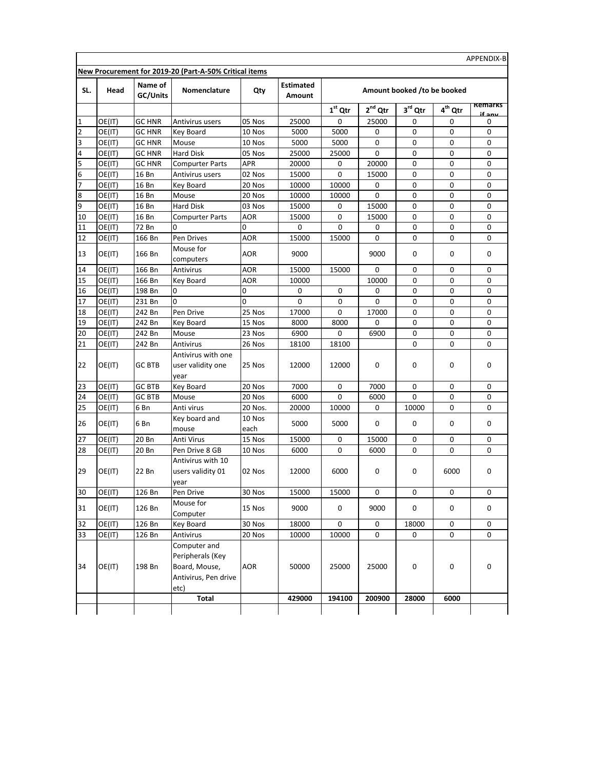| SL.            | Head             | Name of<br>GC/Units | Nomenclature                                                                      | Qty              | <b>Estimated</b><br>Amount |             | Amount booked /to be booked |                     |              |                |
|----------------|------------------|---------------------|-----------------------------------------------------------------------------------|------------------|----------------------------|-------------|-----------------------------|---------------------|--------------|----------------|
|                |                  |                     |                                                                                   |                  |                            | $1st$ Qtr   | $2nd$ Qtr                   | $3^{\text{rd}}$ Qtr | $4^{th}$ Qtr | <b>Remarks</b> |
| 1              | OE(IT)           | <b>GC HNR</b>       | Antivirus users                                                                   | 05 Nos           | 25000                      | 0           | 25000                       | 0                   | 0            | if any<br>0    |
| $\overline{2}$ | OE(IT)           | <b>GC HNR</b>       | Key Board                                                                         | 10 Nos           | 5000                       | 5000        | 0                           | 0                   | 0            | 0              |
| 3              | OE(IT)           | <b>GC HNR</b>       | Mouse                                                                             | 10 Nos           | 5000                       | 5000        | 0                           | 0                   | 0            | 0              |
| 4              | OE(IT)           | <b>GC HNR</b>       | <b>Hard Disk</b>                                                                  | 05 Nos           | 25000                      | 25000       | 0                           | 0                   | 0            | 0              |
| 5              | OE(IT)           | <b>GC HNR</b>       | <b>Compurter Parts</b>                                                            | APR              | 20000                      | 0           | 20000                       | 0                   | 0            | 0              |
| 6              | OE(IT)           | 16 Bn               | Antivirus users                                                                   | 02 Nos           | 15000                      | 0           | 15000                       | 0                   | 0            | 0              |
| 7              | OE(IT)           | 16 Bn               | Key Board                                                                         | 20 Nos           | 10000                      | 10000       | 0                           | 0                   | 0            | 0              |
| 8              | OE(IT)           | 16 Bn               | Mouse                                                                             | 20 Nos           | 10000                      | 10000       | 0                           | 0                   | 0            | 0              |
| 9              | OE(IT)           | 16 Bn               | Hard Disk                                                                         | 03 Nos           | 15000                      | 0           | 15000                       | 0                   | 0            | 0              |
| 10             | OE(IT)           | 16 Bn               | <b>Compurter Parts</b>                                                            | AOR              | 15000                      | 0           | 15000                       | 0                   | 0            | 0              |
| 11             | OE(IT)           | 72 Bn               | 0                                                                                 | 0                | 0                          | 0           | 0                           | 0                   | $\mathbf 0$  | 0              |
| 12             | OE(IT)           | 166 Bn              | Pen Drives                                                                        | AOR              | 15000                      | 15000       | 0                           | 0                   | 0            | 0              |
| 13             | OE(IT)           | 166 Bn              | Mouse for<br>computers                                                            | AOR              | 9000                       |             | 9000                        | 0                   | 0            | 0              |
| 14             | OE(IT)           | 166 Bn              | Antivirus                                                                         | <b>AOR</b>       | 15000                      | 15000       | $\mathbf 0$                 | 0                   | $\mathbf 0$  | 0              |
| 15             | OE(IT)           | 166 Bn              | Key Board                                                                         | <b>AOR</b>       | 10000                      |             | 10000                       | 0                   | 0            | $\mathbf 0$    |
| 16             | OE(IT)           | 198 Bn              | 0                                                                                 | 0                | 0                          | 0           | 0                           | 0                   | 0            | 0              |
| 17             | OE(IT)           | 231 Bn              | O                                                                                 | 0                | 0                          | 0           | 0                           | 0                   | 0            | 0              |
| 18             | OE(IT)           | 242 Bn              | Pen Drive                                                                         | 25 Nos           | 17000                      | 0           | 17000                       | 0                   | 0            | 0              |
| 19             | OE(IT)           | 242 Bn              | Key Board                                                                         | 15 Nos           | 8000                       | 8000        | 0                           | 0                   | 0            | 0              |
| 20             | OE(IT)           | 242 Bn              | Mouse                                                                             | 23 Nos           | 6900                       | 0           | 6900                        | 0                   | 0            | 0              |
| 21             | OE(IT)           | 242 Bn              | Antivirus                                                                         | 26 Nos           | 18100                      | 18100       |                             | 0                   | $\mathbf 0$  | 0              |
| 22             | OE(IT)           | <b>GC BTB</b>       | Antivirus with one<br>user validity one<br>year                                   | 25 Nos           | 12000                      | 12000       | 0                           | 0                   | 0            | 0              |
| 23             | OE(IT)           | <b>GC BTB</b>       | Key Board                                                                         | 20 Nos           | 7000                       | 0           | 7000                        | 0                   | 0            | 0              |
| 24             | OE(IT)           | <b>GC BTB</b>       | Mouse                                                                             | 20 Nos           | 6000                       | 0           | 6000                        | 0                   | 0            | $\mathbf 0$    |
| 25             | OE(IT)           | 6 Bn                | Anti virus                                                                        | 20 Nos.          | 20000                      | 10000       | 0                           | 10000               | 0            | 0              |
| 26             | OE(IT)           | 6 Bn                | Key board and                                                                     | 10 Nos           | 5000                       | 5000        | 0                           | 0                   | 0            | 0              |
| 27             |                  | 20 Bn               | mouse<br>Anti Virus                                                               | each<br>15 Nos   | 15000                      | 0           | 15000                       | 0                   |              | 0              |
| 28             | OE(IT)           |                     |                                                                                   |                  |                            | 0           | 6000                        | 0                   | 0<br>0       | 0              |
| 29             | OE(IT)<br>OE(IT) | 20 Bn<br>22 Bn      | Pen Drive 8 GB<br>Antivirus with 10<br>users validity 01<br>year                  | 10 Nos<br>02 Nos | 6000<br>12000              | 6000        | 0                           | 0                   | 6000         | 0              |
| 30             | OE(IT)           | 126 Bn              | Pen Drive                                                                         | 30 Nos           | 15000                      | 15000       | U                           | U                   | 0            | 0              |
| 31             | OE(IT)           | 126 Bn              | Mouse for<br>Computer                                                             | 15 Nos           | 9000                       | $\mathsf 0$ | 9000                        | 0                   | 0            | 0              |
| 32             | OE(IT)           | 126 Bn              | Key Board                                                                         | 30 Nos           | 18000                      | 0           | 0                           | 18000               | 0            | 0              |
| 33             | OE(IT)           | 126 Bn              | Antivirus                                                                         | 20 Nos           | 10000                      | 10000       | 0                           | 0                   | 0            | 0              |
| 34             | OE(IT)           | 198 Bn              | Computer and<br>Peripherals (Key<br>Board, Mouse,<br>Antivirus, Pen drive<br>etc) | AOR              | 50000                      | 25000       | 25000                       | 0                   | 0            | 0              |
|                |                  |                     | Total                                                                             |                  | 429000                     | 194100      | 200900                      | 28000               | 6000         |                |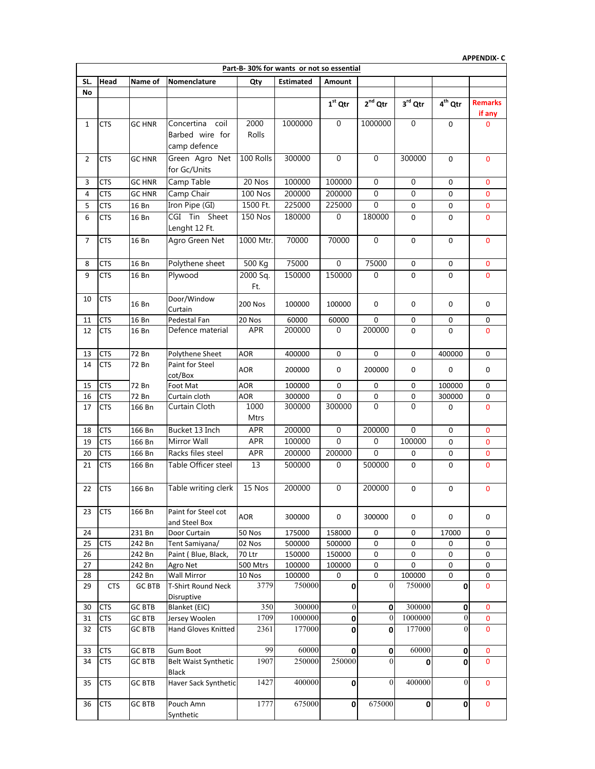|                 | <b>APPENDIX-C</b> |                         |                                                               |                 |                                          |                  |                       |                  |                     |                          |  |  |
|-----------------|-------------------|-------------------------|---------------------------------------------------------------|-----------------|------------------------------------------|------------------|-----------------------|------------------|---------------------|--------------------------|--|--|
|                 |                   |                         |                                                               |                 | Part-B-30% for wants or not so essential |                  |                       |                  |                     |                          |  |  |
| SL.             | Head              | Name of                 | Nomenclature                                                  | Qty             | <b>Estimated</b>                         | Amount           |                       |                  |                     |                          |  |  |
| No              |                   |                         |                                                               |                 |                                          |                  |                       |                  |                     |                          |  |  |
|                 |                   |                         |                                                               |                 |                                          | $1st$ Qtr        | $2^{nd}$ Qtr          | 3rd Qtr          | 4 <sup>th</sup> Qtr | <b>Remarks</b><br>if any |  |  |
| 1               | <b>CTS</b>        | GC HNR                  | Concertina coil<br>Barbed wire for<br>camp defence            | 2000<br>Rolls   | 1000000                                  | $\mathbf 0$      | 1000000               | $\mathbf 0$      | 0                   | $\mathbf{0}$             |  |  |
| 2               | CTS               | GC HNR                  | Green Agro Net<br>for Gc/Units                                | 100 Rolls       | 300000                                   | $\mathbf 0$      | $\mathbf 0$           | 300000           | 0                   | 0                        |  |  |
| 3               | CTS               | <b>GC HNR</b>           | Camp Table                                                    | 20 Nos          | 100000                                   | 100000           | $\mathbf 0$           | 0                | 0                   | 0                        |  |  |
| 4               | <b>CTS</b>        | <b>GC HNR</b>           | Camp Chair                                                    | <b>100 Nos</b>  | 200000                                   | 200000           | $\mathbf 0$           | 0                | 0                   | 0                        |  |  |
| 5               | <b>CTS</b>        | 16 Bn                   | Iron Pipe (GI)                                                | 1500 Ft.        | 225000                                   | 225000           | $\mathbf 0$           | 0                | 0                   | 0                        |  |  |
| 6               | <b>CTS</b>        | 16 Bn                   | CGI Tin Sheet<br>Lenght 12 Ft.                                | <b>150 Nos</b>  | 180000                                   | $\boldsymbol{0}$ | 180000                | 0                | 0                   | 0                        |  |  |
| 7               | CTS               | 16 Bn                   | Agro Green Net                                                | 1000 Mtr.       | 70000                                    | 70000            | $\mathbf 0$           | 0                | 0                   | 0                        |  |  |
| 8               | CTS               | 16 Bn                   | Polythene sheet                                               | 500 Kg          | 75000                                    | $\mathbf 0$      | 75000                 | 0                | 0                   | 0                        |  |  |
| 9               | <b>CTS</b>        | 16 Bn                   | Plywood                                                       | 2000 Sq.<br>Ft. | 150000                                   | 150000           | 0                     | 0                | 0                   | $\mathbf 0$              |  |  |
| 10              | <b>CTS</b>        | 16 Bn                   | Door/Window<br>Curtain                                        | <b>200 Nos</b>  | 100000                                   | 100000           | 0                     | 0                | 0                   | 0                        |  |  |
| 11              | CTS               | 16 Bn                   | Pedestal Fan                                                  | 20 Nos          | 60000                                    | 60000            | 0                     | 0                | 0                   | 0                        |  |  |
| 12              | <b>CTS</b>        | 16 Bn                   | Defence material                                              | <b>APR</b>      | 200000                                   | 0                | 200000                | 0                | 0                   | $\mathbf{0}$             |  |  |
| 13              | <b>CTS</b>        | 72 Bn                   | Polythene Sheet                                               | <b>AOR</b>      | 400000                                   | 0                | 0                     | 0                | 400000              | 0                        |  |  |
| 14              | <b>CTS</b>        | 72 Bn                   | Paint for Steel<br>cot/Box                                    | <b>AOR</b>      | 200000                                   | 0                | 200000                | 0                | 0                   | 0                        |  |  |
| 15              | <b>CTS</b>        | 72 Bn                   | Foot Mat                                                      | <b>AOR</b>      | 100000                                   | 0                | 0                     | 0                | 100000              | 0                        |  |  |
| 16              | CTS               | 72 Bn                   | Curtain cloth                                                 | AOR             | 300000                                   | 0                | 0                     | 0                | 300000              | 0                        |  |  |
| 17              | <b>CTS</b>        | 166 Bn                  | Curtain Cloth                                                 | 1000<br>Mtrs    | 300000                                   | 300000           | $\Omega$              | $\Omega$         | 0                   | $\mathbf{0}$             |  |  |
| 18              | <b>CTS</b>        | 166 Bn                  | Bucket 13 Inch                                                | <b>APR</b>      | 200000                                   | $\mathbf 0$      | 200000                | $\overline{0}$   | $\mathbf 0$         | 0                        |  |  |
| 19              | <b>CTS</b>        | 166 Bn                  | Mirror Wall                                                   | APR             | 100000                                   | $\mathbf{0}$     | $\mathbf{0}$          | 100000           | 0                   | 0                        |  |  |
| 20              | <b>CTS</b>        | 166 Bn                  | Racks files steel                                             | APR             | 200000                                   | 200000           | $\Omega$              | 0                | $\pmb{0}$           | 0                        |  |  |
| 21              | <b>CTS</b>        | 166 Bn                  | Table Officer steel                                           | 13              | 500000                                   | 0                | 500000                | 0                | 0                   | 0                        |  |  |
| $\overline{22}$ | <b>CTS</b>        | 166 Bn                  | Table writing clerk                                           | 15 Nos          | 200000                                   | $\overline{0}$   | 200000                | $\mathbf 0$      | 0                   | U                        |  |  |
| 23              | <b>CTS</b>        | 166 Bn                  | Paint for Steel cot<br>and Steel Box                          | <b>AOR</b>      | 300000                                   | 0                | 300000                | 0                | $\mathsf 0$         | 0                        |  |  |
| 24              |                   | 231 Bn                  | Door Curtain                                                  | 50 Nos          | 175000                                   | 158000           | 0                     | 0                | 17000               | 0                        |  |  |
| 25              | <b>CTS</b>        | 242 Bn                  | Tent Samiyana/                                                | 02 Nos          | 500000                                   | 500000           | 0                     | 0                | 0                   | 0                        |  |  |
| 26              |                   | 242 Bn                  | Paint (Blue, Black,                                           | 70 Ltr          | 150000                                   | 150000           | 0                     | 0                | 0                   | 0                        |  |  |
| 27              |                   | 242 Bn                  | Agro Net                                                      | 500 Mtrs        | 100000                                   | 100000           | 0                     | 0                | 0                   | 0                        |  |  |
| 28<br>29        | <b>CTS</b>        | 242 Bn<br><b>GC BTB</b> | <b>Wall Mirror</b><br><b>T-Shirt Round Neck</b><br>Disruptive | 10 Nos<br>3779  | 100000<br>750000                         | 0<br>0           | 0<br>$\boldsymbol{0}$ | 100000<br>750000 | 0<br>0              | 0<br>$\mathbf 0$         |  |  |
| 30              | <b>CTS</b>        | <b>GC BTB</b>           | Blanket (EIC)                                                 | 350             | 300000                                   | $\boldsymbol{0}$ | 0                     | 300000           | $\pmb{0}$           | 0                        |  |  |
| 31              | <b>CTS</b>        | GC BTB                  | Jersey Woolen                                                 | 1709            | 1000000                                  | $\mathbf 0$      | $\overline{0}$        | 1000000          | 0                   | 0                        |  |  |
| 32              | CTS               | GC BTB                  | Hand Gloves Knitted                                           | 2361            | 177000                                   | 0                | 0                     | 177000           | $\mathbf{0}$        | $\mathbf 0$              |  |  |
| 33              | <b>CTS</b>        | GC BTB                  | Gum Boot                                                      | 99              | 60000                                    | $\mathbf 0$      | 0                     | 60000            | $\pmb{0}$           | 0                        |  |  |
| 34              | <b>CTS</b>        | GC BTB                  | <b>Belt Waist Synthetic</b><br>Black                          | 1907            | 250000                                   | 250000           | $\theta$              | $\Omega$         | 0                   | $\mathbf 0$              |  |  |
| 35              | <b>CTS</b>        | <b>GC BTB</b>           | Haver Sack Synthetic                                          | 1427            | 400000                                   | 0                | $\mathbf{0}$          | 400000           | $\theta$            | 0                        |  |  |
| 36              | <b>CTS</b>        | <b>GC BTB</b>           | Pouch Amn<br>Synthetic                                        | 1777            | 675000                                   | $\mathbf 0$      | 675000                | $\mathbf 0$      | 0                   | $\mathbf 0$              |  |  |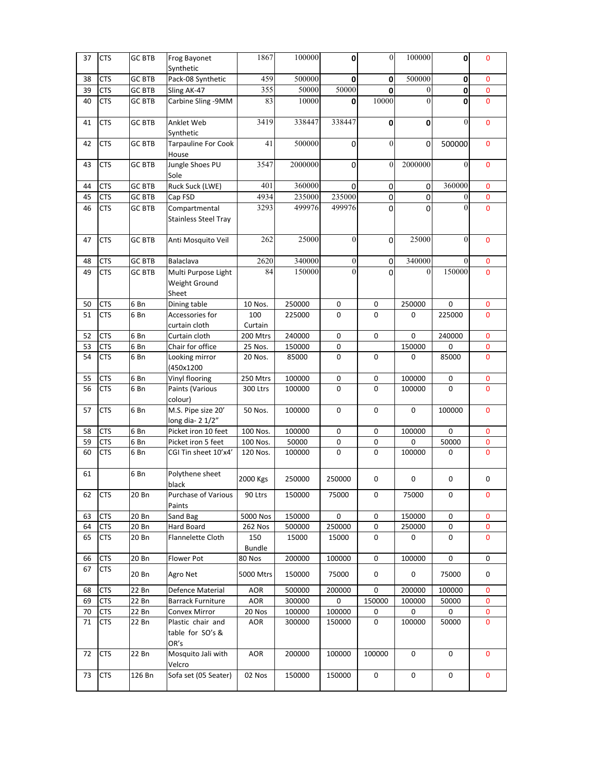| 37 | <b>CTS</b> | <b>GC BTB</b> | Frog Bayonet<br>Synthetic                     | 1867                 | 100000  | 0                | $\boldsymbol{0}$ | $100000\,$       | 0                | 0              |
|----|------------|---------------|-----------------------------------------------|----------------------|---------|------------------|------------------|------------------|------------------|----------------|
| 38 | <b>CTS</b> | <b>GC BTB</b> | Pack-08 Synthetic                             | 459                  | 500000  | 0                | 0                | 500000           | 0                | $\mathbf{0}$   |
| 39 | <b>CTS</b> | <b>GC BTB</b> | Sling AK-47                                   | 355                  | 50000   | 50000            | $\mathbf 0$      | $\mathbf{0}$     | 0                | 0              |
| 40 | <b>CTS</b> | <b>GC BTB</b> | Carbine Sling - 9MM                           | 83                   | 10000   | 0                | 10000            | $\mathbf{0}$     | 0                | $\mathbf{0}$   |
| 41 | <b>CTS</b> | <b>GC BTB</b> | Anklet Web<br>Synthetic                       | 3419                 | 338447  | 338447           | $\mathbf 0$      | 0                | $\boldsymbol{0}$ | 0              |
| 42 | <b>CTS</b> | <b>GC BTB</b> | <b>Tarpauline For Cook</b><br>House           | 41                   | 500000  | 0                | $\mathbf{0}$     | $\pmb{0}$        | 500000           | $\mathbf{0}$   |
| 43 | <b>CTS</b> | <b>GC BTB</b> | Jungle Shoes PU<br>Sole                       | 3547                 | 2000000 | 0                | $\boldsymbol{0}$ | 2000000          | $\theta$         | $\mathbf{0}$   |
| 44 | <b>CTS</b> | <b>GC BTB</b> | Ruck Suck (LWE)                               | 401                  | 360000  | 0                | 0                | 0                | 360000           | 0              |
| 45 | <b>CTS</b> | <b>GC BTB</b> | Cap FSD                                       | 4934                 | 235000  | 235000           | 0                | $\pmb{0}$        | $\boldsymbol{0}$ | 0              |
| 46 | <b>CTS</b> | <b>GC BTB</b> | Compartmental<br><b>Stainless Steel Tray</b>  | 3293                 | 499976  | 499976           | 0                | $\Omega$         | $\mathbf{0}$     | $\mathbf{0}$   |
| 47 | <b>CTS</b> | <b>GC BTB</b> | Anti Mosquito Veil                            | 262                  | 25000   | $\mathbf{0}$     | 0                | 25000            | $\mathbf{0}$     | $\mathbf{0}$   |
| 48 | <b>CTS</b> | <b>GC BTB</b> | Balaclava                                     | 2620                 | 340000  | $\boldsymbol{0}$ | 0                | 340000           | $\mathbf{0}$     | 0              |
| 49 | <b>CTS</b> | <b>GC BTB</b> | Multi Purpose Light<br>Weight Ground<br>Sheet | 84                   | 150000  | $\mathbf{0}$     | 0                | $\boldsymbol{0}$ | 150000           | $\mathbf{0}$   |
| 50 | <b>CTS</b> | 6 Bn          | Dining table                                  | 10 Nos.              | 250000  | 0                | 0                | 250000           | 0                | 0              |
| 51 | <b>CTS</b> | 6 Bn          | Accessories for<br>curtain cloth              | 100<br>Curtain       | 225000  | 0                | 0                | 0                | 225000           | 0              |
| 52 | <b>CTS</b> | 6Bn           | Curtain cloth                                 | 200 Mtrs             | 240000  | $\mathsf 0$      | $\mathsf 0$      | $\pmb{0}$        | 240000           | 0              |
| 53 | <b>CTS</b> | 6 Bn          | Chair for office                              | 25 Nos.              | 150000  | 0                |                  | 150000           | 0                | 0              |
| 54 | <b>CTS</b> | 6 Bn          | Looking mirror<br>(450x1200                   | 20 Nos.              | 85000   | 0                | 0                | 0                | 85000            | $\mathbf{0}$   |
| 55 | <b>CTS</b> | 6 Bn          | Vinyl flooring                                | 250 Mtrs             | 100000  | 0                | $\pmb{0}$        | 100000           | 0                | 0              |
| 56 | <b>CTS</b> | 6 Bn          | Paints (Various<br>colour)                    | 300 Ltrs             | 100000  | 0                | $\mathsf 0$      | 100000           | 0                | $\overline{0}$ |
| 57 | <b>CTS</b> | 6 Bn          | M.S. Pipe size 20'<br>long dia-21/2"          | 50 Nos.              | 100000  | $\mathsf 0$      | $\mathsf 0$      | $\mathbf 0$      | 100000           | $\mathbf{0}$   |
| 58 | <b>CTS</b> | 6 Bn          | Picket iron 10 feet                           | 100 Nos.             | 100000  | 0                | 0                | 100000           | 0                | 0              |
| 59 | <b>CTS</b> | 6 Bn          | Picket iron 5 feet                            | 100 Nos.             | 50000   | 0                | 0                | 0                | 50000            | 0              |
| 60 | <b>CTS</b> | 6 Bn          | CGI Tin sheet 10'x4'                          | 120 Nos.             | 100000  | 0                | 0                | 100000           | 0                | 0              |
| 61 |            | 6Bn           | Polythene sheet<br>black                      | 2000 Kgs             | 250000  | 250000           | 0                | 0                | 0                | 0              |
| 62 | <b>CTS</b> | 20 Bn         | <b>Purchase of Various</b><br>Paints          | 90 Ltrs              | 150000  | 75000            | 0                | 75000            | 0                | $\mathbf 0$    |
| 63 | <b>CTS</b> | 20 Bn         | Sand Bag                                      | 5000 Nos             | 150000  | $\mathsf 0$      | 0                | 150000           | 0                | $\mathbf 0$    |
| 64 | <b>CTS</b> | 20 Bn         | Hard Board                                    | 262 Nos              | 500000  | 250000           | 0                | 250000           | 0                | 0              |
| 65 | <b>CTS</b> | 20 Bn         | Flannelette Cloth                             | 150<br><b>Bundle</b> | 15000   | 15000            | 0                | 0                | 0                | 0              |
| 66 | <b>CTS</b> | 20 Bn         | Flower Pot                                    | 80 Nos               | 200000  | 100000           | 0                | 100000           | 0                | 0              |
| 67 | <b>CTS</b> | 20 Bn         | Agro Net                                      | 5000 Mtrs            | 150000  | 75000            | 0                | 0                | 75000            | 0              |
| 68 | <b>CTS</b> | 22 Bn         | Defence Material                              | AOR                  | 500000  | 200000           | 0                | 200000           | 100000           | 0              |
| 69 | <b>CTS</b> | 22 Bn         | <b>Barrack Furniture</b>                      | <b>AOR</b>           | 300000  | 0                | 150000           | 100000           | 50000            | 0              |
| 70 | <b>CTS</b> | 22 Bn         | Convex Mirror                                 | 20 Nos               | 100000  | 100000           | 0                | 0                | 0                | 0              |
| 71 | <b>CTS</b> | 22 Bn         | Plastic chair and<br>table for SO's &<br>OR's | <b>AOR</b>           | 300000  | 150000           | 0                | 100000           | 50000            | 0              |
| 72 | <b>CTS</b> | 22 Bn         | Mosquito Jali with<br>Velcro                  | <b>AOR</b>           | 200000  | 100000           | 100000           | 0                | 0                | 0              |
| 73 | <b>CTS</b> | 126 Bn        | Sofa set (05 Seater)                          | 02 Nos               | 150000  | 150000           | 0                | 0                | 0                | 0              |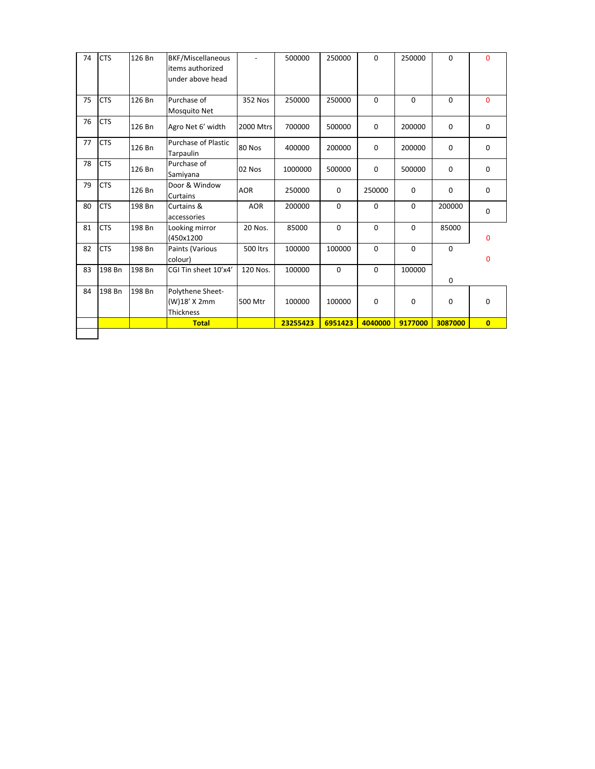|    |            |        | <b>Total</b>                                              |                 | 23255423 | 6951423  | 4040000  | 9177000  | 3087000     | $\mathbf{0}$ |
|----|------------|--------|-----------------------------------------------------------|-----------------|----------|----------|----------|----------|-------------|--------------|
|    |            |        | Thickness                                                 |                 |          |          |          |          |             |              |
|    |            |        | (W)18' X 2mm                                              | 500 Mtr         | 100000   | 100000   | 0        | 0        | 0           | $\mathbf 0$  |
| 84 | 198 Bn     | 198 Bn | Polythene Sheet-                                          |                 |          |          |          |          |             |              |
| 83 | 198 Bn     | 198 Bn | CGI Tin sheet 10'x4'                                      | 120 Nos.        | 100000   | $\Omega$ | 0        | 100000   | 0           |              |
| 82 | <b>CTS</b> | 198 Bn | Paints (Various<br>colour)                                | <b>500 ltrs</b> | 100000   | 100000   | $\Omega$ | $\Omega$ | 0           | 0            |
| 81 | <b>CTS</b> | 198 Bn | Looking mirror<br>(450x1200                               | 20 Nos.         | 85000    | $\Omega$ | 0        | $\Omega$ | 85000       | 0            |
| 80 | <b>CTS</b> | 198 Bn | Curtains &<br>accessories                                 | <b>AOR</b>      | 200000   | $\Omega$ | 0        | $\Omega$ | 200000      | 0            |
| 79 | <b>CTS</b> | 126 Bn | Door & Window<br>Curtains                                 | <b>AOR</b>      | 250000   | 0        | 250000   | 0        | 0           | 0            |
| 78 | <b>CTS</b> | 126 Bn | Purchase of<br>Samiyana                                   | 02 Nos          | 1000000  | 500000   | 0        | 500000   | 0           | 0            |
| 77 | <b>CTS</b> | 126 Bn | <b>Purchase of Plastic</b><br>Tarpaulin                   | 80 Nos          | 400000   | 200000   | 0        | 200000   | 0           | $\mathbf 0$  |
| 76 | <b>CTS</b> | 126 Bn | Agro Net 6' width                                         | 2000 Mtrs       | 700000   | 500000   | 0        | 200000   | 0           | 0            |
| 75 | <b>CTS</b> | 126 Bn | Purchase of<br>Mosquito Net                               | 352 Nos         | 250000   | 250000   | $\Omega$ | $\Omega$ | $\mathbf 0$ | $\Omega$     |
| 74 | <b>CTS</b> | 126 Bn | BKF/Miscellaneous<br>items authorized<br>under above head |                 | 500000   | 250000   | 0        | 250000   | 0           | $\mathbf{0}$ |
|    |            |        |                                                           |                 |          |          |          |          |             |              |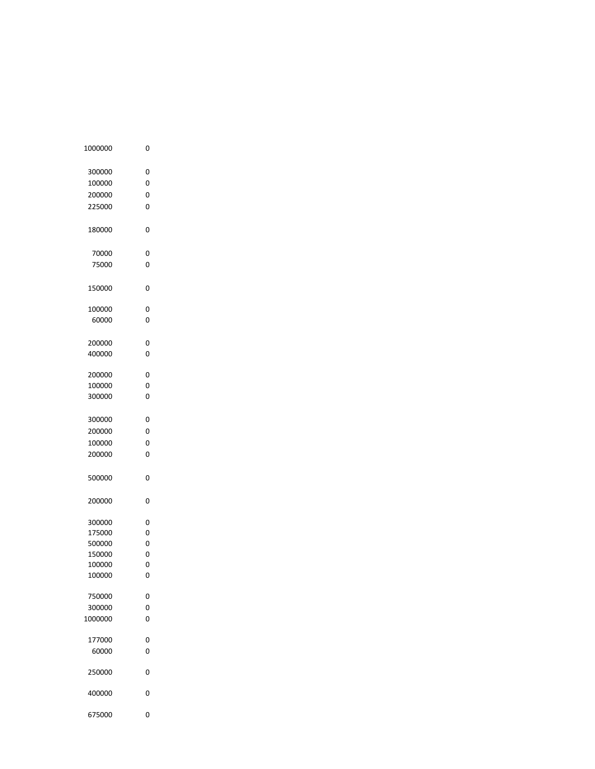| 1000000 | 0 |  |
|---------|---|--|
| 300000  | 0 |  |
| 100000  | 0 |  |
| 200000  | 0 |  |
| 225000  | 0 |  |
|         |   |  |
| 180000  | 0 |  |
| 70000   | 0 |  |
| 75000   | 0 |  |
|         |   |  |
| 150000  | 0 |  |
| 100000  | 0 |  |
| 60000   | 0 |  |
| 200000  | 0 |  |
| 400000  | 0 |  |
| 200000  | 0 |  |
| 100000  | 0 |  |
| 300000  | 0 |  |
|         |   |  |
| 300000  | 0 |  |
| 200000  | 0 |  |
| 100000  | 0 |  |
| 200000  | 0 |  |
|         |   |  |
| 500000  | 0 |  |
| 200000  | 0 |  |
| 300000  | 0 |  |
| 175000  | 0 |  |
| 500000  | 0 |  |
| 150000  | 0 |  |
| 100000  | 0 |  |
| 100000  | 0 |  |
|         |   |  |
| 750000  | 0 |  |
| 300000  | 0 |  |
| 1000000 | 0 |  |
| 177000  | 0 |  |
| 60000   | 0 |  |
| 250000  | 0 |  |
|         |   |  |
| 400000  | 0 |  |
| 675000  | 0 |  |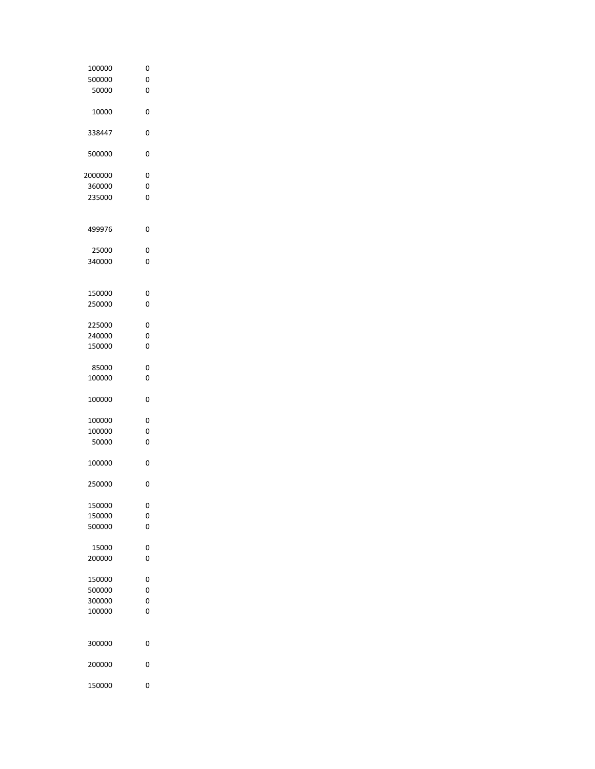| 100000  | 0 |  |
|---------|---|--|
|         |   |  |
| 500000  | 0 |  |
| 50000   | 0 |  |
|         |   |  |
|         |   |  |
| 10000   | 0 |  |
|         |   |  |
|         |   |  |
| 338447  | 0 |  |
|         |   |  |
|         |   |  |
| 500000  | 0 |  |
|         |   |  |
|         |   |  |
| 2000000 | 0 |  |
|         |   |  |
| 360000  | 0 |  |
| 235000  | 0 |  |
|         |   |  |
|         |   |  |
|         |   |  |
| 499976  | 0 |  |
|         |   |  |
|         |   |  |
| 25000   | 0 |  |
|         |   |  |
| 340000  | 0 |  |
|         |   |  |
|         |   |  |
|         |   |  |
| 150000  | 0 |  |
|         |   |  |
| 250000  | 0 |  |
|         |   |  |
| 225000  | 0 |  |
|         |   |  |
| 240000  | 0 |  |
| 150000  | 0 |  |
|         |   |  |
|         |   |  |
| 85000   | 0 |  |
|         |   |  |
| 100000  | 0 |  |
|         |   |  |
|         |   |  |
| 100000  | 0 |  |
|         |   |  |
| 100000  | 0 |  |
|         |   |  |
| 100000  | 0 |  |
| 50000   | 0 |  |
|         |   |  |
|         |   |  |
| 100000  | 0 |  |
|         |   |  |
|         |   |  |
| 250000  | 0 |  |
|         |   |  |
|         |   |  |
| 150000  | 0 |  |
| 150000  | 0 |  |
|         |   |  |
| 500000  | 0 |  |
|         |   |  |
|         |   |  |
| 15000   | 0 |  |
| 200000  | 0 |  |
|         |   |  |
|         |   |  |
| 150000  | 0 |  |
| 500000  | 0 |  |
|         |   |  |
| 300000  | 0 |  |
| 100000  | 0 |  |
|         |   |  |
|         |   |  |
|         |   |  |
|         |   |  |
| 300000  | 0 |  |
|         |   |  |
| 200000  | 0 |  |
|         |   |  |
|         |   |  |
| 150000  | 0 |  |
|         |   |  |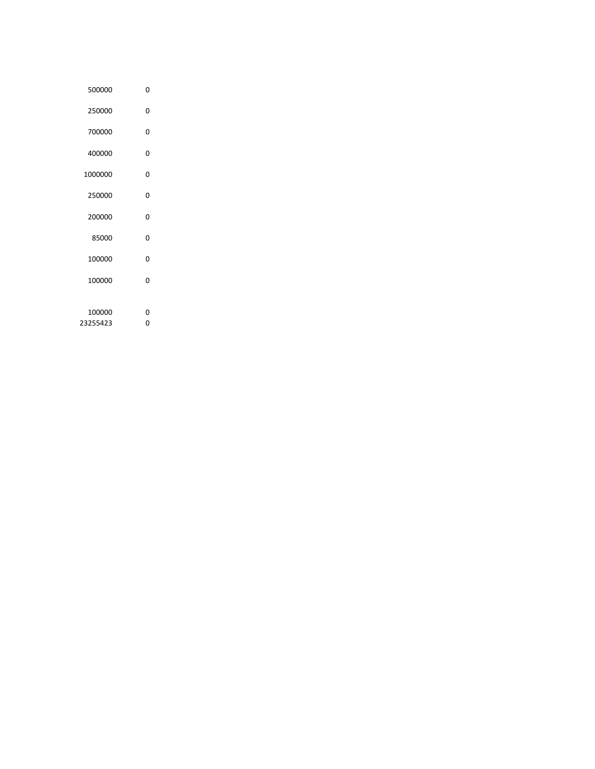| 500000   | 0 |  |
|----------|---|--|
| 250000   | O |  |
| 700000   | 0 |  |
| 400000   | 0 |  |
| 1000000  | ŋ |  |
| 250000   | O |  |
| 200000   | 0 |  |
| 85000    | ŋ |  |
| 100000   | O |  |
| 100000   | O |  |
|          |   |  |
| 100000   | ŋ |  |
| 23255423 | 0 |  |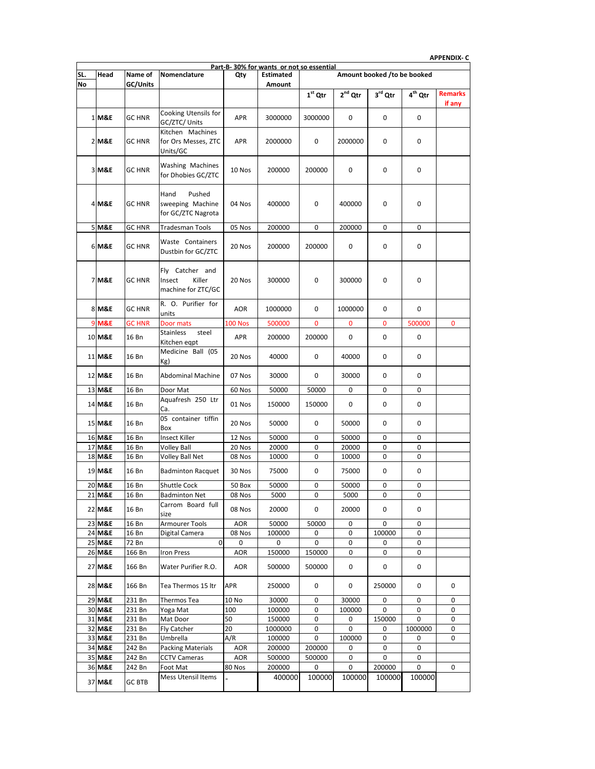**APPENDIX- C**

|     | ALLINNIV-C<br>Part-B-30% for wants or not so essential |                  |                                                           |                      |                  |             |               |                             |                     |                          |  |
|-----|--------------------------------------------------------|------------------|-----------------------------------------------------------|----------------------|------------------|-------------|---------------|-----------------------------|---------------------|--------------------------|--|
| SL. | Head                                                   | Name of          | Nomenclature                                              | Qty                  | <b>Estimated</b> |             |               | Amount booked /to be booked |                     |                          |  |
| No  |                                                        | GC/Units         |                                                           |                      | <b>Amount</b>    |             |               |                             |                     |                          |  |
|     |                                                        |                  |                                                           |                      |                  | $1st$ Qtr   | $2nd$ Qtr     | 3rd Qtr                     | 4 <sup>th</sup> Qtr | <b>Remarks</b><br>if any |  |
|     | 1 M&E                                                  | GC HNR           | Cooking Utensils for<br>GC/ZTC/ Units                     | APR                  | 3000000          | 3000000     | 0             | 0                           | 0                   |                          |  |
|     | 2 M&E                                                  | GC HNR           | Kitchen Machines<br>for Ors Messes, ZTC<br>Units/GC       | <b>APR</b>           | 2000000          | 0           | 2000000       | 0                           | 0                   |                          |  |
|     | 3 M&E                                                  | <b>GC HNR</b>    | Washing Machines<br>for Dhobies GC/ZTC                    | 10 Nos               | 200000           | 200000      | 0             | 0                           | 0                   |                          |  |
|     | 4 M&E                                                  | GC HNR           | Hand<br>Pushed<br>sweeping Machine<br>for GC/ZTC Nagrota  | 04 Nos               | 400000           | 0           | 400000        | 0                           | $\mathbf 0$         |                          |  |
|     | 5 M&E                                                  | GC HNR           | <b>Tradesman Tools</b>                                    | 05 Nos               | 200000           | 0           | 200000        | 0                           | 0                   |                          |  |
|     | 6 M&E                                                  | GC HNR           | Waste Containers<br>Dustbin for GC/ZTC                    | 20 Nos               | 200000           | 200000      | 0             | 0                           | 0                   |                          |  |
|     | <b>7 M&amp;E</b>                                       | GC HNR           | Fly Catcher and<br>Insect<br>Killer<br>machine for ZTC/GC | 20 Nos               | 300000           | 0           | 300000        | 0                           | 0                   |                          |  |
|     | 8 M&E                                                  | GC HNR           | R. O. Purifier for<br>units                               | <b>AOR</b>           | 1000000          | 0           | 1000000       | 0                           | 0                   |                          |  |
|     | 9 M&E                                                  | GC HNR           | Door mats                                                 | <b>100 Nos</b>       | 500000           | 0           | 0             | 0                           | 500000              | 0                        |  |
|     | 10 M&E                                                 | 16 Bn            | Stainless<br>steel<br>Kitchen eqpt                        | <b>APR</b>           | 200000           | 200000      | 0             | 0                           | 0                   |                          |  |
|     | 11 M&E                                                 | 16 Bn            | Medicine Ball (05<br>Kg)                                  | 20 Nos               | 40000            | 0           | 40000         | 0                           | 0                   |                          |  |
|     | 12 M&E                                                 | 16 Bn            | <b>Abdominal Machine</b>                                  | 07 Nos               | 30000            | 0           | 30000         | 0                           | 0                   |                          |  |
|     | 13 M&E                                                 | 16 Bn            | Door Mat                                                  | 60 Nos               | 50000            | 50000       | 0             | 0                           | 0                   |                          |  |
|     | 14 M&E                                                 | 16 Bn            | Aquafresh 250 Ltr<br>Ca.                                  | 01 Nos               | 150000           | 150000      | 0             | 0                           | 0                   |                          |  |
|     | 15 M&E                                                 | 16 Bn            | 05 container tiffin<br>Box                                | 20 Nos               | 50000            | 0           | 50000         | 0                           | 0                   |                          |  |
|     | 16 M&E                                                 | 16 Bn            | Insect Killer                                             | 12 Nos               | 50000            | 0           | 50000         | 0                           | 0                   |                          |  |
|     | 17 M&E                                                 | 16 Bn            | Volley Ball                                               | 20 Nos               | 20000            | 0           | 20000         | 0                           | $\pmb{0}$           |                          |  |
|     | 18 M&E                                                 | 16 Bn            | Volley Ball Net                                           | 08 Nos               | 10000            | 0           | 10000         | 0                           | 0                   |                          |  |
|     | 19 M&E                                                 | 16 Bn            | <b>Badminton Racquet</b>                                  | 30 Nos               | 75000            | 0           | 75000         | 0                           | 0                   |                          |  |
|     | 20 M&E                                                 | 16 Bn            | <b>Shuttle Cock</b>                                       | 50 Box               | 50000            | 0           | 50000         | 0                           | 0                   |                          |  |
|     | 21 M&E<br>22 M&E                                       | 16 Bn<br>16 Bn   | <b>Badminton Net</b><br>Carrom Board full<br>size         | 08 Nos<br>08 Nos     | 5000<br>20000    | 0<br>0      | 5000<br>20000 | 0<br>0                      | 0<br>0              |                          |  |
|     | 23 M&E                                                 | 16 Bn            | Armourer Tools                                            | <b>AOR</b>           | 50000            | 50000       | 0             | 0                           | 0                   |                          |  |
|     | 24 M&E                                                 | 16 Bn            | Digital Camera                                            | 08 Nos               | 100000           | 0           | 0             | 100000                      | 0                   |                          |  |
|     | 25 M&E                                                 | 72 Bn            | 0                                                         | 0                    | 0                | 0           | 0             | 0                           | 0                   |                          |  |
|     | 26 M&E                                                 | 166 Bn           | <b>Iron Press</b>                                         | <b>AOR</b>           | 150000           | 150000      | 0             | 0                           | 0                   |                          |  |
|     | 27 M&E                                                 | 166 Bn           | Water Purifier R.O.                                       | <b>AOR</b>           | 500000           | 500000      | 0             | 0                           | 0                   |                          |  |
|     | 28 M&E                                                 | 166 Bn           | Tea Thermos 15 ltr                                        | <b>APR</b>           | 250000           | 0           | 0             | 250000                      | 0                   | 0                        |  |
|     | 29 M&E                                                 | 231 Bn           | <b>Thermos Tea</b>                                        | 10 No                | 30000            | 0           | 30000         | 0                           | 0                   | 0                        |  |
|     | 30 M&E                                                 | 231 Bn           | Yoga Mat                                                  | 100                  | 100000           | 0           | 100000        | 0                           | 0                   | 0                        |  |
|     | 31 M&E                                                 | 231 Bn           | Mat Door                                                  | 50                   | 150000           | 0           | 0             | 150000                      | 0                   | 0                        |  |
|     | 32 M&E                                                 | 231 Bn           | Fly Catcher                                               | 20                   | 1000000          | 0           | 0             | 0                           | 1000000             | 0                        |  |
|     | 33 M&E                                                 | 231 Bn           | Umbrella                                                  | A/R                  | 100000           | 0           | 100000        | 0                           | 0                   | 0                        |  |
|     | 34 M&E                                                 | 242 Bn           | <b>Packing Materials</b>                                  | AOR                  | 200000           | 200000      | 0             | 0                           | 0                   |                          |  |
|     | 35 M&E<br>36 M&E                                       | 242 Bn<br>242 Bn | <b>CCTV Cameras</b><br>Foot Mat                           | <b>AOR</b><br>80 Nos | 500000<br>200000 | 500000<br>0 | 0<br>0        | 0<br>200000                 | 0<br>0              | 0                        |  |
|     |                                                        |                  | Mess Utensil Items                                        |                      |                  |             |               |                             |                     |                          |  |
|     | 37 M&E                                                 | <b>GC BTB</b>    |                                                           |                      | 400000           | 100000      | 100000        | 100000                      | 100000              |                          |  |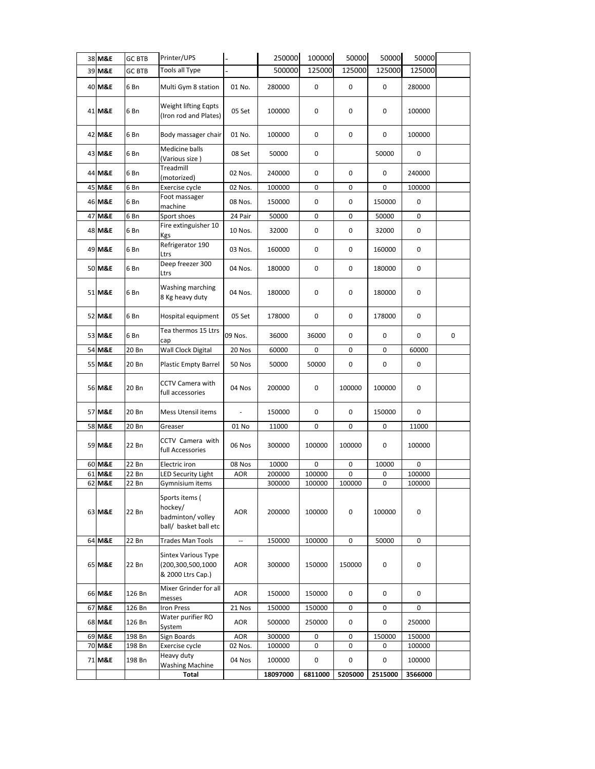|    | 38 M&E           | <b>GC BTB</b>  | Printer/UPS                                                                                |                          | 250000           | 100000           | 50000       | 50000       | 50000       |   |
|----|------------------|----------------|--------------------------------------------------------------------------------------------|--------------------------|------------------|------------------|-------------|-------------|-------------|---|
|    | 39 M&E           | <b>GC BTB</b>  | Tools all Type                                                                             |                          | 500000           | 125000           | 125000      | 125000      | 125000      |   |
|    | 40 M&E           | 6 Bn           | Multi Gym 8 station                                                                        | 01 No.                   | 280000           | 0                | 0           | 0           | 280000      |   |
|    | 41 M&E           | 6 Bn           | Weight lifting Eqpts<br>(Iron rod and Plates)                                              | 05 Set                   | 100000           | 0                | 0           | 0           | 100000      |   |
|    | 42 M&E           | 6 Bn           | Body massager chair                                                                        | 01 No.                   | 100000           | 0                | 0           | 0           | 100000      |   |
|    | 43 M&E           | 6 Bn           | Medicine balls<br>(Various size)                                                           | 08 Set                   | 50000            | 0                |             | 50000       | 0           |   |
|    | 44 M&E           | 6 Bn           | Treadmill<br>(motorized)                                                                   | 02 Nos.                  | 240000           | 0                | 0           | 0           | 240000      |   |
|    | 45 M&E           | 6 Bn           | Exercise cycle                                                                             | 02 Nos.                  | 100000           | 0                | 0           | 0           | 100000      |   |
|    | 46 M&E           | 6 Bn           | Foot massager<br>machine                                                                   | 08 Nos.                  | 150000           | 0                | 0           | 150000      | 0           |   |
| 47 | <b>M&amp;E</b>   | 6 Bn           | Sport shoes                                                                                | 24 Pair                  | 50000            | 0                | 0           | 50000       | 0           |   |
|    | 48 M&E           | 6 Bn           | Fire extinguisher 10<br>Kgs                                                                | 10 Nos.                  | 32000            | 0                | 0           | 32000       | 0           |   |
|    | 49 M&E           | 6 Bn           | Refrigerator 190<br>Ltrs                                                                   | 03 Nos.                  | 160000           | 0                | 0           | 160000      | 0           |   |
|    | 50 M&E           | 6 Bn           | Deep freezer 300<br>Ltrs                                                                   | 04 Nos.                  | 180000           | 0                | 0           | 180000      | 0           |   |
|    | 51 M&E           | 6 Bn           | Washing marching<br>8 Kg heavy duty                                                        | 04 Nos.                  | 180000           | 0                | 0           | 180000      | 0           |   |
|    | 52 M&E           | 6 Bn           | Hospital equipment                                                                         | 05 Set                   | 178000           | 0                | 0           | 178000      | 0           |   |
|    | 53 M&E           | 6 Bn           | Tea thermos 15 Ltrs<br>cap                                                                 | 09 Nos.                  | 36000            | 36000            | 0           | 0           | 0           | 0 |
|    | 54 M&E           | 20 Bn          | Wall Clock Digital                                                                         | 20 Nos                   | 60000            | 0                | 0           | 0           | 60000       |   |
|    | 55 M&E           | 20 Bn          | <b>Plastic Empty Barrel</b>                                                                | 50 Nos                   | 50000            | 50000            | 0           | 0           | 0           |   |
|    | 56 M&E           | 20 Bn          | <b>CCTV Camera with</b><br>full accessories                                                | 04 Nos                   | 200000           | 0                | 100000      | 100000      | 0           |   |
|    | 57 M&E           | 20 Bn          | Mess Utensil items                                                                         |                          | 150000           | 0                | 0           | 150000      | 0           |   |
|    | 58 M&E           | 20 Bn          | Greaser                                                                                    | 01 No                    | 11000            | 0                | 0           | 0           | 11000       |   |
|    | 59 M&E           | 22 Bn          | CCTV Camera with<br>full Accessories                                                       | 06 Nos                   | 300000           | 100000           | 100000      | 0           | 100000      |   |
|    | 60 M&E           | 22 Bn          | Electric iron                                                                              | 08 Nos                   | 10000            | 0                | 0           | 10000       | 0           |   |
|    | 61 M&E           | 22 Bn          | LED Security Light                                                                         | AOR                      | 200000           | 100000           | 0           | 0           | 100000      |   |
|    | 62 M&E<br>63 M&E | 22 Bn<br>22 Bn | Gymnisium items<br>Sports items (<br>hockey/<br>badminton/ volley<br>ball/ basket ball etc | AOR                      | 300000<br>200000 | 100000<br>100000 | 100000<br>0 | 0<br>100000 | 100000<br>0 |   |
|    | 64 M&E           | 22 Bn          | Trades Man Tools                                                                           | $\overline{\phantom{a}}$ | 150000           | 100000           | 0           | 50000       | 0           |   |
|    | 65 M&E           | 22 Bn          | <b>Sintex Various Type</b><br>(200,300,500,1000<br>& 2000 Ltrs Cap.)                       | AOR                      | 300000           | 150000           | 150000      | 0           | 0           |   |
|    | 66 M&E           | 126 Bn         | Mixer Grinder for all<br>messes                                                            | AOR                      | 150000           | 150000           | 0           | 0           | 0           |   |
|    | 67 M&E           | 126 Bn         | <b>Iron Press</b>                                                                          | 21 Nos                   | 150000           | 150000           | 0           | 0           | 0           |   |
|    | 68 M&E           | 126 Bn         | Water purifier RO<br>System                                                                | AOR                      | 500000           | 250000           | 0           | 0           | 250000      |   |
|    | 69 M&E           | 198 Bn         | Sign Boards                                                                                | AOR                      | 300000           | 0                | 0           | 150000      | 150000      |   |
|    | 70 M&E           | 198 Bn         | Exercise cycle                                                                             | 02 Nos.                  | 100000           | 0                | 0           | 0           | 100000      |   |
|    | 71 M&E           | 198 Bn         | Heavy duty<br><b>Washing Machine</b>                                                       | 04 Nos                   | 100000           | 0                | 0           | 0           | 100000      |   |
|    |                  |                | Total                                                                                      |                          | 18097000         | 6811000          | 5205000     | 2515000     | 3566000     |   |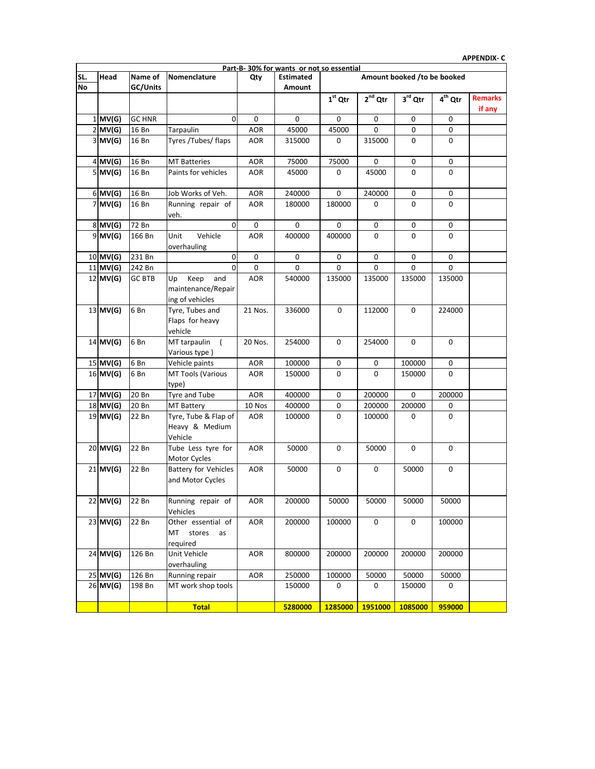|           |               |                                |             | Part-B-30% for wants or not so essential |           |              |                             |                     |                          |
|-----------|---------------|--------------------------------|-------------|------------------------------------------|-----------|--------------|-----------------------------|---------------------|--------------------------|
| Head      | Name of       | <b>Nomenclature</b>            | Qty         | <b>Estimated</b>                         |           |              | Amount booked /to be booked |                     |                          |
|           | GC/Units      |                                |             | Amount                                   |           |              |                             |                     |                          |
|           |               |                                |             |                                          | $1st$ Qtr | $2^{nd}$ Qtr | $3^{\text{rd}}$ Qtr         | 4 <sup>th</sup> Qtr | <b>Remarks</b><br>if any |
| $1$ MV(G) | <b>GC HNR</b> | 0                              | $\Omega$    | 0                                        | $\Omega$  | $\Omega$     | 0                           | $\Omega$            |                          |
| 2 MV(G)   | 16 Bn         | Tarpaulin                      | AOR.        | 45000                                    | 45000     | $\Omega$     | 0                           | $\Omega$            |                          |
| 3 MV(G)   | 16 Bn         | Tyres /Tubes/ flaps            | <b>AOR</b>  | 315000                                   | 0         | 315000       | 0                           | $\Omega$            |                          |
| 4 MV(G)   | 16 Bn         | <b>MT Batteries</b>            | <b>AOR</b>  | 75000                                    | 75000     | $\Omega$     | 0                           | $\Omega$            |                          |
| 5 MV (G)  | 16 Bn         | Paints for vehicles            | <b>AOR</b>  | 45000                                    | 0         | 45000        | 0                           | 0                   |                          |
| 6 MV(G)   | 16 Bn         | Job Works of Veh.              | AOR.        | 240000                                   | $\Omega$  | 240000       | 0                           | $\Omega$            |                          |
| 7 MV(G)   | 16 Bn         | Running repair of<br>veh.      | <b>AOR</b>  | 180000                                   | 180000    | $\Omega$     | 0                           | 0                   |                          |
| 8 MV(G)   | 72 Bn         | <sup>0</sup>                   | $\Omega$    | $\Omega$                                 | 0         | $\Omega$     | 0                           | $\Omega$            |                          |
| 9 MV (G)  | 166 Bn        | Unit<br>Vehicle<br>overhauling | <b>AOR</b>  | 400000                                   | 400000    | 0            | 0                           | 0                   |                          |
| 0 MV(G)   | 231 Bn        | 0                              | $\mathbf 0$ | 0                                        | 0         | $\Omega$     | 0                           | $\Omega$            |                          |
| 1 MV(G)   | 242 Bn        | $\Omega$                       | $\Omega$    | $\Omega$                                 | $\Omega$  | $\Omega$     | 0                           | $\Omega$            |                          |

| $5$ MV(G)  | 16 Bn         | Paints for vehicles                                        | AOR        | 45000   | 0           | 45000       | 0        | 0           |  |
|------------|---------------|------------------------------------------------------------|------------|---------|-------------|-------------|----------|-------------|--|
| $6$ MV(G)  | 16 Bn         | Job Works of Veh.                                          | <b>AOR</b> | 240000  | 0           | 240000      | 0        | 0           |  |
| $7$ MV(G)  | 16 Bn         | Running repair of<br>veh.                                  | <b>AOR</b> | 180000  | 180000      | $\mathbf 0$ | $\Omega$ | $\Omega$    |  |
| $8$ MV(G)  | 72 Bn         | $\mathbf 0$                                                | 0          | 0       | 0           | 0           | 0        | 0           |  |
| $9$ MV(G)  | 166 Bn        | Unit<br>Vehicle<br>overhauling                             | <b>AOR</b> | 400000  | 400000      | 0           | 0        | $\Omega$    |  |
| 10 MV(G)   | 231 Bn        | 0                                                          | 0          | 0       | 0           | $\mathbf 0$ | 0        | $\mathbf 0$ |  |
| 11 MV(G)   | 242 Bn        | $\mathbf 0$                                                | 0          | 0       | 0           | 0           | 0        | 0           |  |
| $12$ MV(G) | <b>GC BTB</b> | Keep<br>and<br>Up<br>maintenance/Repair<br>ing of vehicles | <b>AOR</b> | 540000  | 135000      | 135000      | 135000   | 135000      |  |
| 13 MV(G)   | 6Bn           | Tyre, Tubes and<br>Flaps for heavy<br>vehicle              | 21 Nos.    | 336000  | $\mathbf 0$ | 112000      | 0        | 224000      |  |
| $14$ MV(G) | 6Bn           | MT tarpaulin<br>$\sqrt{2}$<br>Various type)                | 20 Nos.    | 254000  | 0           | 254000      | 0        | 0           |  |
| 15 MV(G)   | 6Bn           | Vehicle paints                                             | <b>AOR</b> | 100000  | 0           | $\mathbf 0$ | 100000   | $\mathbf 0$ |  |
| $16$ MV(G) | 6 Bn          | MT Tools (Various<br>type)                                 | <b>AOR</b> | 150000  | 0           | 0           | 150000   | $\Omega$    |  |
| 17 MV(G)   | 20 Bn         | Tyre and Tube                                              | <b>AOR</b> | 400000  | 0           | 200000      | 0        | 200000      |  |
| 18 MV(G)   | 20 Bn         | <b>MT Battery</b>                                          | 10 Nos     | 400000  | 0           | 200000      | 200000   | 0           |  |
| 19 MV(G)   | 22 Bn         | Tyre, Tube & Flap of<br>Heavy & Medium<br>Vehicle          | AOR        | 100000  | 0           | 100000      | 0        | 0           |  |
| 20 MV(G)   | 22 Bn         | Tube Less tyre for<br>Motor Cycles                         | <b>AOR</b> | 50000   | 0           | 50000       | 0        | $\mathbf 0$ |  |
| 21 MV(G)   | 22 Bn         | <b>Battery for Vehicles</b><br>and Motor Cycles            | <b>AOR</b> | 50000   | 0           | $\mathbf 0$ | 50000    | $\mathbf 0$ |  |
| 22 MV(G)   | 22 Bn         | Running repair of<br>Vehicles                              | <b>AOR</b> | 200000  | 50000       | 50000       | 50000    | 50000       |  |
| 23 MV(G)   | 22 Bn         | Other essential of<br>MT<br>stores<br>as<br>reguired       | <b>AOR</b> | 200000  | 100000      | 0           | 0        | 100000      |  |
| 24 MV(G)   | 126 Bn        | Unit Vehicle<br>overhauling                                | <b>AOR</b> | 800000  | 200000      | 200000      | 200000   | 200000      |  |
| 25 MV(G)   | 126 Bn        | Running repair                                             | <b>AOR</b> | 250000  | 100000      | 50000       | 50000    | 50000       |  |
| 26 MV(G)   | 198 Bn        | MT work shop tools                                         |            | 150000  | 0           | 0           | 150000   | 0           |  |
|            |               | <b>Total</b>                                               |            | 5280000 | 1285000     | 1951000     | 1085000  | 959000      |  |
|            |               |                                                            |            |         |             |             |          |             |  |

**SL. No**

### **APPENDIX- C**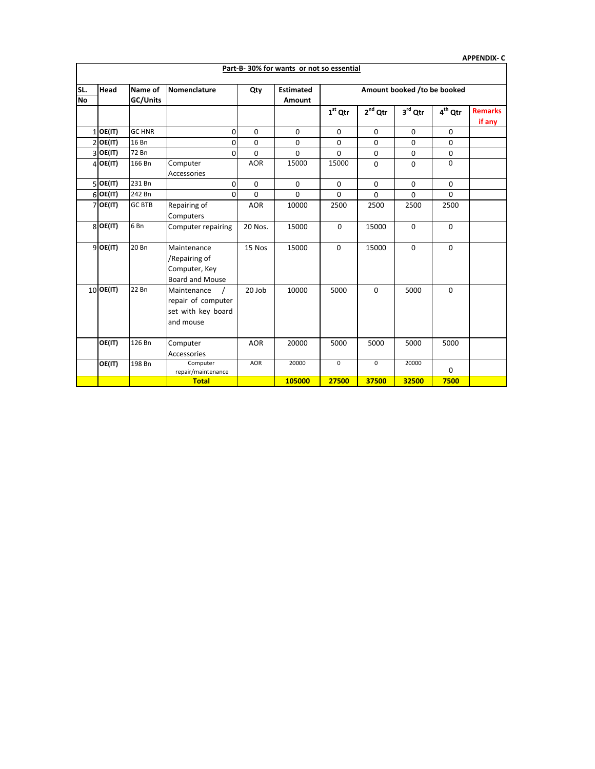|                  |             |                     |                                                                                  |            |                                          |             |                             |                     |                     | <b>APPENDIX-C</b>        |
|------------------|-------------|---------------------|----------------------------------------------------------------------------------|------------|------------------------------------------|-------------|-----------------------------|---------------------|---------------------|--------------------------|
|                  |             |                     |                                                                                  |            | Part-B-30% for wants or not so essential |             |                             |                     |                     |                          |
| SL.<br><b>No</b> | Head        | Name of<br>GC/Units | Nomenclature                                                                     | Qty        | <b>Estimated</b><br>Amount               |             | Amount booked /to be booked |                     |                     |                          |
|                  |             |                     |                                                                                  |            |                                          | $1st$ Qtr   | $2^{nd}$ Qtr                | $3^{\text{rd}}$ Qtr | 4 <sup>th</sup> Qtr | <b>Remarks</b><br>if any |
|                  | $1$ OE(IT)  | <b>GC HNR</b>       | $\mathbf 0$                                                                      | 0          | $\mathbf 0$                              | $\Omega$    | 0                           | $\mathbf 0$         | $\Omega$            |                          |
|                  | $2$ OE(IT)  | 16 Bn               | 0                                                                                | 0          | 0                                        | $\Omega$    | 0                           | 0                   | 0                   |                          |
|                  | $3$ OE(IT)  | 72 Bn               | $\Omega$                                                                         | $\Omega$   | 0                                        | $\Omega$    | 0                           | 0                   | 0                   |                          |
|                  | $4$ OE(IT)  | 166 Bn              | Computer<br>Accessories                                                          | <b>AOR</b> | 15000                                    | 15000       | 0                           | $\Omega$            | $\Omega$            |                          |
|                  | $5$ OE(IT)  | 231 Bn              | 0                                                                                | 0          | 0                                        | $\Omega$    | 0                           | 0                   | 0                   |                          |
|                  | $6$ OE(IT)  | 242 Bn              | $\Omega$                                                                         | 0          | 0                                        | $\Omega$    | $\Omega$                    | $\mathbf 0$         | $\Omega$            |                          |
|                  | $7$ OE(IT)  | <b>GC BTB</b>       | Repairing of<br>Computers                                                        | <b>AOR</b> | 10000                                    | 2500        | 2500                        | 2500                | 2500                |                          |
|                  | $8$ OE(IT)  | 6 <sub>Bn</sub>     | Computer repairing                                                               | 20 Nos.    | 15000                                    | $\Omega$    | 15000                       | $\Omega$            | $\Omega$            |                          |
|                  | $9$ OE(IT)  | 20 Bn               | Maintenance<br>/Repairing of<br>Computer, Key<br><b>Board and Mouse</b>          | 15 Nos     | 15000                                    | $\Omega$    | 15000                       | $\Omega$            | $\Omega$            |                          |
|                  | $10$ OE(IT) | 22 Bn               | Maintenance<br>$\prime$<br>repair of computer<br>set with key board<br>and mouse | 20 Job     | 10000                                    | 5000        | $\Omega$                    | 5000                | $\Omega$            |                          |
|                  | OE(IT)      | 126 Bn              | Computer<br>Accessories                                                          | <b>AOR</b> | 20000                                    | 5000        | 5000                        | 5000                | 5000                |                          |
|                  | OE(IT)      | 198 Bn              | Computer<br>repair/maintenance                                                   | <b>AOR</b> | 20000                                    | $\mathbf 0$ | $\mathbf 0$                 | 20000               | 0                   |                          |
|                  |             |                     | <b>Total</b>                                                                     |            | 105000                                   | 27500       | 37500                       | 32500               | 7500                |                          |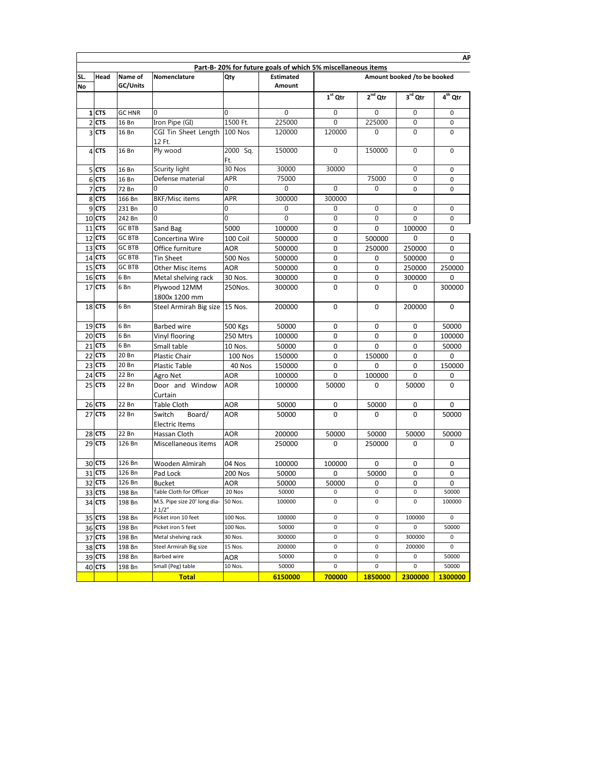|                |             |               |                                        |                 | Part-B-20% for future goals of which 5% miscellaneous items |              |              |                             |             |
|----------------|-------------|---------------|----------------------------------------|-----------------|-------------------------------------------------------------|--------------|--------------|-----------------------------|-------------|
| SL.            | <b>Head</b> | Name of       | Nomenclature                           | Qty             | <b>Estimated</b>                                            |              |              | Amount booked /to be booked |             |
| <b>No</b>      |             | GC/Units      |                                        |                 | Amount                                                      | $1st$ Qtr    | $2^{nd}$ Qtr | 3rd Qtr                     | $4th$ Qtr   |
|                |             |               |                                        |                 |                                                             |              |              |                             |             |
|                | $1$ CTS     | <b>GC HNR</b> |                                        | 0               | $\mathbf 0$                                                 | $\mathbf{0}$ | $\mathbf 0$  | $\mathbf 0$                 | 0           |
| $\overline{2}$ | <b>CTS</b>  | 16 Bn         | Iron Pipe (GI)                         | 1500 Ft.        | 225000                                                      | $\mathbf 0$  | 225000       | $\boldsymbol{0}$            | $\mathbf 0$ |
|                | 3 CTS       | 16 Bn         | CGI Tin Sheet Length 100 Nos<br>12 Ft. |                 | 120000                                                      | 120000       | $\mathbf{0}$ | $\mathbf 0$                 | 0           |
|                | 4 CTS       | 16 Bn         | Ply wood                               | 2000 Sq.<br>Ft. | 150000                                                      | $\mathbf 0$  | 150000       | $\mathbf 0$                 | $\Omega$    |
|                | 5 CTS       | 16 Bn         | Scurity light                          | 30 Nos          | 30000                                                       | 30000        |              | $\mathbf 0$                 | 0           |
|                | 6 CTS       | 16 Bn         | Defense material                       | APR             | 75000                                                       |              | 75000        | $\mathbf 0$                 | 0           |
|                | 7 CTS       | 72 Bn         | 0                                      | 0               | $\mathbf 0$                                                 | $\mathbf{0}$ | $\mathbf 0$  | 0                           | 0           |
|                | 8 CTS       | 166 Bn        | <b>BKF/Misc items</b>                  | APR             | 300000                                                      | 300000       |              |                             |             |
| 9              | <b>CTS</b>  | 231 Bn        | $\Omega$                               | 0               | $\mathbf{0}$                                                | $\mathbf 0$  | $\mathbf{0}$ | 0                           | 0           |
|                | 10 CTS      | 242 Bn        | 0                                      | 0               | $\mathbf 0$                                                 | $\mathbf 0$  | 0            | $\mathbf 0$                 | 0           |
| 11             | <b>CTS</b>  | <b>GC BTB</b> | Sand Bag                               | 5000            | 100000                                                      | 0            | 0            | 100000                      | 0           |
| 12             | <b>CTS</b>  | <b>GC BTB</b> | Concertina Wire                        | 100 Coil        | 500000                                                      | 0            | 500000       | 0                           | 0           |
|                | 13 CTS      | <b>GC BTB</b> | Office furniture                       | <b>AOR</b>      | 500000                                                      | 0            | 250000       | 250000                      | 0           |
| 14             | <b>CTS</b>  | <b>GC BTB</b> | <b>Tin Sheet</b>                       | <b>500 Nos</b>  | 500000                                                      | 0            | 0            | 500000                      | $\Omega$    |
| 15             | <b>CTS</b>  | <b>GC BTB</b> | Other Misc items                       | <b>AOR</b>      | 500000                                                      | 0            | $\mathbf 0$  | 250000                      | 250000      |
|                | 16 CTS      | 6 Bn          | Metal shelving rack                    | 30 Nos.         | 300000                                                      | 0            | 0            | 300000                      | 0           |
| 17             | <b>CTS</b>  | 6 Bn          | Plywood 12MM<br>1800x 1200 mm          | 250Nos.         | 300000                                                      | $\Omega$     | $\Omega$     | 0                           | 300000      |
|                | 18 CTS      | 6 Bn          | Steel Armirah Big size   15 Nos.       |                 | 200000                                                      | 0            | 0            | 200000                      | 0           |
|                | 19 CTS      | 6 Bn          | <b>Barbed wire</b>                     | <b>500 Kgs</b>  | 50000                                                       | 0            | 0            | 0                           | 50000       |
|                | 20 CTS      | 6 Bn          | Vinyl flooring                         | 250 Mtrs        | 100000                                                      | 0            | 0            | 0                           | 100000      |
|                | 21 CTS      | 6 Bn          | Small table                            | 10 Nos.         | 50000                                                       | 0            | 0            | 0                           | 50000       |
|                | 22 CTS      | 20 Bn         | <b>Plastic Chair</b>                   | <b>100 Nos</b>  | 150000                                                      | 0            | 150000       | $\mathbf 0$                 | 0           |
| 23             | <b>CTS</b>  | 20 Bn         | <b>Plastic Table</b>                   | 40 Nos          | 150000                                                      | 0            | 0            | 0                           | 150000      |
|                | 24 CTS      | 22 Bn         | Agro Net                               | AOR             | 100000                                                      | 0            | 100000       | 0                           | 0           |
|                | 25 CTS      | 22 Bn         | Door and Window<br>Curtain             | <b>AOR</b>      | 100000                                                      | 50000        | 0            | 50000                       | $\Omega$    |
|                | 26 CTS      | 22 Bn         | Table Cloth                            | AOR             | 50000                                                       | 0            | 50000        | 0                           | 0           |
|                | 27 CTS      | 22 Bn         | Board/<br>Switch<br>Electric Items     | AOR             | 50000                                                       | 0            | 0            | 0                           | 50000       |
|                | 28 CTS      | 22 Bn         | Hassan Cloth                           | AOR             | 200000                                                      | 50000        | 50000        | 50000                       | 50000       |
|                | 29 CTS      | 126 Bn        | Miscellaneous items                    | <b>AOR</b>      | 250000                                                      | $\Omega$     | 250000       | 0                           | 0           |
|                | 30 CTS      | 126 Bn        | Wooden Almirah                         | 04 Nos          | 100000                                                      | 100000       | 0            | 0                           | 0           |
|                | 31 CTS      | 126 Bn        | Pad Lock                               | <b>200 Nos</b>  | 50000                                                       | 0            | 50000        | 0                           | 0           |
|                | 32 CTS      | 126 Bn        | <b>Bucket</b>                          | AOR             | 50000                                                       | 50000        | 0            | 0                           | 0           |
|                | 33 CTS      | 198 Bn        | Table Cloth for Officer                | 20 Nos          | 50000                                                       | 0            | 0            | 0                           | 50000       |
|                | 34 CTS      | 198 Bn        | M.S. Pipe size 20' long dia-<br>2 1/2" | 50 Nos.         | 100000                                                      | 0            | 0            | 0                           | 100000      |
|                | 35 CTS      | 198 Bn        | Picket iron 10 feet                    | 100 Nos.        | 100000                                                      | 0            | $\pmb{0}$    | 100000                      | 0           |
|                | 36 CTS      | 198 Bn        | Picket iron 5 feet                     | 100 Nos.        | 50000                                                       | 0            | 0            | 0                           | 50000       |
|                | 37 CTS      | 198 Bn        | Metal shelving rack                    | 30 Nos.         | 300000                                                      | 0            | $\pmb{0}$    | 300000                      | 0           |
|                | 38 CTS      | 198 Bn        | Steel Armirah Big size                 | 15 Nos.         | 200000                                                      | 0            | $\pmb{0}$    | 200000                      | 0           |
|                | 39 CTS      | 198 Bn        | Barbed wire                            | AOR             | 50000                                                       | 0            | 0            | 0                           | 50000       |
|                | 40 CTS      | 198 Bn        | Small (Peg) table                      | 10 Nos.         | 50000                                                       | 0            | 0            | 0                           | 50000       |
|                |             |               | <b>Total</b>                           |                 | 6150000                                                     | 700000       | 1850000      | 2300000                     | 1300000     |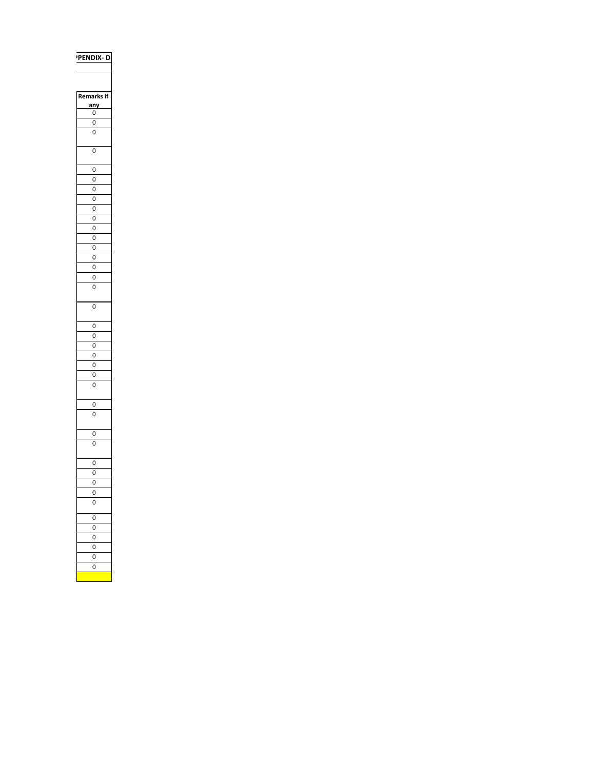## **PENDIX-D**

| marks if<br>Re  |
|-----------------|
| <u>any</u><br>ı |
| 0               |
| $\mathbf{0}$    |
| Ō               |
|                 |
| 0               |
|                 |
| 0               |
| 0               |
| Ō               |
| $\overline{0}$  |
| 0               |
| O               |
| 0               |
| O               |
| 0               |
| $\overline{0}$  |
| 0               |
| 0               |
| Ō               |
|                 |
| Ō               |
|                 |
| 0               |
| 0               |
| O               |
| 0               |
| $\overline{0}$  |
| 0               |
| O               |
|                 |
| 0               |
| $\overline{0}$  |
|                 |
| $\overline{0}$  |
| O               |
|                 |
| 0               |
| O               |
| O               |
| 0               |
| 0               |
| $\overline{0}$  |
| 0               |
| 0               |
| 0               |
| 0               |
| Ō               |
|                 |
|                 |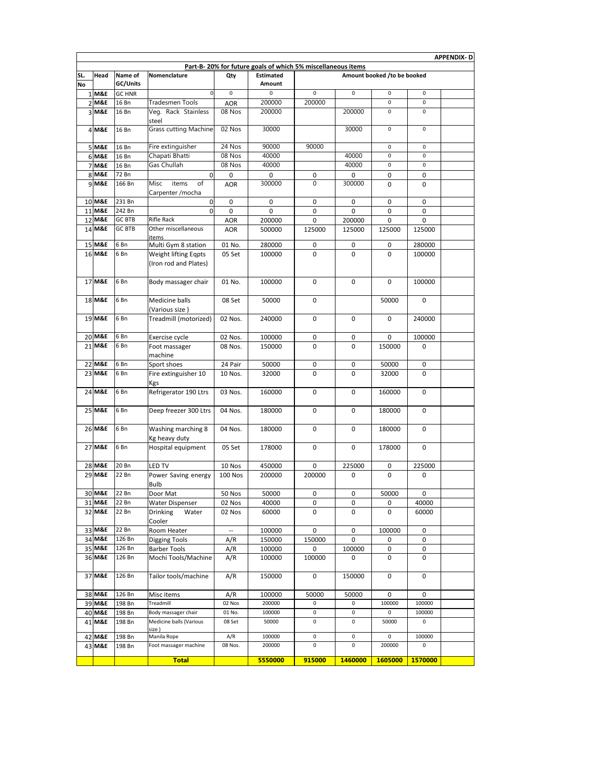|           |                  |                |                                               |                      |                                                             |                       |              |                             |                  | <b>APPENDIX-D</b> |
|-----------|------------------|----------------|-----------------------------------------------|----------------------|-------------------------------------------------------------|-----------------------|--------------|-----------------------------|------------------|-------------------|
|           |                  |                |                                               |                      | Part-B-20% for future goals of which 5% miscellaneous items |                       |              |                             |                  |                   |
| SL.       | Head             | Name of        | Nomenclature                                  | Qty                  | <b>Estimated</b>                                            |                       |              | Amount booked /to be booked |                  |                   |
| <b>No</b> |                  | GC/Units       |                                               |                      | <b>Amount</b>                                               |                       |              |                             |                  |                   |
|           | 1 M&E            | <b>GC HNR</b>  | $\Omega$<br>Tradesmen Tools                   | $\mathbf 0$          | $\mathbf 0$                                                 | $\mathsf 0$<br>200000 | $\mathsf 0$  | $\pmb{0}$<br>0              | $\mathbf 0$<br>0 |                   |
|           | 2 M&E            | 16 Bn<br>16 Bn |                                               | <b>AOR</b><br>08 Nos | 200000<br>200000                                            |                       | 200000       | $\mathbf 0$                 | $\mathbf 0$      |                   |
|           | 3 M&E            |                | Veg. Rack Stainless<br>steel                  |                      |                                                             |                       |              |                             |                  |                   |
|           | 4 M&E            | 16 Bn          | <b>Grass cutting Machine</b>                  | 02 Nos               | 30000                                                       |                       | 30000        | $\mathsf 0$                 | $\mathbf 0$      |                   |
|           | 5 M&E            | 16 Bn          | Fire extinguisher                             | 24 Nos               | 90000                                                       | 90000                 |              | $\mathbf 0$                 | $\mathbf 0$      |                   |
|           | 6 M&E            | 16 Bn          | Chapati Bhatti                                | 08 Nos               | 40000                                                       |                       | 40000        | 0                           | 0                |                   |
|           | <b>7 M&amp;E</b> | 16 Bn          | Gas Chullah                                   | 08 Nos               | 40000                                                       |                       | 40000        | $\pmb{0}$                   | $\mathsf 0$      |                   |
|           | 8 M&E            | 72 Bn          | $\Omega$                                      | 0                    | 0                                                           | 0                     | 0            | 0                           | 0                |                   |
|           | 9 M&E            | 166 Bn         | Misc<br>items<br>of<br>Carpenter /mocha       | <b>AOR</b>           | 300000                                                      | 0                     | 300000       | 0                           | 0                |                   |
|           | 10 M&E           | 231 Bn         | 0                                             | 0                    | 0                                                           | 0                     | 0            | 0                           | 0                |                   |
|           | 11 M&E           | 242 Bn         | $\mathbf 0$                                   | 0                    | 0                                                           | 0                     | 0            | 0                           | 0                |                   |
|           | 12 M&E           | <b>GC BTB</b>  | <b>Rifle Rack</b>                             | <b>AOR</b>           | 200000                                                      | 0                     | 200000       | 0                           | 0                |                   |
|           | 14 M&E           | <b>GC BTB</b>  | Other miscellaneous<br>items                  | <b>AOR</b>           | 500000                                                      | 125000                | 125000       | 125000                      | 125000           |                   |
|           | 15 M&E           | 6 Bn           | Multi Gym 8 station                           | 01 No.               | 280000                                                      | 0                     | 0            | 0                           | 280000           |                   |
|           | 16 M&E           | 6 Bn           | Weight lifting Eqpts<br>(Iron rod and Plates) | 05 Set               | 100000                                                      | $\mathbf 0$           | $\Omega$     | 0                           | 100000           |                   |
|           | 17 M&E           | 6 Bn           | Body massager chair                           | 01 No.               | 100000                                                      | 0                     | 0            | $\mathbf 0$                 | 100000           |                   |
|           | 18 M&E           | 6 Bn           | Medicine balls<br>(Various size )             | 08 Set               | 50000                                                       | $\mathbf 0$           |              | 50000                       | $\mathbf 0$      |                   |
|           | 19 M&E           | 6 Bn           | Treadmill (motorized)                         | 02 Nos.              | 240000                                                      | $\mathbf 0$           | 0            | $\mathbf 0$                 | 240000           |                   |
|           | 20 M&E           | 6 Bn           | Exercise cycle                                | 02 Nos.              | 100000                                                      | 0                     | 0            | 0                           | 100000           |                   |
|           | 21 M&E           | 6 Bn           | Foot massager<br>machine                      | 08 Nos.              | 150000                                                      | 0                     | $\Omega$     | 150000                      | 0                |                   |
|           | 22 M&E           | 6 Bn           | Sport shoes                                   | 24 Pair              | 50000                                                       | 0                     | 0            | 50000                       | 0                |                   |
|           | 23 M&E           | 6 Bn           | Fire extinguisher 10<br>Kgs                   | 10 Nos.              | 32000                                                       | $\Omega$              | 0            | 32000                       | $\Omega$         |                   |
|           | 24 M&E           | 6 Bn           | Refrigerator 190 Ltrs                         | 03 Nos.              | 160000                                                      | $\mathbf 0$           | 0            | 160000                      | $\mathbf 0$      |                   |
|           | 25 M&E           | 6 Bn           | Deep freezer 300 Ltrs                         | 04 Nos.              | 180000                                                      | $\mathbf 0$           | 0            | 180000                      | $\mathbf 0$      |                   |
|           | 26 M&E           | 6 Bn           | Washing marching 8<br>Kg heavy duty           | 04 Nos.              | 180000                                                      | 0                     | 0            | 180000                      | 0                |                   |
|           | 27 M&E           | 6 Bn           | Hospital equipment                            | 05 Set               | 178000                                                      | 0                     | $\mathbf 0$  | 178000                      | $\mathbf 0$      |                   |
|           | 28 M&E           | 20 Bn          | LED TV                                        | 10 Nos               | 450000                                                      | 0                     | 225000       | 0                           | 225000           |                   |
|           | 29 M&E           | 22 Bn          | Power Saving energy<br>Bulb                   | <b>100 Nos</b>       | 200000                                                      | 200000                | 0            | $\mathbf 0$                 | $\mathbf 0$      |                   |
|           | 30 M&E           | 22 Bn          | Door Mat                                      | 50 Nos               | 50000                                                       | 0                     | 0            | 50000                       | 0                |                   |
|           | 31 M&E           | 22 Bn          | Water Dispenser                               | 02 Nos               | 40000                                                       | 0                     | 0            | 0                           | 40000            |                   |
|           | 32 M&E           | 22 Bn          | <b>Drinking</b><br>Water<br>Cooler            | 02 Nos               | 60000                                                       | 0                     | 0            | 0                           | 60000            |                   |
|           | 33 M&E           | 22 Bn          | Room Heater                                   |                      | 100000                                                      | 0                     | 0            | 100000                      | 0                |                   |
|           | 34 M&E           | 126 Bn         | Digging Tools                                 | A/R                  | 150000                                                      | 150000                | 0            | 0                           | 0                |                   |
|           | 35 M&E           | 126 Bn         | <b>Barber Tools</b>                           | A/R                  | 100000                                                      | 0                     | 100000       | 0                           | 0                |                   |
|           | 36 M&E           | 126 Bn         | Mochi Tools/Machine                           | A/R                  | 100000                                                      | 100000                | 0            | 0                           | 0                |                   |
|           | 37 M&E           | 126 Bn         | Tailor tools/machine                          | A/R                  | 150000                                                      | 0                     | 150000       | 0                           | 0                |                   |
|           | 38 M&E           | 126 Bn         | Misc items                                    | A/R                  | 100000                                                      | 50000                 | 50000        | 0                           | 0                |                   |
|           | 39 M&E           | 198 Bn         | Treadmill                                     | 02 Nos               | 200000                                                      | 0                     | 0            | 100000                      | 100000           |                   |
|           | 40 M&E           | 198 Bn         | Body massager chair                           | 01 No.               | 100000                                                      | 0                     | 0            | 0                           | 100000           |                   |
|           | 41 M&E           | 198 Bn         | Medicine balls (Various<br>ize )              | 08 Set               | 50000                                                       | 0                     | 0            | 50000                       | 0                |                   |
|           | 42 M&E           | 198 Bn         | Manila Rope                                   | A/R                  | 100000                                                      | 0                     | 0            | 0                           | 100000           |                   |
|           | 43 M&E           | 198 Bn         | Foot massager machine<br><b>Total</b>         | 08 Nos.              | 200000<br>5550000                                           | $\pmb{0}$<br>915000   | 0<br>1460000 | 200000<br>1605000           | 0<br>1570000     |                   |
|           |                  |                |                                               |                      |                                                             |                       |              |                             |                  |                   |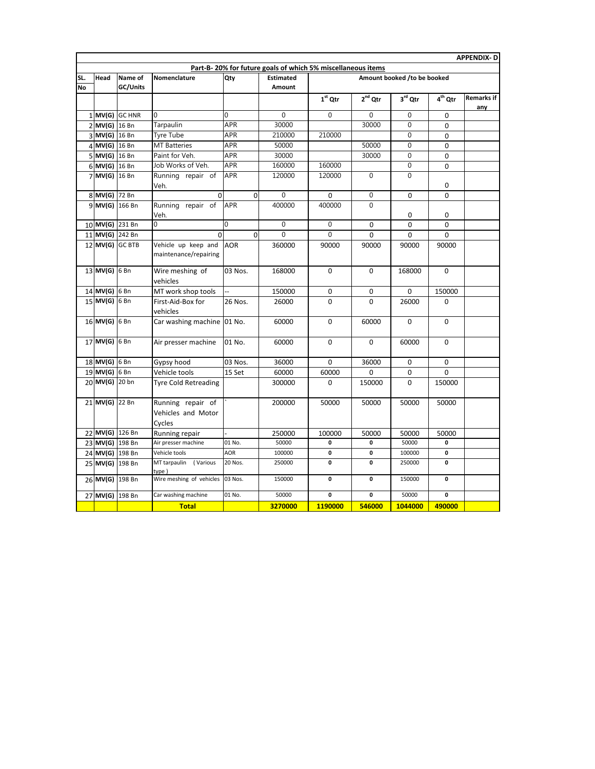|           | <b>APPENDIX-D</b> |                |                                                   |            |                                                             |              |                |                             |             |                          |  |  |
|-----------|-------------------|----------------|---------------------------------------------------|------------|-------------------------------------------------------------|--------------|----------------|-----------------------------|-------------|--------------------------|--|--|
|           |                   |                |                                                   |            | Part-B-20% for future goals of which 5% miscellaneous items |              |                |                             |             |                          |  |  |
| SL.       | Head              | Name of        | Nomenclature                                      | Qty        | <b>Estimated</b>                                            |              |                | Amount booked /to be booked |             |                          |  |  |
| <b>No</b> |                   | GC/Units       |                                                   |            | <b>Amount</b>                                               |              |                |                             |             |                          |  |  |
|           |                   |                |                                                   |            |                                                             | $1st$ Qtr    | $2nd$ Qtr      | 3rd Qtr                     | $4th$ Qtr   | <b>Remarks if</b><br>any |  |  |
|           |                   | 1 MV(G) GC HNR | $\Omega$                                          | $\Omega$   | $\Omega$                                                    | $\Omega$     | $\Omega$       | $\Omega$                    | 0           |                          |  |  |
|           | 2 MV(G) 16 Bn     |                | Tarpaulin                                         | <b>APR</b> | 30000                                                       |              | 30000          | $\overline{0}$              | $\Omega$    |                          |  |  |
|           | 3 MV(G) 16 Bn     |                | Tyre Tube                                         | APR        | 210000                                                      | 210000       |                | $\Omega$                    | 0           |                          |  |  |
|           | 4 MV(G) 16 Bn     |                | <b>MT</b> Batteries                               | APR        | 50000                                                       |              | 50000          | $\mathbf 0$                 | 0           |                          |  |  |
|           | 5 MV(G) 16 Bn     |                | Paint for Veh.                                    | APR        | 30000                                                       |              | 30000          | $\Omega$                    | $\Omega$    |                          |  |  |
|           | 6 MV(G) 16 Bn     |                | Job Works of Veh.                                 | APR        | 160000                                                      | 160000       |                | $\mathbf 0$                 | 0           |                          |  |  |
|           | 7 MV(G) 16 Bn     |                | Running repair of<br>Veh.                         | <b>APR</b> | 120000                                                      | 120000       | $\Omega$       | $\Omega$                    | 0           |                          |  |  |
|           | 8 MV(G) 72 Bn     |                | $\mathbf 0$                                       | $\Omega$   | $\overline{0}$                                              | $\mathbf 0$  | $\overline{0}$ | $\Omega$                    | $\Omega$    |                          |  |  |
|           | 9 MV(G) 166 Bn    |                | Running repair of<br>Veh.                         | <b>APR</b> | 400000                                                      | 400000       | $\Omega$       | 0                           | 0           |                          |  |  |
|           | 10 MV(G) 231 Bn   |                | 0                                                 | $\Omega$   | $\theta$                                                    | $\Omega$     | $\Omega$       | $\Omega$                    | $\mathbf 0$ |                          |  |  |
|           | 11 MV(G) 242 Bn   |                | $\Omega$                                          | $\Omega$   | $\theta$                                                    | $\Omega$     | 0              | $\Omega$                    | $\Omega$    |                          |  |  |
|           | 12 MV(G) GC BTB   |                | Vehicle up keep and<br>maintenance/repairing      | <b>AOR</b> | 360000                                                      | 90000        | 90000          | 90000                       | 90000       |                          |  |  |
|           | 13 MV(G) 6 Bn     |                | Wire meshing of<br>vehicles                       | 03 Nos.    | 168000                                                      | $\mathbf{0}$ | $\Omega$       | 168000                      | $\Omega$    |                          |  |  |
|           | 14 MV(G) 6 Bn     |                | MT work shop tools                                |            | 150000                                                      | 0            | 0              | 0                           | 150000      |                          |  |  |
|           | 15 MV(G) 6 Bn     |                | First-Aid-Box for<br>vehicles                     | 26 Nos.    | 26000                                                       | $\Omega$     | $\Omega$       | 26000                       | $\Omega$    |                          |  |  |
|           | 16 MV(G) 6 Bn     |                | Car washing machine 01 No.                        |            | 60000                                                       | 0            | 60000          | $\Omega$                    | 0           |                          |  |  |
|           | 17 MV(G) 6 Bn     |                | Air presser machine                               | 01 No.     | 60000                                                       | 0            | 0              | 60000                       | 0           |                          |  |  |
|           | 18 MV(G) 6 Bn     |                | Gypsy hood                                        | 03 Nos.    | 36000                                                       | 0            | 36000          | $\mathbf 0$                 | 0           |                          |  |  |
|           | 19 MV(G) 6 Bn     |                | Vehicle tools                                     | 15 Set     | 60000                                                       | 60000        | 0              | 0                           | $\Omega$    |                          |  |  |
|           | 20 MV(G) 20 bn    |                | Tyre Cold Retreading                              |            | 300000                                                      | 0            | 150000         | 0                           | 150000      |                          |  |  |
|           | 21 MV(G) 22 Bn    |                | Running repair of<br>Vehicles and Motor<br>Cycles |            | 200000                                                      | 50000        | 50000          | 50000                       | 50000       |                          |  |  |
|           | 22 MV(G) 126 Bn   |                | Running repair                                    |            | 250000                                                      | 100000       | 50000          | 50000                       | 50000       |                          |  |  |
|           | 23 MV(G) 198 Bn   |                | Air presser machine                               | 01 No.     | 50000                                                       | $\Omega$     | $\Omega$       | 50000                       | 0           |                          |  |  |
|           | 24 MV(G) 198 Bn   |                | Vehicle tools                                     | <b>AOR</b> | 100000                                                      | $\mathbf 0$  | 0              | 100000                      | $\mathbf 0$ |                          |  |  |
|           | 25 MV(G) 198 Bn   |                | MT tarpaulin (Various<br>type)                    | 20 Nos.    | 250000                                                      | 0            | 0              | 250000                      | 0           |                          |  |  |
|           | 26 MV(G) 198 Bn   |                | Wire meshing of vehicles 03 Nos.                  |            | 150000                                                      | $\mathbf 0$  | $\mathbf{0}$   | 150000                      | 0           |                          |  |  |
|           | 27 MV(G) 198 Bn   |                | Car washing machine                               | 01 No.     | 50000                                                       | 0            | 0              | 50000                       | 0           |                          |  |  |
|           |                   |                | <b>Total</b>                                      |            | 3270000                                                     | 1190000      | 546000         | 1044000                     | 490000      |                          |  |  |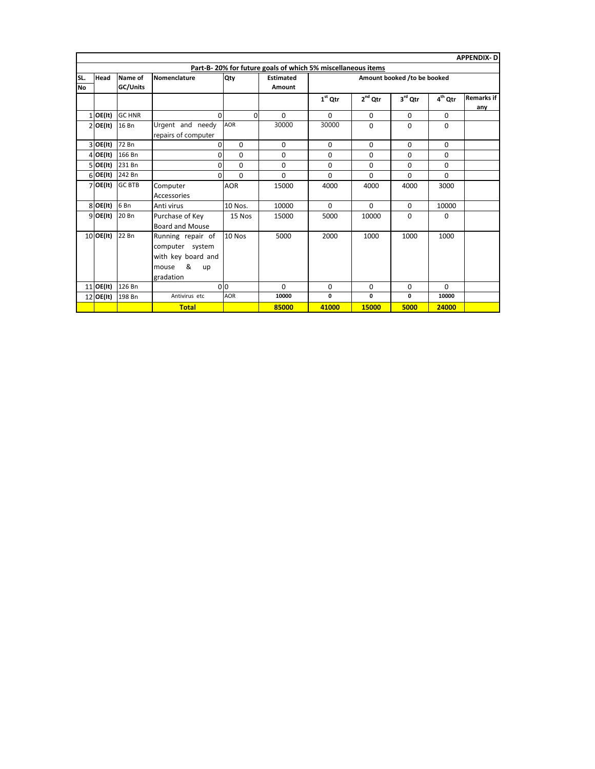|              | APPENDIX-DI |                 |                     |                 |                                                             |           |              |                             |                     |                   |  |
|--------------|-------------|-----------------|---------------------|-----------------|-------------------------------------------------------------|-----------|--------------|-----------------------------|---------------------|-------------------|--|
|              |             |                 |                     |                 | Part-B-20% for future goals of which 5% miscellaneous items |           |              |                             |                     |                   |  |
| SL.          | Head        | Name of         | Nomenclature        | Qty             | <b>Estimated</b>                                            |           |              | Amount booked /to be booked |                     |                   |  |
| <b>No</b>    |             | GC/Units        |                     |                 | Amount                                                      |           |              |                             |                     |                   |  |
|              |             |                 |                     |                 |                                                             | $1st$ Qtr | $2^{nd}$ Qtr | $3^{\text{rd}}$ Qtr         | 4 <sup>th</sup> Qtr | <b>Remarks if</b> |  |
|              |             |                 |                     |                 |                                                             |           |              |                             |                     | any               |  |
| $\mathbf{1}$ | OE(It)      | <b>GC HNR</b>   | $\Omega$            | $\Omega$        | $\Omega$                                                    | $\Omega$  | $\mathbf 0$  | $\Omega$                    | 0                   |                   |  |
|              | $2$ OE(It)  | 16 Bn           | Urgent and needy    | <b>AOR</b>      | 30000                                                       | 30000     | $\Omega$     | $\Omega$                    | $\Omega$            |                   |  |
|              |             |                 | repairs of computer |                 |                                                             |           |              |                             |                     |                   |  |
|              | 3 OE(lt)    | 72 Bn           | 0                   | $\Omega$        | $\Omega$                                                    | $\Omega$  | $\Omega$     | $\Omega$                    | $\Omega$            |                   |  |
|              | $4$ OE(It)  | 166 Bn          | 0                   | $\Omega$        | $\Omega$                                                    | $\Omega$  | $\Omega$     | $\Omega$                    | $\Omega$            |                   |  |
|              | 5 OE(lt)    | 231 Bn          | 0                   | $\Omega$        | $\Omega$                                                    | $\Omega$  | $\Omega$     | $\Omega$                    | $\Omega$            |                   |  |
|              | $6$ OE(It)  | 242 Bn          | 0                   | $\Omega$        | $\Omega$                                                    | $\Omega$  | $\Omega$     | $\Omega$                    | $\Omega$            |                   |  |
| 7            | OE(It)      | <b>GC BTB</b>   | Computer            | <b>AOR</b>      | 15000                                                       | 4000      | 4000         | 4000                        | 3000                |                   |  |
|              |             |                 | Accessories         |                 |                                                             |           |              |                             |                     |                   |  |
|              | $8$ OE(It)  | 6 <sub>Bn</sub> | Anti virus          | 10 Nos.         | 10000                                                       | $\Omega$  | $\Omega$     | $\Omega$                    | 10000               |                   |  |
|              | $9$ OE(It)  | 20 Bn           | Purchase of Key     | 15 Nos          | 15000                                                       | 5000      | 10000        | $\Omega$                    | 0                   |                   |  |
|              |             |                 | Board and Mouse     |                 |                                                             |           |              |                             |                     |                   |  |
|              | $10$ OE(It) | 22 Bn           | Running repair of   | 10 Nos          | 5000                                                        | 2000      | 1000         | 1000                        | 1000                |                   |  |
|              |             |                 | computer system     |                 |                                                             |           |              |                             |                     |                   |  |
|              |             |                 | with key board and  |                 |                                                             |           |              |                             |                     |                   |  |
|              |             |                 | &<br>mouse<br>up    |                 |                                                             |           |              |                             |                     |                   |  |
|              |             |                 | gradation           |                 |                                                             |           |              |                             |                     |                   |  |
|              | 11 OE(It)   | 126 Bn          |                     | 0 <sup>10</sup> | $\Omega$                                                    | $\Omega$  | 0            | $\Omega$                    | $\Omega$            |                   |  |
| 12           | OE(It)      | 198 Bn          | Antivirus etc       | <b>AOR</b>      | 10000                                                       | 0         | 0            | 0                           | 10000               |                   |  |
|              |             |                 | <b>Total</b>        |                 | 85000                                                       | 41000     | 15000        | 5000                        | 24000               |                   |  |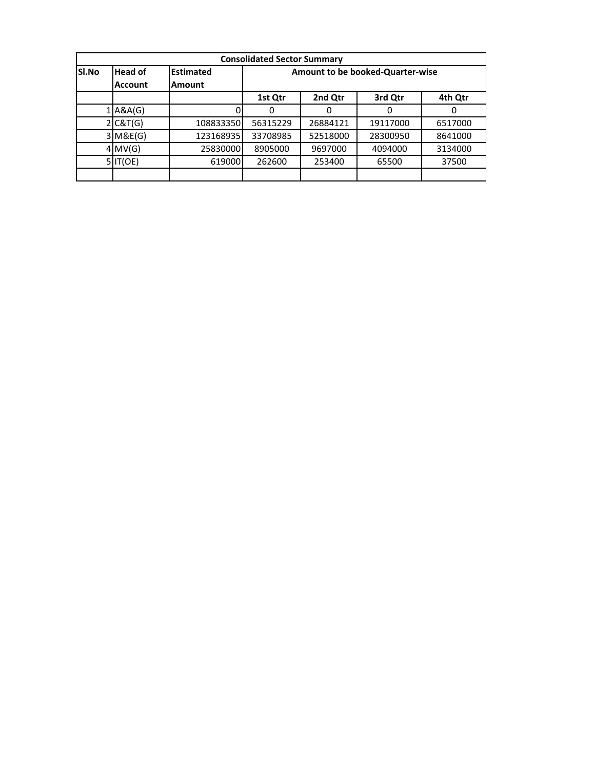|       |                |                  | <b>Consolidated Sector Summary</b> |          |                                         |         |  |  |  |  |  |
|-------|----------------|------------------|------------------------------------|----------|-----------------------------------------|---------|--|--|--|--|--|
| SI.No | <b>Head of</b> | <b>Estimated</b> |                                    |          | <b>Amount to be booked-Quarter-wise</b> |         |  |  |  |  |  |
|       | Account        | <b>Amount</b>    |                                    |          |                                         |         |  |  |  |  |  |
|       |                |                  | 1st Qtr                            | 2nd Qtr  | 3rd Qtr                                 | 4th Qtr |  |  |  |  |  |
|       | $1$ A&A(G)     |                  | Ω                                  | 0        |                                         | 0       |  |  |  |  |  |
|       | 2 C&T(G)       | 108833350        | 56315229                           | 26884121 | 19117000                                | 6517000 |  |  |  |  |  |
|       | 3 M&E(G)       | 123168935        | 33708985                           | 52518000 | 28300950                                | 8641000 |  |  |  |  |  |
|       | $4$ MV(G)      | 25830000         | 8905000                            | 9697000  | 4094000                                 | 3134000 |  |  |  |  |  |
|       | 5 IT(OE)       | 619000           | 262600                             | 253400   | 65500                                   | 37500   |  |  |  |  |  |
|       |                |                  |                                    |          |                                         |         |  |  |  |  |  |